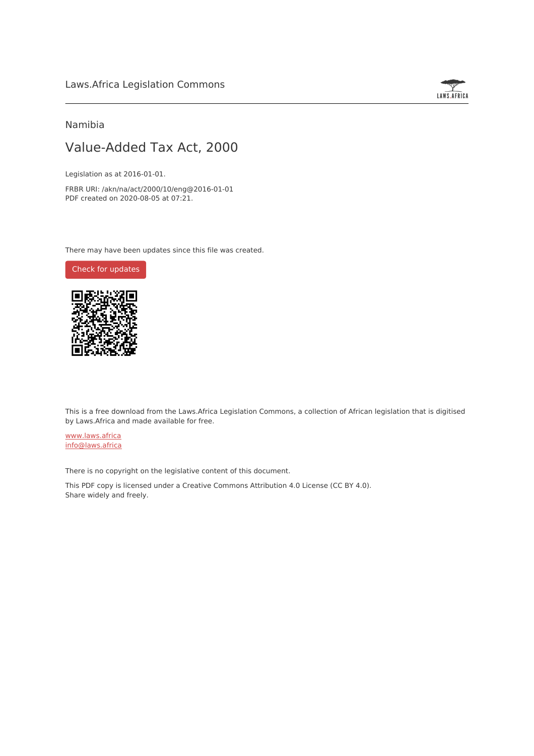

# Namibia

# Value-Added Tax Act, 2000

Legislation as at 2016-01-01.

FRBR URI: /akn/na/act/2000/10/eng@2016-01-01 PDF created on 2020-08-05 at 07:21.

There may have been updates since this file was created.

Check for [updates](https://commons.laws.africa/akn/na/act/2000/10/eng@2016-01-01?ts=2020-08-05T07:21:43.446388+00:00)



This is a free download from the Laws.Africa Legislation Commons, a collection of African legislation that is digitised by Laws.Africa and made available for free.

[www.laws.africa](https://www.laws.africa) [info@laws.africa](mailto:info@laws.africa)

There is no copyright on the legislative content of this document.

This PDF copy is licensed under a Creative Commons Attribution 4.0 License (CC BY 4.0). Share widely and freely.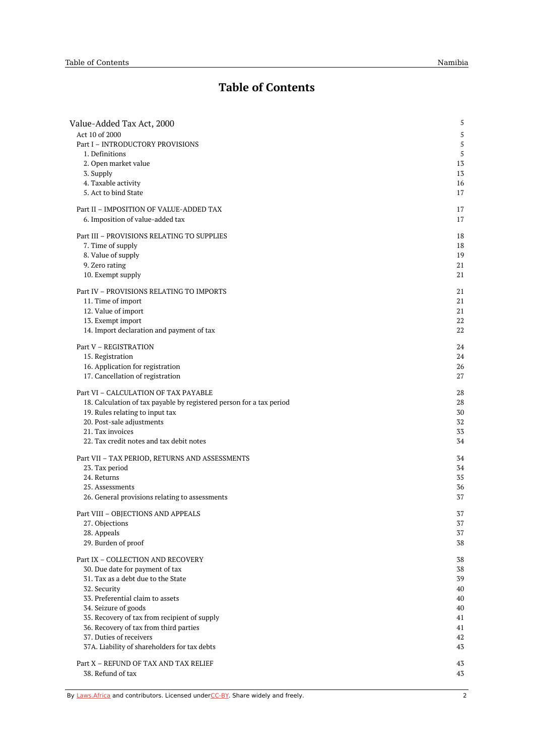# **Table of Contents**

| Value-Added Tax Act, 2000                                            | 5  |
|----------------------------------------------------------------------|----|
| Act 10 of 2000                                                       | 5  |
| Part I - INTRODUCTORY PROVISIONS                                     | 5  |
| 1. Definitions                                                       | 5  |
| 2. Open market value                                                 | 13 |
| 3. Supply                                                            | 13 |
| 4. Taxable activity                                                  | 16 |
| 5. Act to bind State                                                 | 17 |
| Part II - IMPOSITION OF VALUE-ADDED TAX                              | 17 |
|                                                                      |    |
| 6. Imposition of value-added tax                                     | 17 |
| Part III - PROVISIONS RELATING TO SUPPLIES                           | 18 |
| 7. Time of supply                                                    | 18 |
| 8. Value of supply                                                   | 19 |
| 9. Zero rating                                                       | 21 |
| 10. Exempt supply                                                    | 21 |
| Part IV - PROVISIONS RELATING TO IMPORTS                             | 21 |
| 11. Time of import                                                   | 21 |
| 12. Value of import                                                  | 21 |
| 13. Exempt import                                                    | 22 |
| 14. Import declaration and payment of tax                            | 22 |
|                                                                      |    |
| Part V - REGISTRATION                                                | 24 |
| 15. Registration                                                     | 24 |
| 16. Application for registration                                     | 26 |
| 17. Cancellation of registration                                     | 27 |
| Part VI - CALCULATION OF TAX PAYABLE                                 | 28 |
| 18. Calculation of tax payable by registered person for a tax period | 28 |
| 19. Rules relating to input tax                                      | 30 |
| 20. Post-sale adjustments                                            | 32 |
| 21. Tax invoices                                                     | 33 |
| 22. Tax credit notes and tax debit notes                             | 34 |
|                                                                      |    |
| Part VII - TAX PERIOD, RETURNS AND ASSESSMENTS                       | 34 |
| 23. Tax period                                                       | 34 |
| 24. Returns                                                          | 35 |
| 25. Assessments                                                      | 36 |
| 26. General provisions relating to assessments                       | 37 |
| Part VIII - OBJECTIONS AND APPEALS                                   | 37 |
| 27. Objections                                                       | 37 |
| 28. Appeals                                                          | 37 |
| 29. Burden of proof                                                  | 38 |
| Part IX - COLLECTION AND RECOVERY                                    | 38 |
| 30. Due date for payment of tax                                      | 38 |
| 31. Tax as a debt due to the State                                   | 39 |
| 32. Security                                                         | 40 |
| 33. Preferential claim to assets                                     | 40 |
| 34. Seizure of goods                                                 | 40 |
| 35. Recovery of tax from recipient of supply                         | 41 |
| 36. Recovery of tax from third parties                               | 41 |
| 37. Duties of receivers                                              | 42 |
| 37A. Liability of shareholders for tax debts                         | 43 |
|                                                                      |    |
| Part X - REFUND OF TAX AND TAX RELIEF                                | 43 |
| 38. Refund of tax                                                    | 43 |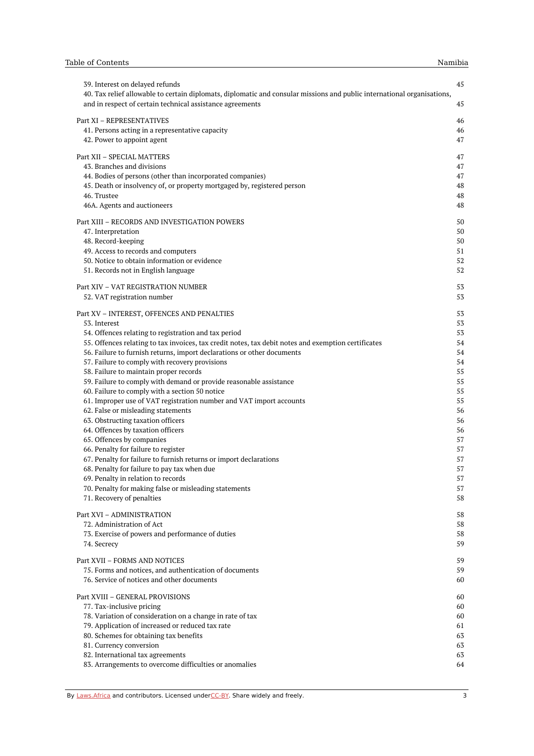| 39. Interest on delayed refunds<br>40. Tax relief allowable to certain diplomats, diplomatic and consular missions and public international organisations, | 45       |
|------------------------------------------------------------------------------------------------------------------------------------------------------------|----------|
| and in respect of certain technical assistance agreements                                                                                                  | 45       |
| Part XI - REPRESENTATIVES                                                                                                                                  | 46       |
| 41. Persons acting in a representative capacity                                                                                                            | 46       |
| 42. Power to appoint agent                                                                                                                                 | 47       |
| Part XII - SPECIAL MATTERS                                                                                                                                 | 47       |
| 43. Branches and divisions                                                                                                                                 | 47       |
| 44. Bodies of persons (other than incorporated companies)                                                                                                  | 47       |
| 45. Death or insolvency of, or property mortgaged by, registered person                                                                                    | 48       |
| 46. Trustee                                                                                                                                                | 48       |
| 46A. Agents and auctioneers                                                                                                                                | 48       |
| Part XIII - RECORDS AND INVESTIGATION POWERS                                                                                                               | 50       |
| 47. Interpretation                                                                                                                                         | 50       |
| 48. Record-keeping                                                                                                                                         | 50       |
| 49. Access to records and computers                                                                                                                        | 51       |
| 50. Notice to obtain information or evidence                                                                                                               | 52       |
| 51. Records not in English language                                                                                                                        | 52       |
| Part XIV - VAT REGISTRATION NUMBER                                                                                                                         | 53       |
| 52. VAT registration number                                                                                                                                | 53       |
| Part XV - INTEREST, OFFENCES AND PENALTIES                                                                                                                 | 53       |
| 53. Interest                                                                                                                                               | 53       |
| 54. Offences relating to registration and tax period                                                                                                       | 53       |
| 55. Offences relating to tax invoices, tax credit notes, tax debit notes and exemption certificates                                                        | 54       |
| 56. Failure to furnish returns, import declarations or other documents                                                                                     | 54       |
| 57. Failure to comply with recovery provisions                                                                                                             | 54       |
| 58. Failure to maintain proper records                                                                                                                     | 55       |
| 59. Failure to comply with demand or provide reasonable assistance                                                                                         | 55       |
| 60. Failure to comply with a section 50 notice                                                                                                             | 55       |
| 61. Improper use of VAT registration number and VAT import accounts                                                                                        | 55       |
| 62. False or misleading statements                                                                                                                         | 56       |
| 63. Obstructing taxation officers                                                                                                                          | 56       |
| 64. Offences by taxation officers                                                                                                                          | 56       |
| 65. Offences by companies                                                                                                                                  | 57       |
| 66. Penalty for failure to register                                                                                                                        | 57       |
| 67. Penalty for failure to furnish returns or import declarations                                                                                          | 57       |
| 68. Penalty for failure to pay tax when due<br>69. Penalty in relation to records                                                                          | 57       |
| 70. Penalty for making false or misleading statements                                                                                                      | 57<br>57 |
| 71. Recovery of penalties                                                                                                                                  | 58       |
|                                                                                                                                                            |          |
| Part XVI - ADMINISTRATION                                                                                                                                  | 58       |
| 72. Administration of Act                                                                                                                                  | 58       |
| 73. Exercise of powers and performance of duties<br>74. Secrecy                                                                                            | 58<br>59 |
|                                                                                                                                                            |          |
| Part XVII - FORMS AND NOTICES                                                                                                                              | 59       |
| 75. Forms and notices, and authentication of documents                                                                                                     | 59       |
| 76. Service of notices and other documents                                                                                                                 | 60       |
| Part XVIII - GENERAL PROVISIONS                                                                                                                            | 60       |
| 77. Tax-inclusive pricing                                                                                                                                  | 60       |
| 78. Variation of consideration on a change in rate of tax                                                                                                  | 60       |
| 79. Application of increased or reduced tax rate                                                                                                           | 61       |
| 80. Schemes for obtaining tax benefits                                                                                                                     | 63       |
| 81. Currency conversion                                                                                                                                    | 63       |
| 82. International tax agreements                                                                                                                           | 63       |
| 83. Arrangements to overcome difficulties or anomalies                                                                                                     | 64       |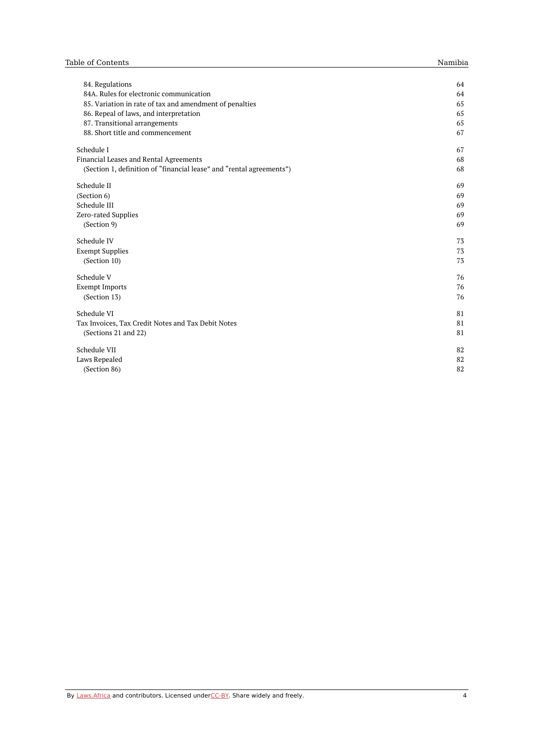| 84. Regulations                                                      | 64 |
|----------------------------------------------------------------------|----|
| 84A. Rules for electronic communication                              | 64 |
| 85. Variation in rate of tax and amendment of penalties              | 65 |
| 86. Repeal of laws, and interpretation                               | 65 |
| 87. Transitional arrangements                                        | 65 |
| 88. Short title and commencement                                     | 67 |
| Schedule I                                                           | 67 |
| Financial Leases and Rental Agreements                               | 68 |
| (Section 1, definition of "financial lease" and "rental agreements") | 68 |
| Schedule II                                                          | 69 |
| (Section 6)                                                          | 69 |
| Schedule III                                                         | 69 |
| Zero-rated Supplies                                                  | 69 |
| (Section 9)                                                          | 69 |
| Schedule IV                                                          | 73 |
| <b>Exempt Supplies</b>                                               | 73 |
| (Section 10)                                                         | 73 |
| Schedule V                                                           | 76 |
| <b>Exempt Imports</b>                                                | 76 |
| (Section 13)                                                         | 76 |
| Schedule VI                                                          | 81 |
| Tax Invoices, Tax Credit Notes and Tax Debit Notes                   | 81 |
| (Sections 21 and 22)                                                 | 81 |
| Schedule VII                                                         | 82 |
| Laws Repealed                                                        | 82 |
| (Section 86)                                                         | 82 |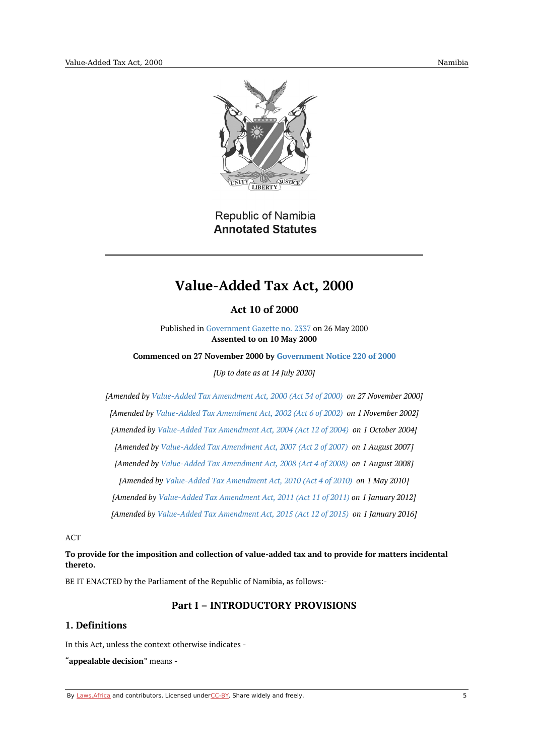

**Republic of Namibia Annotated Statutes** 

# **Value-Added Tax Act, 2000**

**Act 10 of 2000**

Published in [Government](https://edit.laws.africa/works/akn/na/act/2000/10/media/publication/na-act-2000-10-publication-document.pdf) Gazette no. 2337 on 26 May 2000 **Assented to on 10 May 2000**

<span id="page-4-1"></span><span id="page-4-0"></span>**Commenced on 27 November 2000 by [Government](https://namiblii.org/akn/na/act/gn/2000/220) Notice 220 of 2000**

*[Up to date as at 14 July 2020]*

*[Amended by [Value-Added](https://namiblii.org/akn/na/act/2000/34) Tax Amendment Act, 2000 (Act 34 of 2000) on 27 November 2000] [Amended by [Value-Added](https://namiblii.org/akn/na/act/2002/6) Tax Amendment Act, 2002 (Act 6 of 2002) on 1 November 2002] [Amended by [Value-Added](https://namiblii.org/akn/na/act/2004/12) Tax Amendment Act, 2004 (Act 12 of 2004) on 1 October 2004] [Amended by [Value-Added](https://namiblii.org/akn/na/act/2007/2) Tax Amendment Act, 2007 (Act 2 of 2007) on 1 August 2007] [Amended by [Value-Added](https://namiblii.org/akn/na/act/2008/4) Tax Amendment Act, 2008 (Act 4 of 2008) on 1 August 2008] [Amended by [Value-Added](https://namiblii.org/akn/na/act/2010/4) Tax Amendment Act, 2010 (Act 4 of 2010) on 1 May 2010] [Amended by [Value-Added](https://namiblii.org/akn/na/act/2011/11) Tax Amendment Act, 2011 (Act 11 of 2011) on 1 January 2012] [Amended by [Value-Added](https://namiblii.org/akn/na/act/2015/12) Tax Amendment Act, 2015 (Act 12 of 2015) on 1 January 2016]*

ACT

# **To provide for the imposition and collection of value-added tax and to provide for matters incidental thereto.**

<span id="page-4-2"></span>BE IT ENACTED by the Parliament of the Republic of Namibia, as follows:-

# **Part I – INTRODUCTORY PROVISIONS**

# <span id="page-4-3"></span>**1. Definitions**

In this Act, unless the context otherwise indicates -

"**appealable decision**" means -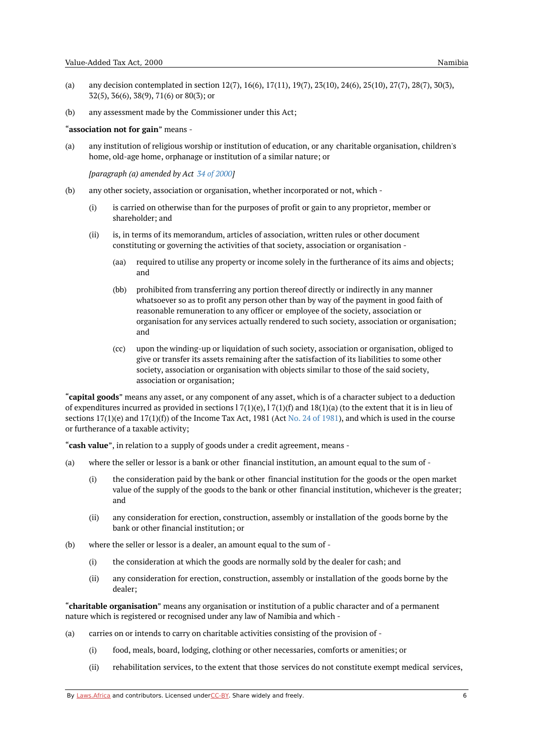- (a) any decision contemplated in section 12(7), 16(6), 17(11), 19(7), 23(10), 24(6), 25(10), 27(7), 28(7), 30(3), 32(5), 36(6), 38(9), 71(6) or 80(3); or
- (b) any assessment made by the Commissioner under this Act;

#### "**association not for gain**" means -

(a) any institution of religious worship or institution of education, or any charitable organisation, children's home, old-age home, orphanage or institution of a similar nature; or

*[paragraph (a) amended by Act 34 of [2000](https://namiblii.org/akn/na/act/2000/34)]*

- (b) any other society, association or organisation, whether incorporated or not, which -
	- (i) is carried on otherwise than for the purposes of profit or gain to any proprietor, member or shareholder; and
	- (ii) is, in terms of its memorandum, articles of association, written rules or other document constituting or governing the activities of that society, association or organisation -
		- (aa) required to utilise any property or income solely in the furtherance of its aims and objects; and
		- (bb) prohibited from transferring any portion thereof directly or indirectly in any manner whatsoever so as to profit any person other than by way of the payment in good faith of reasonable remuneration to any officer or employee of the society, association or organisation for any services actually rendered to such society, association or organisation; and
		- (cc) upon the winding-up or liquidation of such society, association or organisation, obliged to give or transfer its assets remaining after the satisfaction of its liabilities to some other society, association or organisation with objects similar to those of the said society, association or organisation;

"**capital goods**" means any asset, or any component of any asset, which is of a character subject to a deduction of expenditures incurred as provided in sections  $17(1)(e)$ ,  $17(1)(f)$  and  $18(1)(a)$  (to the extent that it is in lieu of sections  $17(1)(e)$  and  $17(1)(f)$  of the Income Tax Act, [1981](https://namiblii.org/akn/na/act/1981/24) (Act No. 24 of 1981), and which is used in the course or furtherance of a taxable activity;

"**cash value**", in relation to a supply of goods under a credit agreement, means -

- (a) where the seller or lessor is a bank or other financial institution, an amount equal to the sum of -
	- (i) the consideration paid by the bank or other financial institution for the goods or the open market value of the supply of the goods to the bank or other financial institution, whichever is the greater; and
	- (ii) any consideration for erection, construction, assembly or installation of the goods borne by the bank or other financial institution; or
- (b) where the seller or lessor is a dealer, an amount equal to the sum of -
	- (i) the consideration at which the goods are normally sold by the dealer for cash; and
	- (ii) any consideration for erection, construction, assembly or installation of the goods borne by the dealer;

"**charitable organisation**" means any organisation or institution of a public character and of a permanent nature which is registered or recognised under any law of Namibia and which -

- (a) carries on or intends to carry on charitable activities consisting of the provision of -
	- (i) food, meals, board, lodging, clothing or other necessaries, comforts or amenities; or
	- (ii) rehabilitation services, to the extent that those services do not constitute exempt medical services,

By [Laws.Africa](https://edit.laws.africa/widgets/pdf-attribution) and contributors. Licensed und[erCC-B](https://edit.laws.africa/widgets/pdf-cc-by)Y. Share widely and freely.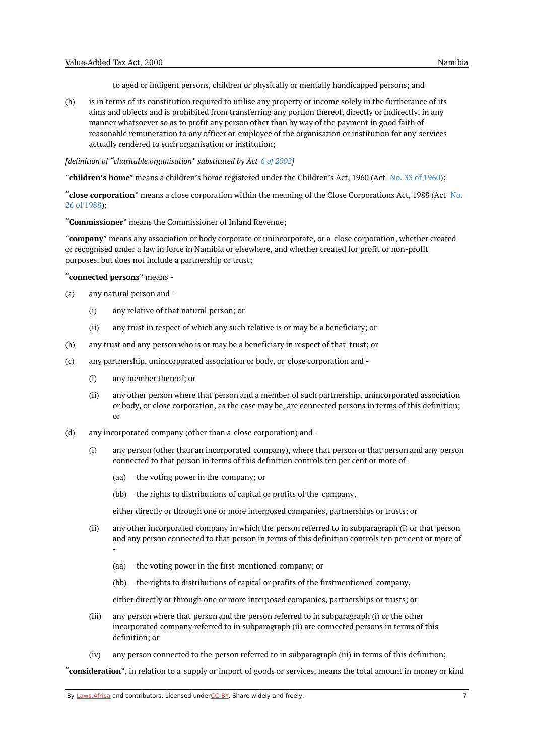to aged or indigent persons, children or physically or mentally handicapped persons; and

(b) is in terms of its constitution required to utilise any property or income solely in the furtherance of its aims and objects and is prohibited from transferring any portion thereof, directly or indirectly, in any manner whatsoever so as to profit any person other than by way of the payment in good faith of reasonable remuneration to any officer or employee of the organisation or institution for any services actually rendered to such organisation or institution;

*[definition of "charitable organisation" substituted by Act 6 of [2002](https://namiblii.org/akn/na/act/2002/6)]*

"**children's home**" means a children's home registered under the Children's Act, 1960 (Act No. 33 of [1960](https://namiblii.org/akn/na/act/1960/33));

"**close corporation**" means a close corporation within the meaning of the Close [Corporations](https://namiblii.org/akn/na/act/1988/26) Act, 1988 (Act No. 26 of 1988);

"**Commissioner**" means the Commissioner of Inland Revenue;

"**company**" means any association or body corporate or unincorporate, or a close corporation, whether created or recognised under a law in force in Namibia or elsewhere, and whether created for profit or non-profit purposes, but does not include a partnership or trust;

"**connected persons**" means -

- (a) any natural person and -
	- (i) any relative of that natural person; or
	- (ii) any trust in respect of which any such relative is or may be a beneficiary; or
- (b) any trust and any person who is or may be a beneficiary in respect of that trust; or
- (c) any partnership, unincorporated association or body, or close corporation and -
	- (i) any member thereof; or
	- (ii) any other person where that person and a member of such partnership, unincorporated association or body, or close corporation, as the case may be, are connected persons in terms of this definition; or
- (d) any incorporated company (other than a close corporation) and -
	- (i) any person (other than an incorporated company), where that person or that person and any person connected to that person in terms of this definition controls ten per cent or more of -
		- (aa) the voting power in the company; or
		- (bb) the rights to distributions of capital or profits of the company,

either directly or through one or more interposed companies, partnerships or trusts; or

- (ii) any other incorporated company in which the person referred to in subparagraph (i) or that person and any person connected to that person in terms of this definition controls ten per cent or more of -
	- (aa) the voting power in the first-mentioned company; or
	- (bb) the rights to distributions of capital or profits of the firstmentioned company,

either directly or through one or more interposed companies, partnerships or trusts; or

- (iii) any person where that person and the person referred to in subparagraph (i) or the other incorporated company referred to in subparagraph (ii) are connected persons in terms of this definition; or
- (iv) any person connected to the person referred to in subparagraph (iii) in terms of this definition;

"**consideration**", in relation to a supply or import of goods or services, means the total amount in money or kind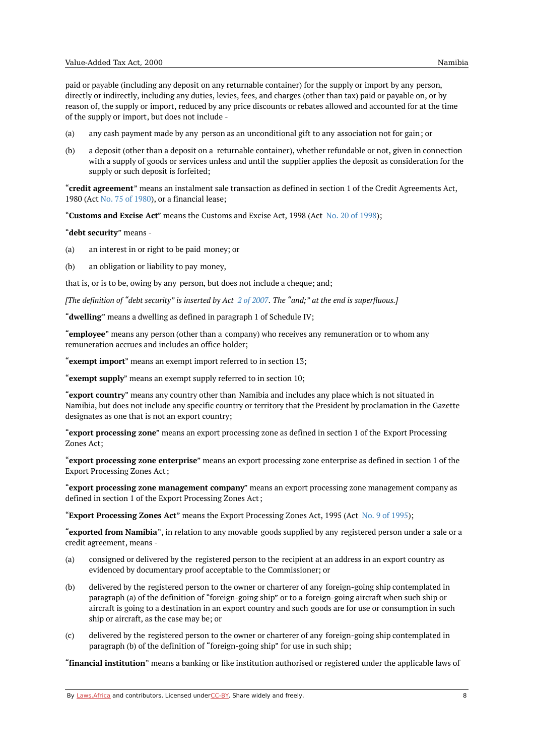paid or payable (including any deposit on any returnable container) for the supply or import by any person, directly or indirectly, including any duties, levies, fees, and charges (other than tax) paid or payable on, or by reason of, the supply or import, reduced by any price discounts or rebates allowed and accounted for at the time of the supply or import, but does not include -

- (a) any cash payment made by any person as an unconditional gift to any association not for gain; or
- (b) a deposit (other than a deposit on a returnable container), whether refundable or not, given in connection with a supply of goods or services unless and until the supplier applies the deposit as consideration for the supply or such deposit is forfeited;

"**credit agreement**" means an instalment sale transaction as defined in section 1 of the Credit Agreements Act, 1980 (Act No. 75 of [1980](https://namiblii.org/akn/na/act/1980/75)), or a financial lease;

"**Customs and Excise Act**" means the Customs and Excise Act, 1998 (Act No. 20 of [1998](https://namiblii.org/akn/na/act/1998/20));

"**debt security**" means -

- (a) an interest in or right to be paid money; or
- (b) an obligation or liability to pay money,

that is, or is to be, owing by any person, but does not include a cheque; and;

[The definition of "debt security" is inserted by Act  $2$  of [2007](https://namiblii.org/akn/na/act/2007/2). The "and;" at the end is superfluous.]

"**dwelling**" means a dwelling as defined in paragraph 1 of Schedule IV;

"**employee**" means any person (other than a company) who receives any remuneration or to whom any remuneration accrues and includes an office holder;

"**exempt import**" means an exempt import referred to in section 13;

"**exempt supply**" means an exempt supply referred to in section 10;

"**export country**" means any country other than Namibia and includes any place which is not situated in Namibia, but does not include any specific country or territory that the President by proclamation in the Gazette designates as one that is not an export country;

"**export processing zone**" means an export processing zone as defined in section 1 of the Export Processing Zones Act;

"**export processing zone enterprise**" means an export processing zone enterprise as defined in section 1 of the Export Processing Zones Act;

"**export processing zone management company**" means an export processing zone management company as defined in section 1 of the Export Processing Zones Act;

"**Export Processing Zones Act**" means the Export Processing Zones Act, 1995 (Act No. 9 of [1995](https://namiblii.org/akn/na/act/1995/9));

"**exported from Namibia**", in relation to any movable goods supplied by any registered person under a sale or a credit agreement, means -

- (a) consigned or delivered by the registered person to the recipient at an address in an export country as evidenced by documentary proof acceptable to the Commissioner; or
- $(h)$ delivered by the registered person to the owner or charterer of any foreign-going ship contemplated in paragraph (a) of the definition of "foreign-going ship" or to a foreign-going aircraft when such ship or aircraft is going to a destination in an export country and such goods are for use or consumption in such ship or aircraft, as the case may be; or
- $(c)$ delivered by the registered person to the owner or charterer of any foreign-going ship contemplated in paragraph (b) of the definition of "foreign-going ship" for use in such ship;

"**financial institution**" means a banking or like institution authorised or registered under the applicable laws of

By [Laws.Africa](https://edit.laws.africa/widgets/pdf-attribution) and contributors. Licensed und[erCC-B](https://edit.laws.africa/widgets/pdf-cc-by)Y. Share widely and freely. **8** 8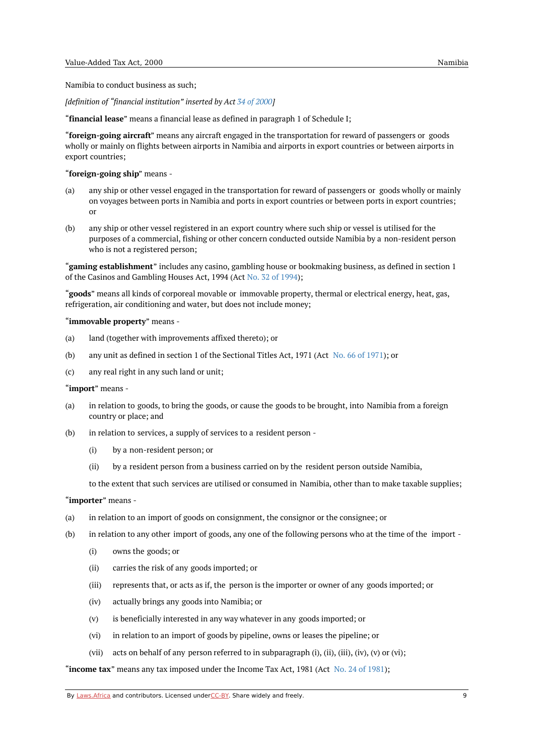Namibia to conduct business as such;

*[definition of "financial institution" inserted by Act 34 of [2000](https://namiblii.org/akn/na/act/2000/34)]*

"**financial lease**" means a financial lease as defined in paragraph 1 of Schedule I;

"**foreign-going aircraft**" means any aircraft engaged in the transportation for reward of passengers or goods wholly or mainly on flights between airports in Namibia and airports in export countries or between airports in export countries;

#### "**foreign-going ship**" means -

- (a) any ship or other vessel engaged in the transportation for reward of passengers or goods wholly or mainly on voyages between ports in Namibia and ports in export countries or between ports in export countries; or
- (b) any ship or other vessel registered in an export country where such ship or vessel is utilised for the purposes of a commercial, fishing or other concern conducted outside Namibia by a non-resident person who is not a registered person;

"**gaming establishment**" includes any casino, gambling house or bookmaking business, as defined in section 1 of the Casinos and Gambling Houses Act, 1994 (Act No. 32 of [1994\)](https://namiblii.org/akn/na/act/1994/32);

"**goods**" means all kinds of corporeal movable or immovable property, thermal or electrical energy, heat, gas, refrigeration, air conditioning and water, but does not include money;

#### "**immovable property**" means -

- (a) land (together with improvements affixed thereto); or
- (b) any unit as defined in section 1 of the Sectional Titles Act, 1971 (Act No. 66 of [1971](https://namiblii.org/akn/na/act/1971/66)); or
- (c) any real right in any such land or unit;

#### "**import**" means -

- (a) in relation to goods, to bring the goods, or cause the goods to be brought, into Namibia from a foreign country or place; and
- (b) in relation to services, a supply of services to a resident person -
	- (i) by a non-resident person; or
	- (ii) by a resident person from a business carried on by the resident person outside Namibia,

to the extent that such services are utilised or consumed in Namibia, other than to make taxable supplies;

#### "**importer**" means -

- (a) in relation to an import of goods on consignment, the consignor or the consignee; or
- (b) in relation to any other import of goods, any one of the following persons who at the time of the import -
	- (i) owns the goods; or
	- (ii) carries the risk of any goods imported; or
	- (iii) represents that, or acts as if, the person is the importer or owner of any goods imported; or
	- (iv) actually brings any goods into Namibia; or
	- (v) is beneficially interested in any way whatever in any goods imported; or
	- (vi) in relation to an import of goods by pipeline, owns or leases the pipeline; or
	- (vii) acts on behalf of any person referred to in subparagraph (i), (ii), (iii), (iv), (v) or (vi);

"**income tax**" means any tax imposed under the Income Tax Act, 1981 (Act No. 24 of [1981](https://namiblii.org/akn/na/act/1981/24));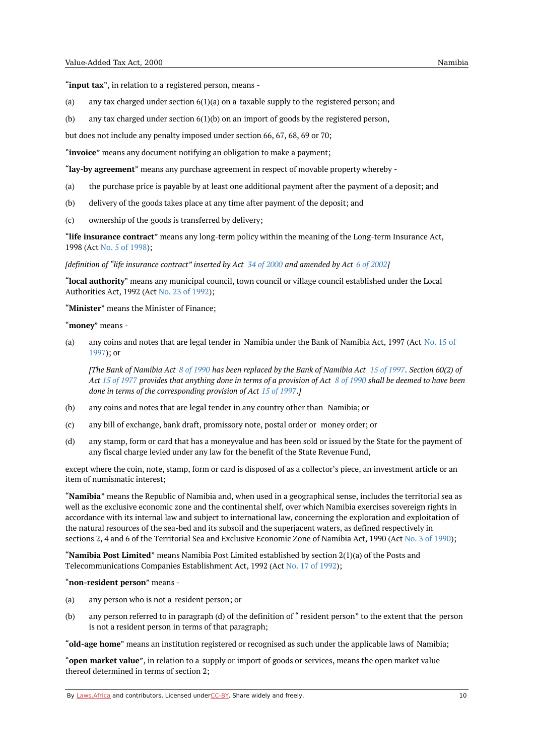"**input tax**", in relation to a registered person, means -

- (a) any tax charged under section  $6(1)(a)$  on a taxable supply to the registered person; and
- (b) any tax charged under section 6(1)(b) on an import of goods by the registered person,

but does not include any penalty imposed under section 66, 67, 68, 69 or 70;

"**invoice**" means any document notifying an obligation to make a payment;

"**lay-by agreement**" means any purchase agreement in respect of movable property whereby -

- (a) the purchase price is payable by at least one additional payment after the payment of a deposit; and
- (b) delivery of the goods takes place at any time after payment of the deposit; and
- $(c)$ ownership of the goods is transferred by delivery;

"**life insurance contract**" means any long-term policy within the meaning of the Long-term Insurance Act, 1998 (Act No. 5 of [1998](https://namiblii.org/akn/na/act/1998/5));

*Idefinition of "life insurance contract" inserted by Act 34 of [2000](https://namiblii.org/akn/na/act/2000/34) and amended by Act 6 of [2002](https://namiblii.org/akn/na/act/2002/6)]* 

"**local authority**" means any municipal council, town council or village council established under the Local Authorities Act, 1992 (Act No. 23 of [1992](https://namiblii.org/akn/na/act/1992/23));

"**Minister**" means the Minister of Finance;

#### "**money**" means -

(a) any coins and notes that are legal tender in [Namibia](https://namiblii.org/akn/na/act/1997/15) under the Bank of Namibia Act, 1997 (Act No. 15 of 1997); or

[The Bank of Namibia Act 8 of [1990](https://namiblii.org/akn/na/act/1990/8) has been replaced by the Bank of Namibia Act 15 of [1997](https://namiblii.org/akn/na/act/1997/15). Section 60(2) of Act 15 of [1977](https://namiblii.org/akn/na/act/1977/15) provides that anything done in terms of a provision of Act  $8$  of [1990](https://namiblii.org/akn/na/act/1990/8) shall be deemed to have been *done in terms of the corresponding provision of Act 15 of [1997](https://namiblii.org/akn/na/act/1997/15).]*

- (b) any coins and notes that are legal tender in any country other than Namibia; or
- (c) any bill of exchange, bank draft, promissory note, postal order or money order; or
- (d) any stamp, form or card that has a moneyvalue and has been sold or issued by the State for the payment of any fiscal charge levied under any law for the benefit of the State Revenue Fund,

except where the coin, note, stamp, form or card is disposed of as a collector's piece, an investment article or an item of numismatic interest;

"**Namibia**" means the Republic of Namibia and, when used in a geographical sense, includes the territorial sea as well as the exclusive economic zone and the continental shelf, over which Namibia exercises sovereign rights in accordance with its internal law and subject to international law, concerning the exploration and exploitation of the natural resources of the sea-bed and its subsoil and the superjacent waters, as defined respectively in sections 2, 4 and 6 of the Territorial Sea and Exclusive Economic Zone of Namibia Act, 1990 (Act No. 3 of [1990](https://namiblii.org/akn/na/act/1990/3));

"**Namibia Post Limited**" means Namibia Post Limited established by section 2(1)(a) of the Posts and Telecommunications Companies Establishment Act, 1992 (Act No. 17 of [1992](https://namiblii.org/akn/na/act/1992/17));

"**non-resident person**" means -

- (a) any person who is not a resident person; or
- (b) any person referred to in paragraph (d) of the definition of " resident person" to the extent that the person is not a resident person in terms of that paragraph;

"**old-age home**" means an institution registered or recognised as such under the applicable laws of Namibia;

"**open market value**", in relation to a supply or import of goods or services, means the open market value thereof determined in terms of section 2;

By [Laws.Africa](https://edit.laws.africa/widgets/pdf-attribution) and contributors. Licensed und[erCC-B](https://edit.laws.africa/widgets/pdf-cc-by)Y. Share widely and freely. 10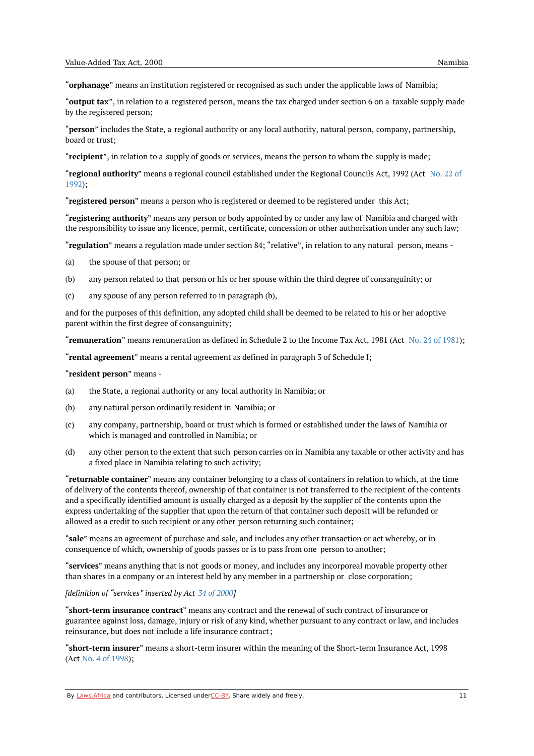"**orphanage**" means an institution registered or recognised as such under the applicable laws of Namibia;

"**output tax**", in relation to a registered person, means the tax charged under section 6 on a taxable supply made by the registered person;

"**person**" includes the State, a regional authority or any local authority, natural person, company, partnership, board or trust;

"**recipient**", in relation to a supply of goods or services, means the person to whom the supply is made;

"**regional authority**" means a regional council [established](https://namiblii.org/akn/na/act/1992/22) under the Regional Councils Act, 1992 (Act No. 22 of 1992);

"**registered person**" means a person who is registered or deemed to be registered under this Act;

"**registering authority**" means any person or body appointed by or under any law of Namibia and charged with the responsibility to issue any licence, permit, certificate, concession or other authorisation under any such law;

"**regulation**" means a regulation made under section 84; "relative", in relation to any natural person, means -

(a) the spouse of that person; or

- (b) any person related to that person or his or her spouse within the third degree of consanguinity; or
- $(c)$ any spouse of any person referred to in paragraph (b),

and for the purposes of this definition, any adopted child shall be deemed to be related to his or her adoptive parent within the first degree of consanguinity;

"**remuneration**" means remuneration as defined in Schedule 2 to the Income Tax Act, [1981](https://namiblii.org/akn/na/act/1981/24) (Act No. 24 of 1981);

"**rental agreement**" means a rental agreement as defined in paragraph 3 of Schedule I;

"**resident person**" means -

- (a) the State, a regional authority or any local authority in Namibia; or
- (b) any natural person ordinarily resident in Namibia; or
- $(c)$ any company, partnership, board or trust which is formed or established under the laws of Namibia or which is managed and controlled in Namibia; or
- (d) any other person to the extent that such person carries on in Namibia any taxable or other activity and has a fixed place in Namibia relating to such activity;

"**returnable container**" means any container belonging to a class of containers in relation to which, at the time of delivery of the contents thereof, ownership of that container is not transferred to the recipient of the contents and a specifically identified amount is usually charged as a deposit by the supplier of the contents upon the express undertaking of the supplier that upon the return of that container such deposit will be refunded or allowed as a credit to such recipient or any other person returning such container;

"**sale**" means an agreement of purchase and sale, and includes any other transaction or act whereby, or in consequence of which, ownership of goods passes or is to pass from one person to another;

"**services**" means anything that is not goods or money, and includes any incorporeal movable property other than shares in a company or an interest held by any member in a partnership or close corporation;

#### *[definition of "services" inserted by Act 34 of [2000](https://namiblii.org/akn/na/act/2000/34)]*

"**short-term insurance contract**" means any contract and the renewal of such contract of insurance or guarantee against loss, damage, injury or risk of any kind, whether pursuant to any contract or law, and includes reinsurance, but does not include a life insurance contract;

"**short-term insurer**" means a short-term insurer within the meaning of the Short-term Insurance Act, 1998 (Act No. 4 of [1998](https://namiblii.org/akn/na/act/1998/4));

By [Laws.Africa](https://edit.laws.africa/widgets/pdf-attribution) and contributors. Licensed und[erCC-B](https://edit.laws.africa/widgets/pdf-cc-by)Y. Share widely and freely. 11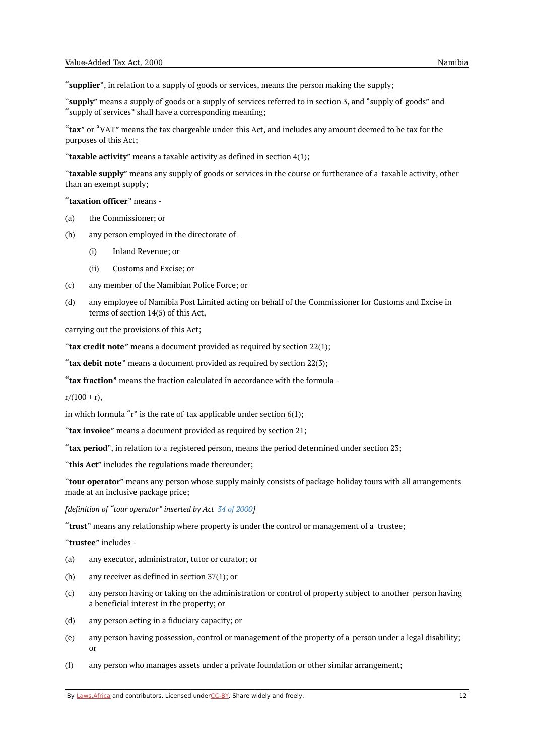"**supplier**", in relation to a supply of goods or services, means the person making the supply;

"**supply**" means a supply of goods or a supply of services referred to in section 3, and "supply of goods" and "supply of services" shall have a corresponding meaning;

"**tax**" or "VAT" means the tax chargeable under this Act, and includes any amount deemed to be tax for the purposes of this Act;

"**taxable activity**" means a taxable activity as defined in section 4(1);

"**taxable supply**" means any supply of goods or services in the course or furtherance of a taxable activity, other than an exempt supply;

"**taxation officer**" means -

- (a) the Commissioner; or
- (b) any person employed in the directorate of -
	- (i) Inland Revenue; or
	- $(iii)$ Customs and Excise; or
- (c) any member of the Namibian Police Force; or
- $(d)$ any employee of Namibia Post Limited acting on behalf of the Commissioner for Customs and Excise in terms of section 14(5) of this Act,

carrying out the provisions of this Act;

"**tax credit note**" means a document provided as required by section 22(1);

"**tax debit note**" means a document provided as required by section 22(3);

"**tax fraction**" means the fraction calculated in accordance with the formula -

 $r/(100 + r)$ ,

in which formula "r" is the rate of tax applicable under section  $6(1)$ ;

"**tax invoice**" means a document provided as required by section 21;

"**tax period**", in relation to a registered person, means the period determined under section 23;

"**this Act**" includes the regulations made thereunder;

"**tour operator**" means any person whose supply mainly consists of package holiday tours with all arrangements made at an inclusive package price;

*[definition of "tour operator" inserted by Act 34 of [2000](https://namiblii.org/akn/na/act/2000/34)]*

"**trust**" means any relationship where property is under the control or management of a trustee;

"**trustee**" includes -

- (a) any executor, administrator, tutor or curator; or
- (b) any receiver as defined in section 37(1); or
- (c) any person having or taking on the administration or control of property subject to another person having a beneficial interest in the property; or
- (d) any person acting in a fiduciary capacity; or
- (e) any person having possession, control or management of the property of a person under a legal disability; or
- (f) any person who manages assets under a private foundation or other similar arrangement;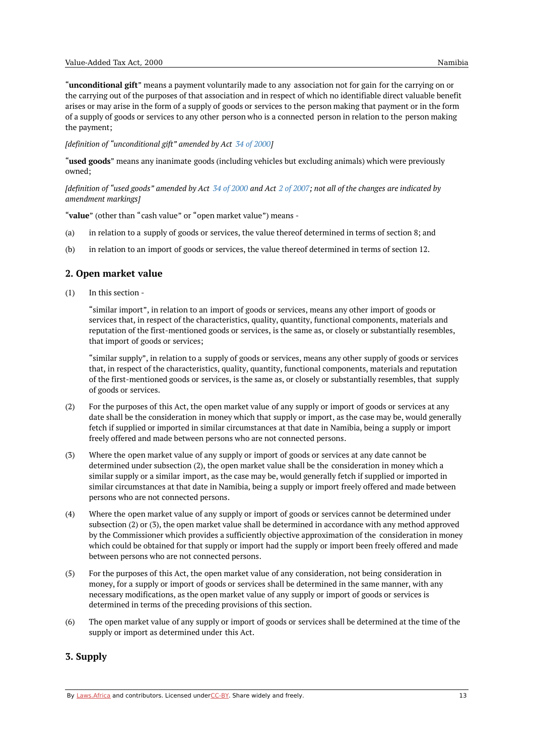"**unconditional gift**" means a payment voluntarily made to any association not for gain for the carrying on or the carrying out of the purposes of that association and in respect of which no identifiable direct valuable benefit arises or may arise in the form of a supply of goods or services to the person making that payment or in the form of a supply of goods or services to any other person who is a connected person in relation to the person making the payment;

*[definition of "unconditional gift" amended by Act 34 of [2000](https://namiblii.org/akn/na/act/2000/34)]*

"**used goods**" means any inanimate goods (including vehicles but excluding animals) which were previously owned;

[definition of "used goods" amended by Act  $34$  of [2000](https://namiblii.org/akn/na/act/2000/34) and Act 2 of [2007](https://namiblii.org/akn/na/act/2007/2); not all of the changes are indicated by *amendment markings]*

"**value**" (other than "cash value" or "open market value") means -

- (a) in relation to a supply of goods or services, the value thereof determined in terms of section 8; and
- (b) in relation to an import of goods or services, the value thereof determined in terms of section 12.

# <span id="page-12-0"></span>**2. Open market value**

(1) In this section -

> "similar import", in relation to an import of goods or services, means any other import of goods or services that, in respect of the characteristics, quality, quantity, functional components, materials and reputation of the first-mentioned goods or services, is the same as, or closely or substantially resembles, that import of goods or services;

"similar supply", in relation to a supply of goods or services, means any other supply of goods or services that, in respect of the characteristics, quality, quantity, functional components, materials and reputation of the first-mentioned goods or services, is the same as, or closely or substantially resembles, that supply of goods or services.

- (2) For the purposes of this Act, the open market value of any supply or import of goods or services at any date shall be the consideration in money which that supply or import, as the case may be, would generally fetch if supplied or imported in similar circumstances at that date in Namibia, being a supply or import freely offered and made between persons who are not connected persons.
- (3) Where the open market value of any supply or import of goods or services at any date cannot be determined under subsection (2), the open market value shall be the consideration in money which a similar supply or a similar import, as the case may be, would generally fetch if supplied or imported in similar circumstances at that date in Namibia, being a supply or import freely offered and made between persons who are not connected persons.
- (4) Where the open market value of any supply or import of goods or services cannot be determined under subsection (2) or (3), the open market value shall be determined in accordance with any method approved by the Commissioner which provides a sufficiently objective approximation of the consideration in money which could be obtained for that supply or import had the supply or import been freely offered and made between persons who are not connected persons.
- (5) For the purposes of this Act, the open market value of any consideration, not being consideration in money, for a supply or import of goods or services shall be determined in the same manner, with any necessary modifications, as the open market value of any supply or import of goods or services is determined in terms of the preceding provisions of this section.
- $(6)$ The open market value of any supply or import of goods or services shall be determined at the time of the supply or import as determined under this Act.

# <span id="page-12-1"></span>**3. Supply**

By [Laws.Africa](https://edit.laws.africa/widgets/pdf-attribution) and contributors. Licensed und[erCC-B](https://edit.laws.africa/widgets/pdf-cc-by)Y. Share widely and freely. 13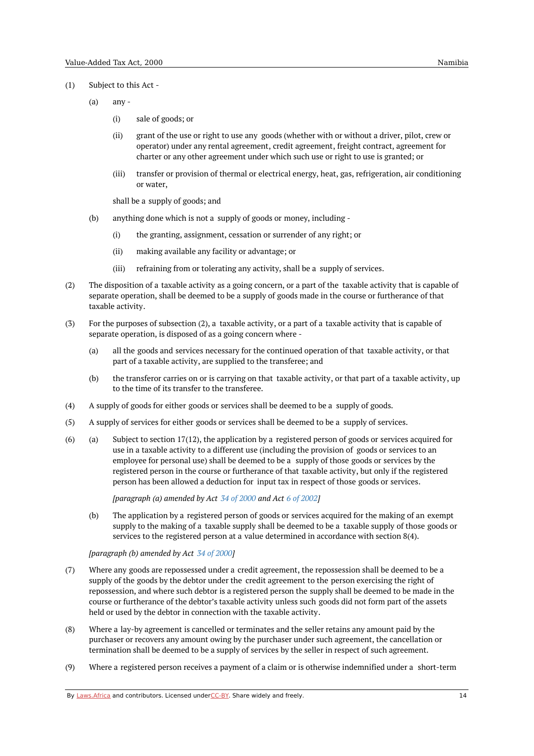- (1) Subject to this Act -
	- (a) any -
		- (i) sale of goods; or
		- (ii) grant of the use or right to use any goods (whether with or without a driver, pilot, crew or operator) under any rental agreement, credit agreement, freight contract, agreement for charter or any other agreement under which such use or right to use is granted; or
		- (iii) transfer or provision of thermal or electrical energy, heat, gas, refrigeration, air conditioning or water,

shall be a supply of goods; and

- (b) anything done which is not a supply of goods or money, including -
	- (i) the granting, assignment, cessation or surrender of any right; or
	- (ii) making available any facility or advantage; or
	- (iii) refraining from or tolerating any activity, shall be a supply of services.
- (2) The disposition of a taxable activity as a going concern, or a part of the taxable activity that is capable of separate operation, shall be deemed to be a supply of goods made in the course or furtherance of that taxable activity.
- (3) For the purposes of subsection (2), a taxable activity, or a part of a taxable activity that is capable of separate operation, is disposed of as a going concern where -
	- (a) all the goods and services necessary for the continued operation of that taxable activity, or that part of a taxable activity, are supplied to the transferee; and
	- (b) the transferor carries on or is carrying on that taxable activity, or that part of a taxable activity, up to the time of its transfer to the transferee.
- (4) A supply of goods for either goods or services shall be deemed to be a supply of goods.
- (5) A supply of services for either goods or services shall be deemed to be a supply of services.
- (a) (6) Subject to section 17(12), the application by a registered person of goods or services acquired for use in a taxable activity to a different use (including the provision of goods or services to an employee for personal use) shall be deemed to be a supply of those goods or services by the registered person in the course or furtherance of that taxable activity, but only if the registered person has been allowed a deduction for input tax in respect of those goods or services.

*[paragraph (a) amended by Act 34 of [2000](https://namiblii.org/akn/na/act/2000/34) and Act 6 of [2002](https://namiblii.org/akn/na/act/2002/6)]*

(b) The application by a registered person of goods or services acquired for the making of an exempt supply to the making of a taxable supply shall be deemed to be a taxable supply of those goods or services to the registered person at a value determined in accordance with section 8(4).

*[paragraph (b) amended by Act 34 of [2000](https://namiblii.org/akn/na/act/2000/34)]*

- (7) Where any goods are repossessed under a credit agreement, the repossession shall be deemed to be a supply of the goods by the debtor under the credit agreement to the person exercising the right of repossession, and where such debtor is a registered person the supply shall be deemed to be made in the course or furtherance of the debtor's taxable activity unless such goods did not form part of the assets held or used by the debtor in connection with the taxable activity.
- (8) Where a lay-by agreement is cancelled or terminates and the seller retains any amount paid by the purchaser or recovers any amount owing by the purchaser under such agreement, the cancellation or termination shall be deemed to be a supply of services by the seller in respect of such agreement.
- (9) Where a registered person receives a payment of a claim or is otherwise indemnified under a short-term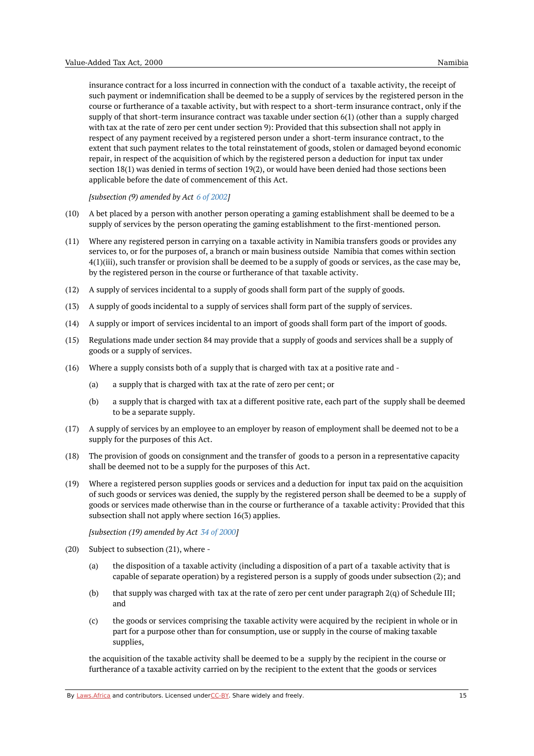insurance contract for a loss incurred in connection with the conduct of a taxable activity, the receipt of such payment or indemnification shall be deemed to be a supply of services by the registered person in the course or furtherance of a taxable activity, but with respect to a short-term insurance contract, only if the supply of that short-term insurance contract was taxable under section 6(1) (other than a supply charged with tax at the rate of zero per cent under section 9): Provided that this subsection shall not apply in respect of any payment received by a registered person under a short-term insurance contract, to the extent that such payment relates to the total reinstatement of goods, stolen or damaged beyond economic repair, in respect of the acquisition of which by the registered person a deduction for input tax under section 18(1) was denied in terms of section 19(2), or would have been denied had those sections been applicable before the date of commencement of this Act.

*[subsection (9) amended by Act 6 of [2002](https://namiblii.org/akn/na/act/2002/6)]*

- (10) A bet placed by a person with another person operating a gaming establishment shall be deemed to be a supply of services by the person operating the gaming establishment to the first-mentioned person.
- (11) Where any registered person in carrying on a taxable activity in Namibia transfers goods or provides any services to, or for the purposes of, a branch or main business outside Namibia that comes within section 4(1)(iii), such transfer or provision shall be deemed to be a supply of goods or services, as the case may be, by the registered person in the course or furtherance of that taxable activity.
- (12) A supply of services incidental to a supply of goods shall form part of the supply of goods.
- (13) A supply of goods incidental to a supply of services shall form part of the supply of services.
- (14) A supply or import of services incidental to an import of goods shall form part of the import of goods.
- (15) Regulations made under section 84 may provide that a supply of goods and services shall be a supply of goods or a supply of services.
- (16) Where a supply consists both of a supply that is charged with tax at a positive rate and
	- (a) a supply that is charged with tax at the rate of zero per cent; or
	- (b) a supply that is charged with tax at a different positive rate, each part of the supply shall be deemed to be a separate supply.
- (17) A supply of services by an employee to an employer by reason of employment shall be deemed not to be a supply for the purposes of this Act.
- (18) The provision of goods on consignment and the transfer of goods to a person in a representative capacity shall be deemed not to be a supply for the purposes of this Act.
- (19) Where a registered person supplies goods or services and a deduction for input tax paid on the acquisition of such goods or services was denied, the supply by the registered person shall be deemed to be a supply of goods or services made otherwise than in the course or furtherance of a taxable activity: Provided that this subsection shall not apply where section 16(3) applies.

*[subsection (19) amended by Act 34 of [2000](https://namiblii.org/akn/na/act/2000/34)]*

- (20) Subject to subsection (21), where
	- (a) the disposition of a taxable activity (including a disposition of a part of a taxable activity that is capable of separate operation) by a registered person is a supply of goods under subsection (2); and
	- (b) that supply was charged with tax at the rate of zero per cent under paragraph 2(q) of Schedule III; and
	- (c) the goods or services comprising the taxable activity were acquired by the recipient in whole or in part for a purpose other than for consumption, use or supply in the course of making taxable supplies,

the acquisition of the taxable activity shall be deemed to be a supply by the recipient in the course or furtherance of a taxable activity carried on by the recipient to the extent that the goods or services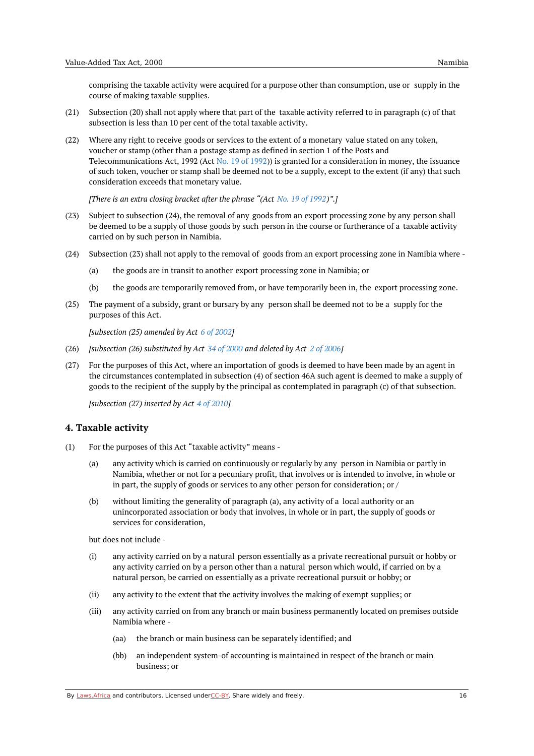comprising the taxable activity were acquired for a purpose other than consumption, use or supply in the course of making taxable supplies.

- (21) Subsection (20) shall not apply where that part of the taxable activity referred to in paragraph (c) of that subsection is less than 10 per cent of the total taxable activity.
- (22) Where any right to receive goods or services to the extent of a monetary value stated on any token, voucher or stamp (other than a postage stamp as defined in section 1 of the Posts and Telecommunications Act, 1992 (Act No. 19 of [1992](https://namiblii.org/akn/na/act/1992/19))) is granted for a consideration in money, the issuance of such token, voucher or stamp shall be deemed not to be a supply, except to the extent (if any) that such consideration exceeds that monetary value.

*[There is an extra closing bracket after the phrase "(Act No. 19 of [1992](https://namiblii.org/akn/na/act/1992/19))".]*

- (23) Subject to subsection (24), the removal of any goods from an export processing zone by any person shall be deemed to be a supply of those goods by such person in the course or furtherance of a taxable activity carried on by such person in Namibia.
- (24) Subsection (23) shall not apply to the removal of goods from an export processing zone in Namibia where -
	- (a) the goods are in transit to another export processing zone in Namibia; or
	- (b) the goods are temporarily removed from, or have temporarily been in, the export processing zone.
- (25) The payment of a subsidy, grant or bursary by any person shall be deemed not to be a supply for the purposes of this Act.

*[subsection (25) amended by Act 6 of [2002](https://namiblii.org/akn/na/act/2002/6)]*

- (26) *[subsection (26) substituted by Act 34 of [2000](https://namiblii.org/akn/na/act/2000/34) and deleted by Act 2 of [2006\]](https://namiblii.org/akn/na/act/2006/2)*
- (27) For the purposes of this Act, where an importation of goods is deemed to have been made by an agent in the circumstances contemplated in subsection (4) of section 46A such agent is deemed to make a supply of goods to the recipient of the supply by the principal as contemplated in paragraph (c) of that subsection.

*[subsection (27) inserted by Act 4 of [2010](https://namiblii.org/akn/na/act/2010/4)]*

#### <span id="page-15-0"></span>**4. Taxable activity**

- (1) For the purposes of this Act "taxable activity" means -
	- (a) any activity which is carried on continuously or regularly by any person in Namibia or partly in Namibia, whether or not for a pecuniary profit, that involves or is intended to involve, in whole or in part, the supply of goods or services to any other person for consideration; or /
	- (b) without limiting the generality of paragraph (a), any activity of a local authority or an unincorporated association or body that involves, in whole or in part, the supply of goods or services for consideration,

but does not include -

- (i) any activity carried on by a natural person essentially as a private recreational pursuit or hobby or any activity carried on by a person other than a natural person which would, if carried on by a natural person, be carried on essentially as a private recreational pursuit or hobby; or
- (ii) any activity to the extent that the activity involves the making of exempt supplies; or
- (iii) any activity carried on from any branch or main business permanently located on premises outside Namibia where -
	- (aa) the branch or main business can be separately identified; and
	- (bb) an independent system-of accounting is maintained in respect of the branch or main business; or

By [Laws.Africa](https://edit.laws.africa/widgets/pdf-attribution) and contributors. Licensed und[erCC-B](https://edit.laws.africa/widgets/pdf-cc-by)Y. Share widely and freely. 16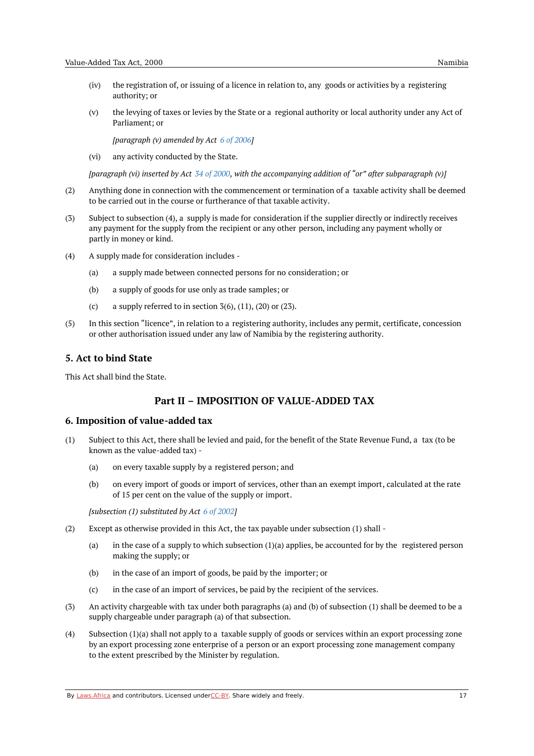- (iv) the registration of, or issuing of a licence in relation to, any goods or activities by a registering authority; or
- (v) the levying of taxes or levies by the State or a regional authority or local authority under any Act of Parliament; or

*[paragraph (v) amended by Act 6 of [2006](https://namiblii.org/akn/na/act/2006/6)]*

(vi) any activity conducted by the State.

[paragraph (vi) inserted by Act 34 of [2000](https://namiblii.org/akn/na/act/2000/34), with the accompanying addition of "or" after subparagraph (v)]

- (2) Anything done in connection with the commencement or termination of a taxable activity shall be deemed to be carried out in the course or furtherance of that taxable activity.
- (3) Subject to subsection (4), a supply is made for consideration if the supplier directly or indirectly receives any payment for the supply from the recipient or any other person, including any payment wholly or partly in money or kind.
- (4) A supply made for consideration includes -
	- (a) a supply made between connected persons for no consideration; or
	- (b) a supply of goods for use only as trade samples; or
	- (c) a supply referred to in section  $3(6)$ ,  $(11)$ ,  $(20)$  or  $(23)$ .
- (5) In this section "licence", in relation to a registering authority, includes any permit, certificate, concession or other authorisation issued under any law of Namibia by the registering authority.

#### <span id="page-16-0"></span>**5. Act to bind State**

<span id="page-16-1"></span>This Act shall bind the State.

# **Part II – IMPOSITION OF VALUE-ADDED TAX**

#### <span id="page-16-2"></span>**6. Imposition of value-added tax**

- (1) Subject to this Act, there shall be levied and paid, for the benefit of the State Revenue Fund, a tax (to be known as the value-added tax) -
	- (a) on every taxable supply by a registered person; and
	- (b) on every import of goods or import of services, other than an exempt import, calculated at the rate of 15 per cent on the value of the supply or import.

*[subsection (1) substituted by Act 6 of [2002](https://namiblii.org/akn/na/act/2002/6)]*

- (2) Except as otherwise provided in this Act, the tax payable under subsection (1) shall -
	- (a) in the case of a supply to which subsection  $(1)(a)$  applies, be accounted for by the registered person making the supply; or
	- (b) in the case of an import of goods, be paid by the importer; or
	- (c) in the case of an import of services, be paid by the recipient of the services.
- (3) An activity chargeable with tax under both paragraphs (a) and (b) of subsection (1) shall be deemed to be a supply chargeable under paragraph (a) of that subsection.
- (4) Subsection (1)(a) shall not apply to a taxable supply of goods or services within an export processing zone by an export processing zone enterprise of a person or an export processing zone management company to the extent prescribed by the Minister by regulation.

By [Laws.Africa](https://edit.laws.africa/widgets/pdf-attribution) and contributors. Licensed und[erCC-B](https://edit.laws.africa/widgets/pdf-cc-by)Y. Share widely and freely. 17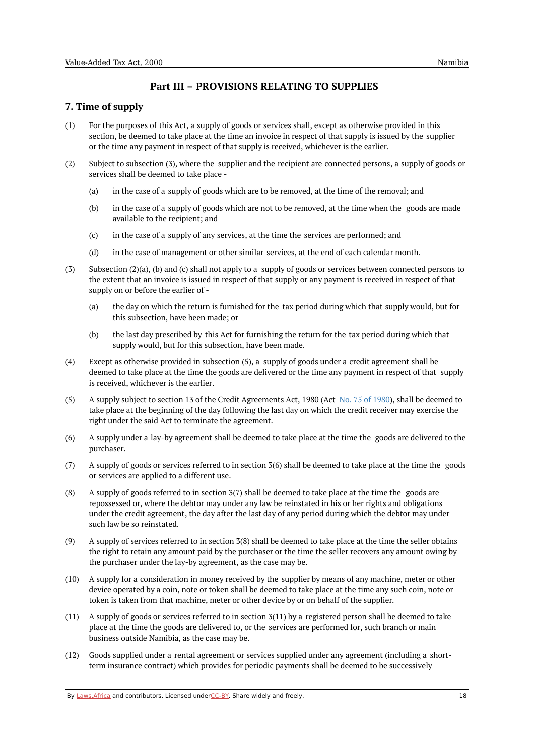# **Part III – PROVISIONS RELATING TO SUPPLIES**

# <span id="page-17-1"></span><span id="page-17-0"></span>**7. Time of supply**

- (1) For the purposes of this Act, a supply of goods or services shall, except as otherwise provided in this section, be deemed to take place at the time an invoice in respect of that supply is issued by the supplier or the time any payment in respect of that supply is received, whichever is the earlier.
- (2) Subject to subsection (3), where the supplier and the recipient are connected persons, a supply of goods or services shall be deemed to take place -
	- (a) in the case of a supply of goods which are to be removed, at the time of the removal; and
	- (b) in the case of a supply of goods which are not to be removed, at the time when the goods are made available to the recipient; and
	- (c) in the case of a supply of any services, at the time the services are performed; and
	- (d) in the case of management or other similar services, at the end of each calendar month.
- (3) Subsection (2)(a), (b) and (c) shall not apply to a supply of goods or services between connected persons to the extent that an invoice is issued in respect of that supply or any payment is received in respect of that supply on or before the earlier of -
	- (a) the day on which the return is furnished for the tax period during which that supply would, but for this subsection, have been made; or
	- (b) the last day prescribed by this Act for furnishing the return for the tax period during which that supply would, but for this subsection, have been made.
- (4) Except as otherwise provided in subsection (5), a supply of goods under a credit agreement shall be deemed to take place at the time the goods are delivered or the time any payment in respect of that supply is received, whichever is the earlier.
- (5) A supply subject to section 13 of the Credit Agreements Act, 1980 (Act No. 75 of [1980](https://namiblii.org/akn/na/act/1980/75)), shall be deemed to take place at the beginning of the day following the last day on which the credit receiver may exercise the right under the said Act to terminate the agreement.
- (6) A supply under a lay-by agreement shall be deemed to take place at the time the goods are delivered to the purchaser.
- (7) A supply of goods or services referred to in section 3(6) shall be deemed to take place at the time the goods or services are applied to a different use.
- (8) A supply of goods referred to in section 3(7) shall be deemed to take place at the time the goods are repossessed or, where the debtor may under any law be reinstated in his or her rights and obligations under the credit agreement, the day after the last day of any period during which the debtor may under such law be so reinstated.
- (9) A supply of services referred to in section 3(8) shall be deemed to take place at the time the seller obtains the right to retain any amount paid by the purchaser or the time the seller recovers any amount owing by the purchaser under the lay-by agreement, as the case may be.
- $(10)$ A supply for a consideration in money received by the supplier by means of any machine, meter or other device operated by a coin, note or token shall be deemed to take place at the time any such coin, note or token is taken from that machine, meter or other device by or on behalf of the supplier.
- (11) A supply of goods or services referred to in section 3(11) by a registered person shall be deemed to take place at the time the goods are delivered to, or the services are performed for, such branch or main business outside Namibia, as the case may be.
- (12) Goods supplied under a rental agreement or services supplied under any agreement (including a shortterm insurance contract) which provides for periodic payments shall be deemed to be successively

By [Laws.Africa](https://edit.laws.africa/widgets/pdf-attribution) and contributors. Licensed und[erCC-B](https://edit.laws.africa/widgets/pdf-cc-by)Y. Share widely and freely. 18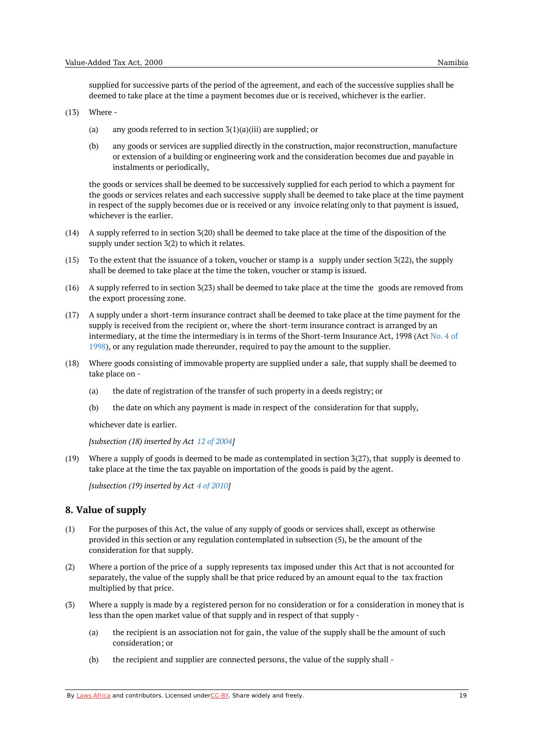supplied for successive parts of the period of the agreement, and each of the successive supplies shall be deemed to take place at the time a payment becomes due or is received, whichever is the earlier.

#### (13) Where -

- (a) any goods referred to in section  $3(1)(a)(iii)$  are supplied; or
- $(h)$ any goods or services are supplied directly in the construction, major reconstruction, manufacture or extension of a building or engineering work and the consideration becomes due and payable in instalments or periodically,

the goods or services shall be deemed to be successively supplied for each period to which a payment for the goods or services relates and each successive supply shall be deemed to take place at the time payment in respect of the supply becomes due or is received or any invoice relating only to that payment is issued, whichever is the earlier.

- (14) A supply referred to in section 3(20) shall be deemed to take place at the time of the disposition of the supply under section 3(2) to which it relates.
- (15) To the extent that the issuance of a token, voucher or stamp is a supply under section 3(22), the supply shall be deemed to take place at the time the token, voucher or stamp is issued.
- (16) A supply referred to in section 3(23) shall be deemed to take place at the time the goods are removed from the export processing zone.
- (17) A supply under a short-term insurance contract shall be deemed to take place at the time payment for the supply is received from the recipient or, where the short-term insurance contract is arranged by an [intermediary,](https://namiblii.org/akn/na/act/1998/4) at the time the intermediary is in terms of the Short-term Insurance Act, 1998 (Act No. 4 of 1998), or any regulation made thereunder, required to pay the amount to the supplier.
- (18) Where goods consisting of immovable property are supplied under a sale, that supply shall be deemed to take place on -
	- (a) the date of registration of the transfer of such property in a deeds registry; or
	- (b) the date on which any payment is made in respect of the consideration for that supply,

whichever date is earlier.

*[subsection (18) inserted by Act 12 of [2004](https://namiblii.org/akn/na/act/2004/12)]*

(19) Where a supply of goods is deemed to be made as contemplated in section 3(27), that supply is deemed to take place at the time the tax payable on importation of the goods is paid by the agent.

*[subsection (19) inserted by Act 4 of [2010](https://namiblii.org/akn/na/act/2010/4)]*

#### <span id="page-18-0"></span>**8. Value of supply**

- (1) For the purposes of this Act, the value of any supply of goods or services shall, except as otherwise provided in this section or any regulation contemplated in subsection (5), be the amount of the consideration for that supply.
- $(2)$ Where a portion of the price of a supply represents tax imposed under this Act that is not accounted for separately, the value of the supply shall be that price reduced by an amount equal to the tax fraction multiplied by that price.
- (3) Where a supply is made by a registered person for no consideration or for a consideration in money that is less than the open market value of that supply and in respect of that supply -
	- (a) the recipient is an association not for gain, the value of the supply shall be the amount of such consideration; or
	- (b) the recipient and supplier are connected persons, the value of the supply shall -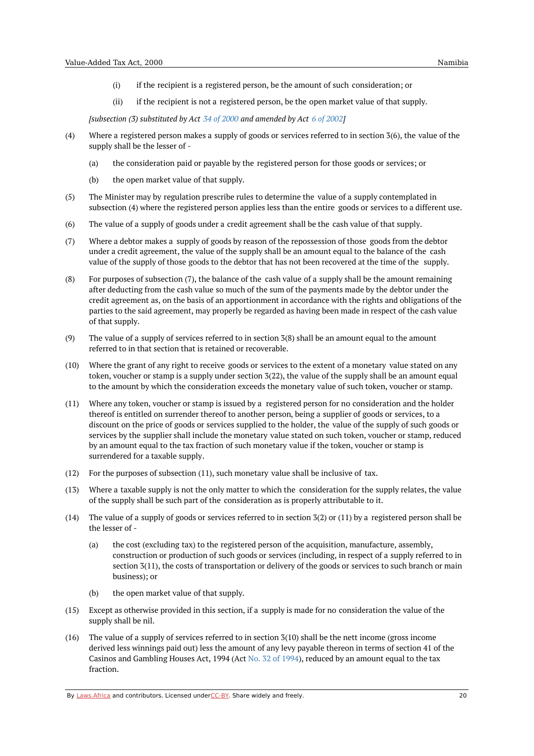- (i) if the recipient is a registered person, be the amount of such consideration; or
- (ii) if the recipient is not a registered person, be the open market value of that supply.

*[subsection (3) substituted by Act 34 of [2000](https://namiblii.org/akn/na/act/2000/34) and amended by Act 6 of [2002](https://namiblii.org/akn/na/act/2002/6)]*

- (4) Where a registered person makes a supply of goods or services referred to in section 3(6), the value of the supply shall be the lesser of -
	- (a) the consideration paid or payable by the registered person for those goods or services; or
	- (b) the open market value of that supply.
- (5) The Minister may by regulation prescribe rules to determine the value of a supply contemplated in subsection (4) where the registered person applies less than the entire goods or services to a different use.
- (6) The value of a supply of goods under a credit agreement shall be the cash value of that supply.
- (7) Where a debtor makes a supply of goods by reason of the repossession of those goods from the debtor under a credit agreement, the value of the supply shall be an amount equal to the balance of the cash value of the supply of those goods to the debtor that has not been recovered at the time of the supply.
- (8) For purposes of subsection (7), the balance of the cash value of a supply shall be the amount remaining after deducting from the cash value so much of the sum of the payments made by the debtor under the credit agreement as, on the basis of an apportionment in accordance with the rights and obligations of the parties to the said agreement, may properly be regarded as having been made in respect of the cash value of that supply.
- (9) The value of a supply of services referred to in section 3(8) shall be an amount equal to the amount referred to in that section that is retained or recoverable.
- (10) Where the grant of any right to receive goods or services to the extent of a monetary value stated on any token, voucher or stamp is a supply under section 3(22), the value of the supply shall be an amount equal to the amount by which the consideration exceeds the monetary value of such token, voucher or stamp.
- (11) Where any token, voucher or stamp is issued by a registered person for no consideration and the holder thereof is entitled on surrender thereof to another person, being a supplier of goods or services, to a discount on the price of goods or services supplied to the holder, the value of the supply of such goods or services by the supplier shall include the monetary value stated on such token, voucher or stamp, reduced by an amount equal to the tax fraction of such monetary value if the token, voucher or stamp is surrendered for a taxable supply.
- (12) For the purposes of subsection (11), such monetary value shall be inclusive of tax.
- $(13)$ Where a taxable supply is not the only matter to which the consideration for the supply relates, the value of the supply shall be such part of the consideration as is properly attributable to it.
- (14) The value of a supply of goods or services referred to in section 3(2) or (11) by a registered person shall be the lesser of -
	- (a) the cost (excluding tax) to the registered person of the acquisition, manufacture, assembly, construction or production of such goods or services (including, in respect of a supply referred to in section 3(11), the costs of transportation or delivery of the goods or services to such branch or main business); or
	- (b) the open market value of that supply.
- (15) Except as otherwise provided in this section, if a supply is made for no consideration the value of the supply shall be nil.
- $(16)$ The value of a supply of services referred to in section 3(10) shall be the nett income (gross income derived less winnings paid out) less the amount of any levy payable thereon in terms of section 41 of the Casinos and Gambling Houses Act, 1994 (Act No. 32 of [1994](https://namiblii.org/akn/na/act/1994/32)), reduced by an amount equal to the tax fraction.

By [Laws.Africa](https://edit.laws.africa/widgets/pdf-attribution) and contributors. Licensed und[erCC-B](https://edit.laws.africa/widgets/pdf-cc-by)Y. Share widely and freely.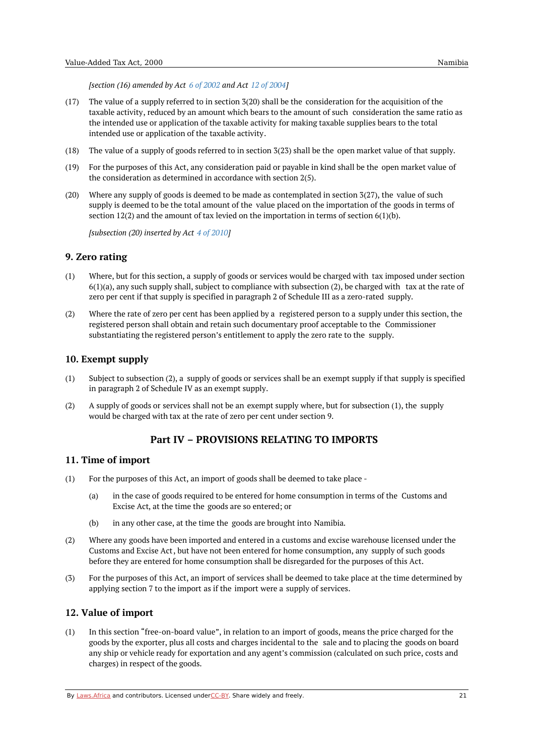*[section (16) amended by Act 6 of [2002](https://namiblii.org/akn/na/act/2002/6) and Act 12 of [2004](https://namiblii.org/akn/na/act/2004/12)]*

- (17) The value of a supply referred to in section 3(20) shall be the consideration for the acquisition of the taxable activity, reduced by an amount which bears to the amount of such consideration the same ratio as the intended use or application of the taxable activity for making taxable supplies bears to the total intended use or application of the taxable activity.
- (18) The value of a supply of goods referred to in section 3(23) shall be the open market value of that supply.
- (19) For the purposes of this Act, any consideration paid or payable in kind shall be the open market value of the consideration as determined in accordance with section 2(5).
- $(20)$ Where any supply of goods is deemed to be made as contemplated in section 3(27), the value of such supply is deemed to be the total amount of the value placed on the importation of the goods in terms of section 12(2) and the amount of tax levied on the importation in terms of section  $6(1)(b)$ .

*[subsection (20) inserted by Act 4 of [2010](https://namiblii.org/akn/na/act/2010/4)]*

#### <span id="page-20-0"></span>**9. Zero rating**

- (1) Where, but for this section, a supply of goods or services would be charged with tax imposed under section 6(1)(a), any such supply shall, subject to compliance with subsection (2), be charged with tax at the rate of zero per cent if that supply is specified in paragraph 2 of Schedule III as a zero-rated supply.
- (2) Where the rate of zero per cent has been applied by a registered person to a supply under this section, the registered person shall obtain and retain such documentary proof acceptable to the Commissioner substantiating the registered person's entitlement to apply the zero rate to the supply.

#### <span id="page-20-1"></span>**10. Exempt supply**

- (1) Subject to subsection (2), a supply of goods or services shall be an exempt supply if that supply is specified in paragraph 2 of Schedule IV as an exempt supply.
- (2) A supply of goods or services shall not be an exempt supply where, but for subsection (1), the supply would be charged with tax at the rate of zero per cent under section 9.

# **Part IV – PROVISIONS RELATING TO IMPORTS**

#### <span id="page-20-3"></span><span id="page-20-2"></span>**11. Time of import**

- (1) For the purposes of this Act, an import of goods shall be deemed to take place -
	- (a) in the case of goods required to be entered for home consumption in terms of the Customs and Excise Act, at the time the goods are so entered; or
	- (b) in any other case, at the time the goods are brought into Namibia.
- (2) Where any goods have been imported and entered in a customs and excise warehouse licensed under the Customs and Excise Act, but have not been entered for home consumption, any supply of such goods before they are entered for home consumption shall be disregarded for the purposes of this Act.
- (3) For the purposes of this Act, an import of services shall be deemed to take place at the time determined by applying section 7 to the import as if the import were a supply of services.

#### <span id="page-20-4"></span>**12. Value of import**

(1) In this section "free-on-board value", in relation to an import of goods, means the price charged for the goods by the exporter, plus all costs and charges incidental to the sale and to placing the goods on board any ship or vehicle ready for exportation and any agent's commission (calculated on such price, costs and charges) in respect of the goods.

By [Laws.Africa](https://edit.laws.africa/widgets/pdf-attribution) and contributors. Licensed und[erCC-B](https://edit.laws.africa/widgets/pdf-cc-by)Y. Share widely and freely. 21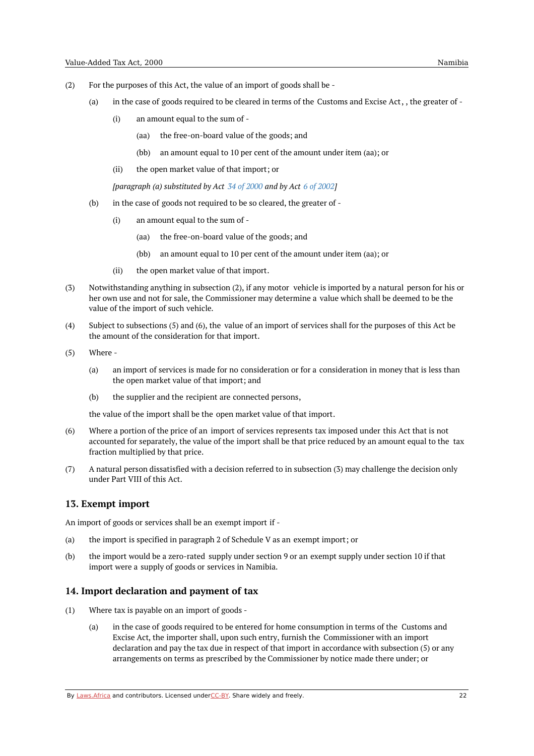- (2) For the purposes of this Act, the value of an import of goods shall be -
	- (a) in the case of goods required to be cleared in terms of the Customs and Excise Act, , the greater of -
		- (i) an amount equal to the sum of -
			- (aa) the free-on-board value of the goods; and
			- (bb) an amount equal to 10 per cent of the amount under item (aa); or
		- (ii) the open market value of that import; or

*[paragraph (a) substituted by Act 34 of [2000](https://namiblii.org/akn/na/act/2000/34) and by Act 6 of [2002](https://namiblii.org/akn/na/act/2002/6)]*

- (b) in the case of goods not required to be so cleared, the greater of -
	- (i) an amount equal to the sum of -
		- (aa) the free-on-board value of the goods; and
		- (bb) an amount equal to 10 per cent of the amount under item (aa); or
	- (ii) the open market value of that import.
- (3) Notwithstanding anything in subsection (2), if any motor vehicle is imported by a natural person for his or her own use and not for sale, the Commissioner may determine a value which shall be deemed to be the value of the import of such vehicle.
- (4) Subject to subsections (5) and (6), the value of an import of services shall for the purposes of this Act be the amount of the consideration for that import.
- (5) Where -
	- (a) an import of services is made for no consideration or for a consideration in money that is less than the open market value of that import; and
	- (b) the supplier and the recipient are connected persons,

the value of the import shall be the open market value of that import.

- (6) Where a portion of the price of an import of services represents tax imposed under this Act that is not accounted for separately, the value of the import shall be that price reduced by an amount equal to the tax fraction multiplied by that price.
- (7) A natural person dissatisfied with a decision referred to in subsection (3) may challenge the decision only under Part VIII of this Act.

#### <span id="page-21-0"></span>**13. Exempt import**

An import of goods or services shall be an exempt import if -

- (a) the import is specified in paragraph 2 of Schedule V as an exempt import; or
- (b) the import would be a zero-rated supply under section 9 or an exempt supply under section 10 if that import were a supply of goods or services in Namibia.

#### <span id="page-21-1"></span>**14. Import declaration and payment of tax**

- (1) Where tax is payable on an import of goods -
	- (a) in the case of goods required to be entered for home consumption in terms of the Customs and Excise Act, the importer shall, upon such entry, furnish the Commissioner with an import declaration and pay the tax due in respect of that import in accordance with subsection (5) or any arrangements on terms as prescribed by the Commissioner by notice made there under; or

By [Laws.Africa](https://edit.laws.africa/widgets/pdf-attribution) and contributors. Licensed und[erCC-B](https://edit.laws.africa/widgets/pdf-cc-by)Y. Share widely and freely.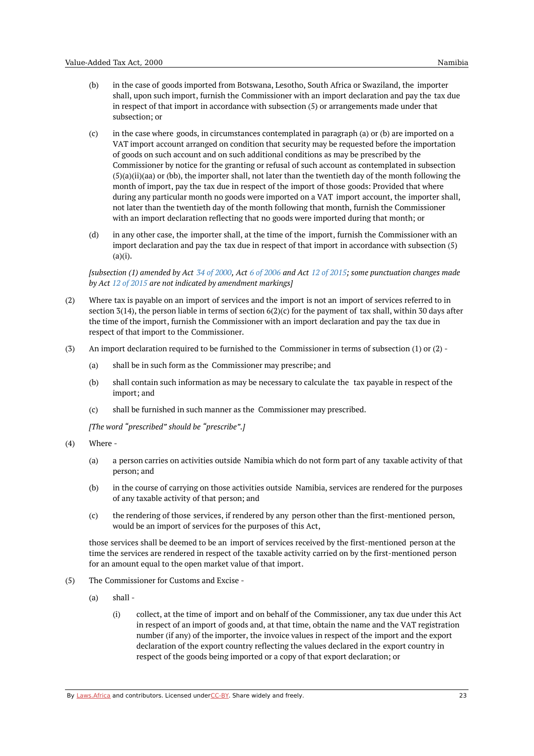- (b) in the case of goods imported from Botswana, Lesotho, South Africa or Swaziland, the importer shall, upon such import, furnish the Commissioner with an import declaration and pay the tax due in respect of that import in accordance with subsection (5) or arrangements made under that subsection; or
- (c) in the case where goods, in circumstances contemplated in paragraph (a) or (b) are imported on a VAT import account arranged on condition that security may be requested before the importation of goods on such account and on such additional conditions as may be prescribed by the Commissioner by notice for the granting or refusal of such account as contemplated in subsection (5)(a)(ii)(aa) or (bb), the importer shall, not later than the twentieth day of the month following the month of import, pay the tax due in respect of the import of those goods: Provided that where during any particular month no goods were imported on a VAT import account, the importer shall, not later than the twentieth day of the month following that month, furnish the Commissioner with an import declaration reflecting that no goods were imported during that month; or
- (d) in any other case, the importer shall, at the time of the import, furnish the Commissioner with an import declaration and pay the tax due in respect of that import in accordance with subsection (5)  $(a)(i)$ .

Isubsection (1) amended by Act 34 of [2000](https://namiblii.org/akn/na/act/2000/34). Act 6 of [2006](https://namiblii.org/akn/na/act/2006/6) and Act 12 of [2015](https://namiblii.org/akn/na/act/2015/12); some punctuation changes made *by Act 12 of [2015](https://namiblii.org/akn/na/act/2015/12) are not indicated by amendment markings]*

- (2) Where tax is payable on an import of services and the import is not an import of services referred to in section 3(14), the person liable in terms of section 6(2)(c) for the payment of tax shall, within 30 days after the time of the import, furnish the Commissioner with an import declaration and pay the tax due in respect of that import to the Commissioner.
- (3) An import declaration required to be furnished to the Commissioner in terms of subsection (1) or (2) -
	- (a) shall be in such form as the Commissioner may prescribe; and
	- (b) shall contain such information as may be necessary to calculate the tax payable in respect of the import; and
	- (c) shall be furnished in such manner as the Commissioner may prescribed.

*[The word "prescribed" should be "prescribe".]*

- (4) Where -
	- (a) a person carries on activities outside Namibia which do not form part of any taxable activity of that person; and
	- (b) in the course of carrying on those activities outside Namibia, services are rendered for the purposes of any taxable activity of that person; and
	- (c) the rendering of those services, if rendered by any person other than the first-mentioned person, would be an import of services for the purposes of this Act,

those services shall be deemed to be an import of services received by the first-mentioned person at the time the services are rendered in respect of the taxable activity carried on by the first-mentioned person for an amount equal to the open market value of that import.

- (5) The Commissioner for Customs and Excise -
	- (a) shall -
		- (i) collect, at the time of import and on behalf of the Commissioner, any tax due under this Act in respect of an import of goods and, at that time, obtain the name and the VAT registration number (if any) of the importer, the invoice values in respect of the import and the export declaration of the export country reflecting the values declared in the export country in respect of the goods being imported or a copy of that export declaration; or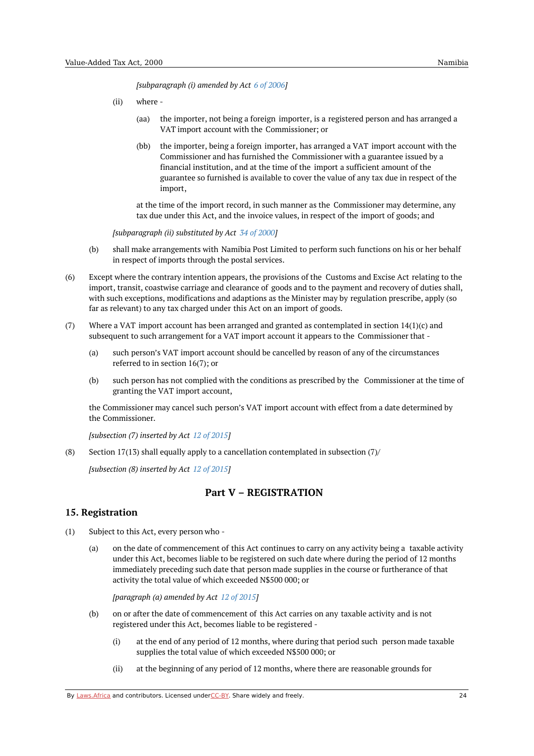*[subparagraph (i) amended by Act 6 of [2006](https://namiblii.org/akn/na/act/2006/6)]*

- (ii) where -
	- (aa) the importer, not being a foreign importer, is a registered person and has arranged a VAT import account with the Commissioner; or
	- $(hh)$ the importer, being a foreign importer, has arranged a VAT import account with the Commissioner and has furnished the Commissioner with a guarantee issued by a financial institution, and at the time of the import a sufficient amount of the guarantee so furnished is available to cover the value of any tax due in respect of the import,

at the time of the import record, in such manner as the Commissioner may determine, any tax due under this Act, and the invoice values, in respect of the import of goods; and

*[subparagraph (ii) substituted by Act 34 of [2000](https://namiblii.org/akn/na/act/2000/34)]*

- (b) shall make arrangements with Namibia Post Limited to perform such functions on his or her behalf in respect of imports through the postal services.
- (6) Except where the contrary intention appears, the provisions of the Customs and Excise Act relating to the import, transit, coastwise carriage and clearance of goods and to the payment and recovery of duties shall, with such exceptions, modifications and adaptions as the Minister may by regulation prescribe, apply (so far as relevant) to any tax charged under this Act on an import of goods.
- (7) Where a VAT import account has been arranged and granted as contemplated in section  $14(1)(c)$  and subsequent to such arrangement for a VAT import account it appears to the Commissioner that -
	- (a) such person's VAT import account should be cancelled by reason of any of the circumstances referred to in section 16(7); or
	- (b) such person has not complied with the conditions as prescribed by the Commissioner at the time of granting the VAT import account,

the Commissioner may cancel such person's VAT import account with effect from a date determined by the Commissioner.

*[subsection (7) inserted by Act 12 of [2015](https://namiblii.org/akn/na/act/2015/12)]*

(8) Section 17(13) shall equally apply to a cancellation contemplated in subsection (7)/

*[subsection (8) inserted by Act 12 of [2015](https://namiblii.org/akn/na/act/2015/12)]*

# **Part V – REGISTRATION**

#### <span id="page-23-1"></span><span id="page-23-0"></span>**15. Registration**

- (1) Subject to this Act, every person who -
	- (a) on the date of commencement of this Act continues to carry on any activity being a taxable activity under this Act, becomes liable to be registered on such date where during the period of 12 months immediately preceding such date that person made supplies in the course or furtherance of that activity the total value of which exceeded N\$500 000; or

*[paragraph (a) amended by Act 12 of [2015](https://namiblii.org/akn/na/act/2015/12)]*

- (b) on or after the date of commencement of this Act carries on any taxable activity and is not registered under this Act, becomes liable to be registered -
	- (i) at the end of any period of 12 months, where during that period such person made taxable supplies the total value of which exceeded N\$500 000; or
	- (ii) at the beginning of any period of 12 months, where there are reasonable grounds for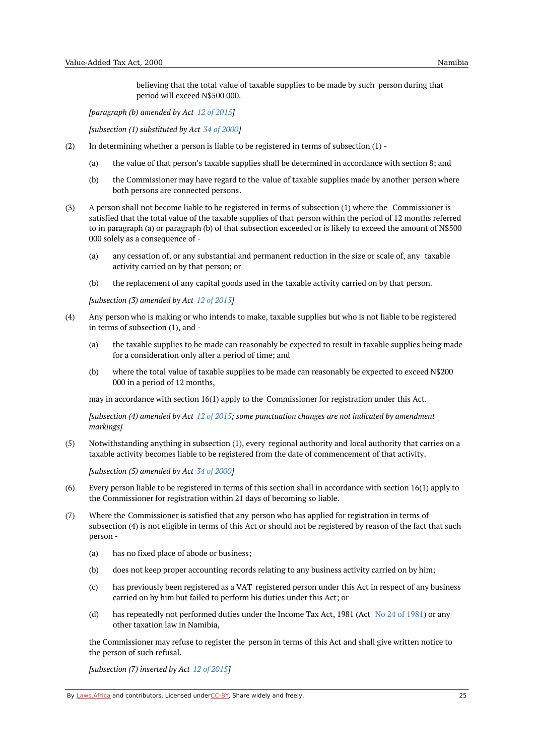believing that the total value of taxable supplies to be made by such person during that period will exceed N\$500 000.

*[paragraph (b) amended by Act 12 of [2015](https://namiblii.org/akn/na/act/2015/12)]*

*[subsection (1) substituted by Act 34 of [2000\]](https://namiblii.org/akn/na/act/2000/34)*

- (2) In determining whether a person is liable to be registered in terms of subsection (1) -
	- (a) the value of that person's taxable supplies shall be determined in accordance with section 8; and
	- (b) the Commissioner may have regard to the value of taxable supplies made by another person where both persons are connected persons.
- (3) A person shall not become liable to be registered in terms of subsection (1) where the Commissioner is satisfied that the total value of the taxable supplies of that person within the period of 12 months referred to in paragraph (a) or paragraph (b) of that subsection exceeded or is likely to exceed the amount of N\$500 000 solely as a consequence of -
	- (a) any cessation of, or any substantial and permanent reduction in the size or scale of, any taxable activity carried on by that person; or
	- (b) the replacement of any capital goods used in the taxable activity carried on by that person.

*[subsection (3) amended by Act 12 of [2015](https://namiblii.org/akn/na/act/2015/12)]*

- (4) Any person who is making or who intends to make, taxable supplies but who is not liable to be registered in terms of subsection (1), and -
	- (a) the taxable supplies to be made can reasonably be expected to result in taxable supplies being made for a consideration only after a period of time; and
	- (b) where the total value of taxable supplies to be made can reasonably be expected to exceed N\$200 000 in a period of 12 months,

may in accordance with section 16(1) apply to the Commissioner for registration under this Act.

*[subsection (4) amended by Act 12 of [2015](https://namiblii.org/akn/na/act/2015/12); some punctuation changes are not indicated by amendment markings]*

(5) Notwithstanding anything in subsection (1), every regional authority and local authority that carries on a taxable activity becomes liable to be registered from the date of commencement of that activity.

*[subsection (5) amended by Act 34 of [2000](https://namiblii.org/akn/na/act/2000/34)]*

- $(6)$ Every person liable to be registered in terms of this section shall in accordance with section 16(1) apply to the Commissioner for registration within 21 days of becoming so liable.
- (7) Where the Commissioner is satisfied that any person who has applied for registration in terms of subsection (4) is not eligible in terms of this Act or should not be registered by reason of the fact that such person -
	- (a) has no fixed place of abode or business;
	- (b) does not keep proper accounting records relating to any business activity carried on by him;
	- (c) has previously been registered as a VAT registered person under this Act in respect of any business carried on by him but failed to perform his duties under this Act; or
	- (d) has repeatedly not performed duties under the Income Tax Act, [1981](https://namiblii.org/akn/na/act/1981/24) (Act No 24 of 1981) or any other taxation law in Namibia,

the Commissioner may refuse to register the person in terms of this Act and shall give written notice to the person of such refusal.

*[subsection (7) inserted by Act 12 of [2015](https://namiblii.org/akn/na/act/2015/12)]*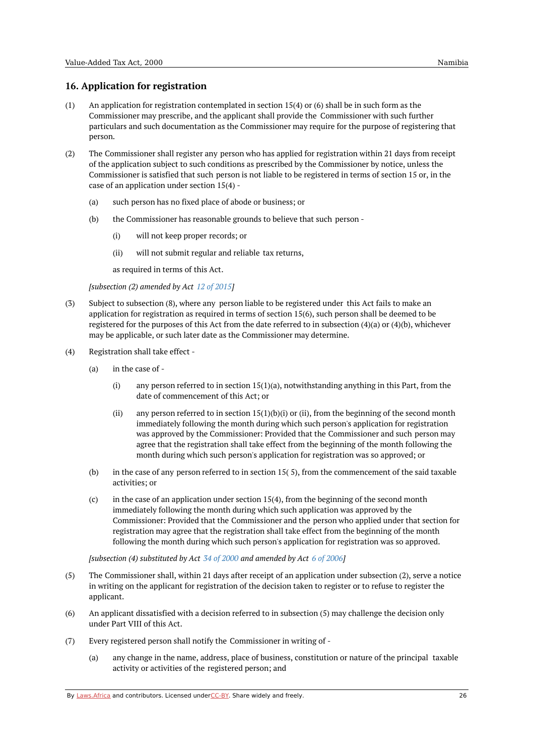# <span id="page-25-0"></span>**16. Application for registration**

- (1) An application for registration contemplated in section 15(4) or (6) shall be in such form as the Commissioner may prescribe, and the applicant shall provide the Commissioner with such further particulars and such documentation as the Commissioner may require for the purpose of registering that person.
- (2) The Commissioner shall register any person who has applied for registration within 21 days from receipt of the application subject to such conditions as prescribed by the Commissioner by notice, unless the Commissioner is satisfied that such person is not liable to be registered in terms of section 15 or, in the case of an application under section 15(4) -
	- (a) such person has no fixed place of abode or business; or
	- (b) the Commissioner has reasonable grounds to believe that such person -
		- (i) will not keep proper records; or
		- (ii) will not submit regular and reliable tax returns,

as required in terms of this Act.

*[subsection (2) amended by Act 12 of [2015](https://namiblii.org/akn/na/act/2015/12)]*

- (3) Subject to subsection (8), where any person liable to be registered under this Act fails to make an application for registration as required in terms of section 15(6), such person shall be deemed to be registered for the purposes of this Act from the date referred to in subsection (4)(a) or (4)(b), whichever may be applicable, or such later date as the Commissioner may determine.
- (4) Registration shall take effect -
	- (a) in the case of -
		- (i) any person referred to in section  $15(1)(a)$ , notwithstanding anything in this Part, from the date of commencement of this Act; or
		- (ii) any person referred to in section  $15(1)(b)(i)$  or (ii), from the beginning of the second month immediately following the month during which such person's application for registration was approved by the Commissioner: Provided that the Commissioner and such person may agree that the registration shall take effect from the beginning of the month following the month during which such person's application for registration was so approved; or
	- (b) in the case of any person referred to in section 15( 5), from the commencement of the said taxable activities; or
	- (c) in the case of an application under section 15(4), from the beginning of the second month immediately following the month during which such application was approved by the Commissioner: Provided that the Commissioner and the person who applied under that section for registration may agree that the registration shall take effect from the beginning of the month following the month during which such person's application for registration was so approved.

*[subsection (4) substituted by Act 34 of [2000](https://namiblii.org/akn/na/act/2000/34) and amended by Act 6 of [2006](https://namiblii.org/akn/na/act/2006/6)]*

- (5) The Commissioner shall, within 21 days after receipt of an application under subsection (2), serve a notice in writing on the applicant for registration of the decision taken to register or to refuse to register the applicant.
- (6) An applicant dissatisfied with a decision referred to in subsection (5) may challenge the decision only under Part VIII of this Act.
- (7) Every registered person shall notify the Commissioner in writing of -
	- (a) any change in the name, address, place of business, constitution or nature of the principal taxable activity or activities of the registered person; and

By [Laws.Africa](https://edit.laws.africa/widgets/pdf-attribution) and contributors. Licensed und[erCC-B](https://edit.laws.africa/widgets/pdf-cc-by)Y. Share widely and freely.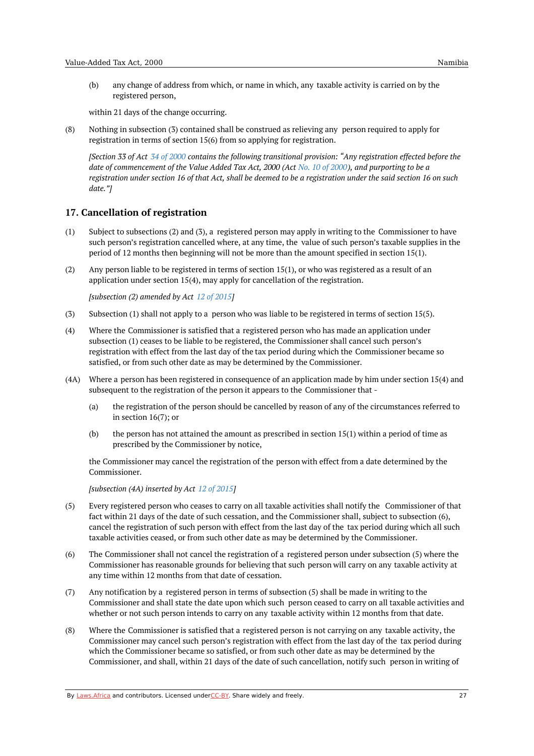(b) any change of address from which, or name in which, any taxable activity is carried on by the registered person,

within 21 days of the change occurring.

(8) Nothing in subsection (3) contained shall be construed as relieving any person required to apply for registration in terms of section 15(6) from so applying for registration.

[Section 33 of Act 34 of [2000](https://namiblii.org/akn/na/act/2000/34) contains the following transitional provision: "Any registration effected before the date of commencement of the Value Added Tax Act, [2000](https://namiblii.org/akn/na/act/2000/10) (Act No. 10 of 2000), and purporting to be a registration under section 16 of that Act, shall be deemed to be a registration under the said section 16 on such *date."]*

# <span id="page-26-0"></span>**17. Cancellation of registration**

- (1) Subject to subsections (2) and (3), a registered person may apply in writing to the Commissioner to have such person's registration cancelled where, at any time, the value of such person's taxable supplies in the period of 12 months then beginning will not be more than the amount specified in section 15(1).
- (2) Any person liable to be registered in terms of section 15(1), or who was registered as a result of an application under section 15(4), may apply for cancellation of the registration.

*[subsection (2) amended by Act 12 of [2015](https://namiblii.org/akn/na/act/2015/12)]*

- (3) Subsection (1) shall not apply to a person who was liable to be registered in terms of section 15(5).
- (4) Where the Commissioner is satisfied that a registered person who has made an application under subsection (1) ceases to be liable to be registered, the Commissioner shall cancel such person's registration with effect from the last day of the tax period during which the Commissioner became so satisfied, or from such other date as may be determined by the Commissioner.
- (4A) Where a person has been registered in consequence of an application made by him under section 15(4) and subsequent to the registration of the person it appears to the Commissioner that -
	- (a) the registration of the person should be cancelled by reason of any of the circumstances referred to in section 16(7); or
	- (b) the person has not attained the amount as prescribed in section 15(1) within a period of time as prescribed by the Commissioner by notice,

the Commissioner may cancel the registration of the person with effect from a date determined by the Commissioner.

*[subsection (4A) inserted by Act 12 of [2015](https://namiblii.org/akn/na/act/2015/12)]*

- (5) Every registered person who ceases to carry on all taxable activities shall notify the Commissioner of that fact within 21 days of the date of such cessation, and the Commissioner shall, subject to subsection (6), cancel the registration of such person with effect from the last day of the tax period during which all such taxable activities ceased, or from such other date as may be determined by the Commissioner.
- (6) The Commissioner shall not cancel the registration of a registered person under subsection (5) where the Commissioner has reasonable grounds for believing that such person will carry on any taxable activity at any time within 12 months from that date of cessation.
- (7) Any notification by a registered person in terms of subsection (5) shall be made in writing to the Commissioner and shall state the date upon which such person ceased to carry on all taxable activities and whether or not such person intends to carry on any taxable activity within 12 months from that date.
- (8) Where the Commissioner is satisfied that a registered person is not carrying on any taxable activity, the Commissioner may cancel such person's registration with effect from the last day of the tax period during which the Commissioner became so satisfied, or from such other date as may be determined by the Commissioner, and shall, within 21 days of the date of such cancellation, notify such person in writing of

By [Laws.Africa](https://edit.laws.africa/widgets/pdf-attribution) and contributors. Licensed und[erCC-B](https://edit.laws.africa/widgets/pdf-cc-by)Y. Share widely and freely. 27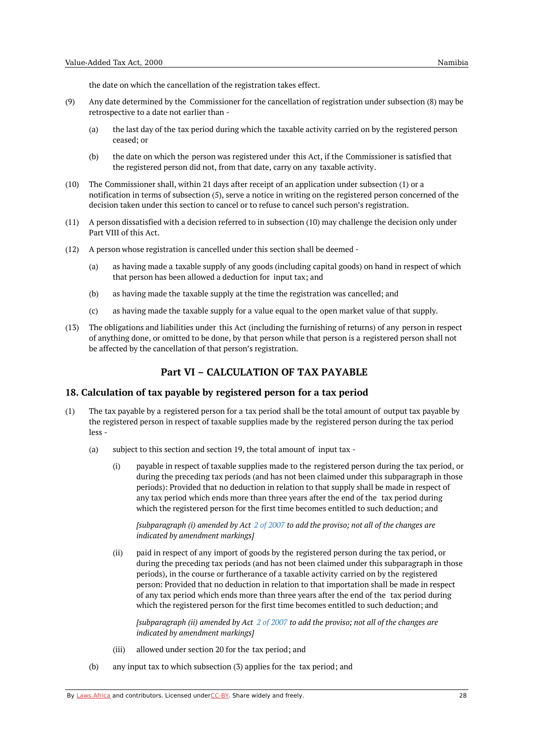the date on which the cancellation of the registration takes effect.

- (9) Any date determined by the Commissioner for the cancellation of registration under subsection (8) may be retrospective to a date not earlier than -
	- (a) the last day of the tax period during which the taxable activity carried on by the registered person ceased; or
	- $(h)$ the date on which the person was registered under this Act, if the Commissioner is satisfied that the registered person did not, from that date, carry on any taxable activity.
- $(10)$ The Commissioner shall, within 21 days after receipt of an application under subsection (1) or a notification in terms of subsection (5), serve a notice in writing on the registered person concerned of the decision taken under this section to cancel or to refuse to cancel such person's registration.
- (11) A person dissatisfied with a decision referred to in subsection (10) may challenge the decision only under Part VIII of this Act.
- (12) A person whose registration is cancelled under this section shall be deemed
	- (a) as having made a taxable supply of any goods (including capital goods) on hand in respect of which that person has been allowed a deduction for input tax; and
	- (b) as having made the taxable supply at the time the registration was cancelled; and
	- (c) as having made the taxable supply for a value equal to the open market value of that supply.
- (13) The obligations and liabilities under this Act (including the furnishing of returns) of any person in respect of anything done, or omitted to be done, by that person while that person is a registered person shall not be affected by the cancellation of that person's registration.

# **Part VI – CALCULATION OF TAX PAYABLE**

#### <span id="page-27-1"></span><span id="page-27-0"></span>**18. Calculation of tax payable by registered person for a tax period**

- $(1)$ The tax payable by a registered person for a tax period shall be the total amount of output tax payable by the registered person in respect of taxable supplies made by the registered person during the tax period less -
	- (a) subject to this section and section 19, the total amount of input tax -
		- (i) payable in respect of taxable supplies made to the registered person during the tax period, or during the preceding tax periods (and has not been claimed under this subparagraph in those periods): Provided that no deduction in relation to that supply shall be made in respect of any tax period which ends more than three years after the end of the tax period during which the registered person for the first time becomes entitled to such deduction; and

*[subparagraph (i) amended by Act 2 of [2007](https://namiblii.org/akn/na/act/2007/2) to add the proviso; not all of the changes are indicated by amendment markings]*

 $(ii)$ paid in respect of any import of goods by the registered person during the tax period, or during the preceding tax periods (and has not been claimed under this subparagraph in those periods), in the course or furtherance of a taxable activity carried on by the registered person: Provided that no deduction in relation to that importation shall be made in respect of any tax period which ends more than three years after the end of the tax period during which the registered person for the first time becomes entitled to such deduction; and

*[subparagraph (ii) amended by Act 2 of [2007](https://namiblii.org/akn/na/act/2007/2) to add the proviso; not all of the changes are indicated by amendment markings]*

- (iii) allowed under section 20 for the tax period; and
- (b) any input tax to which subsection (3) applies for the tax period; and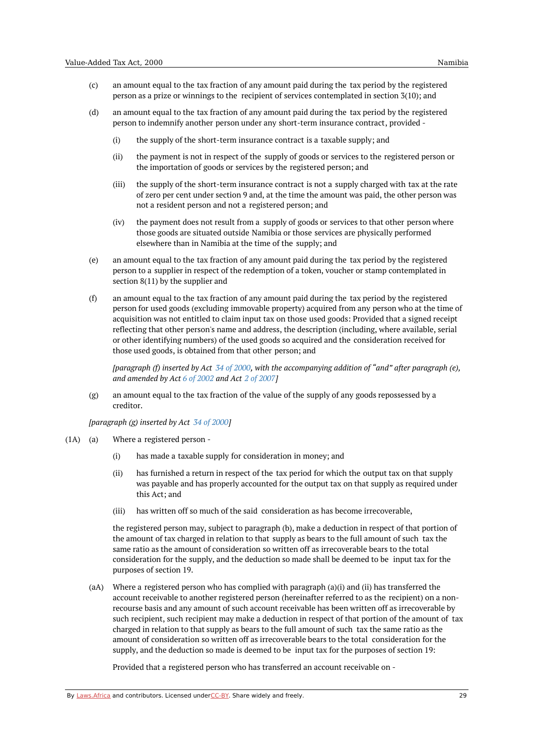- (c) an amount equal to the tax fraction of any amount paid during the tax period by the registered person as a prize or winnings to the recipient of services contemplated in section 3(10); and
- (d) an amount equal to the tax fraction of any amount paid during the tax period by the registered person to indemnify another person under any short-term insurance contract, provided -
	- (i) the supply of the short-term insurance contract is a taxable supply; and
	- (ii) the payment is not in respect of the supply of goods or services to the registered person or the importation of goods or services by the registered person; and
	- (iii) the supply of the short-term insurance contract is not a supply charged with tax at the rate of zero per cent under section 9 and, at the time the amount was paid, the other person was not a resident person and not a registered person; and
	- (iv) the payment does not result from a supply of goods or services to that other person where those goods are situated outside Namibia or those services are physically performed elsewhere than in Namibia at the time of the supply; and
- (e) an amount equal to the tax fraction of any amount paid during the tax period by the registered person to a supplier in respect of the redemption of a token, voucher or stamp contemplated in section 8(11) by the supplier and
- (f) an amount equal to the tax fraction of any amount paid during the tax period by the registered person for used goods (excluding immovable property) acquired from any person who at the time of acquisition was not entitled to claim input tax on those used goods: Provided that a signed receipt reflecting that other person's name and address, the description (including, where available, serial or other identifying numbers) of the used goods so acquired and the consideration received for those used goods, is obtained from that other person; and

[paragraph (f) inserted by Act 34 of [2000](https://namiblii.org/akn/na/act/2000/34), with the accompanying addition of "and" after paragraph (e), *and amended by Act 6 of [2002](https://namiblii.org/akn/na/act/2002/6) and Act 2 of [2007](https://namiblii.org/akn/na/act/2007/2)]*

(g) an amount equal to the tax fraction of the value of the supply of any goods repossessed by a creditor.

*[paragraph (g) inserted by Act 34 of [2000](https://namiblii.org/akn/na/act/2000/34)]*

- $(1A)$   $(a)$ Where a registered person -
	- (i) has made a taxable supply for consideration in money; and
	- (ii) has furnished a return in respect of the tax period for which the output tax on that supply was payable and has properly accounted for the output tax on that supply as required under this Act; and
	- (iii) has written off so much of the said consideration as has become irrecoverable,

the registered person may, subject to paragraph (b), make a deduction in respect of that portion of the amount of tax charged in relation to that supply as bears to the full amount of such tax the same ratio as the amount of consideration so written off as irrecoverable bears to the total consideration for the supply, and the deduction so made shall be deemed to be input tax for the purposes of section 19.

(aA) Where a registered person who has complied with paragraph (a)(i) and (ii) has transferred the account receivable to another registered person (hereinafter referred to as the recipient) on a nonrecourse basis and any amount of such account receivable has been written off as irrecoverable by such recipient, such recipient may make a deduction in respect of that portion of the amount of tax charged in relation to that supply as bears to the full amount of such tax the same ratio as the amount of consideration so written off as irrecoverable bears to the total consideration for the supply, and the deduction so made is deemed to be input tax for the purposes of section 19:

Provided that a registered person who has transferred an account receivable on -

By [Laws.Africa](https://edit.laws.africa/widgets/pdf-attribution) and contributors. Licensed und[erCC-B](https://edit.laws.africa/widgets/pdf-cc-by)Y. Share widely and freely.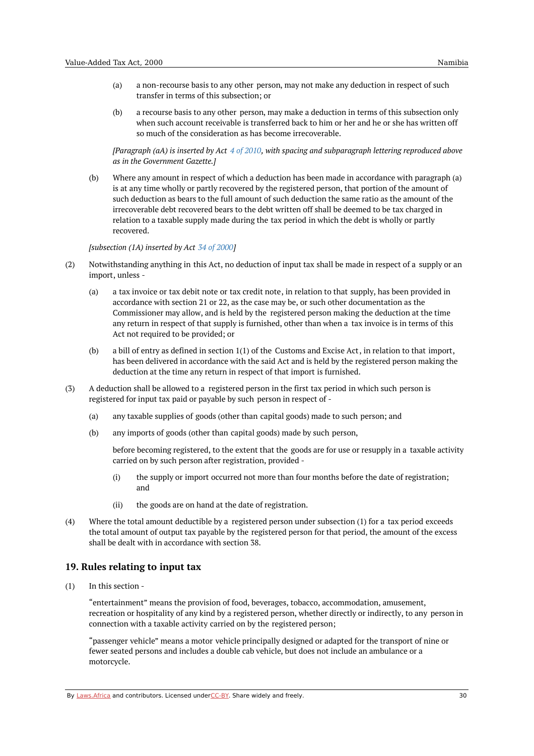- (a) a non-recourse basis to any other person, may not make any deduction in respect of such transfer in terms of this subsection; or
- (b) a recourse basis to any other person, may make a deduction in terms of this subsection only when such account receivable is transferred back to him or her and he or she has written off so much of the consideration as has become irrecoverable.

*[Paragraph (aA) is inserted by Act 4 of [2010](https://namiblii.org/akn/na/act/2010/4), with spacing and subparagraph lettering reproduced above as in the Government Gazette.]*

(b) Where any amount in respect of which a deduction has been made in accordance with paragraph (a) is at any time wholly or partly recovered by the registered person, that portion of the amount of such deduction as bears to the full amount of such deduction the same ratio as the amount of the irrecoverable debt recovered bears to the debt written off shall be deemed to be tax charged in relation to a taxable supply made during the tax period in which the debt is wholly or partly recovered.

#### *[subsection (1A) inserted by Act 34 of [2000](https://namiblii.org/akn/na/act/2000/34)]*

- (2) Notwithstanding anything in this Act, no deduction of input tax shall be made in respect of a supply or an import, unless -
	- (a) a tax invoice or tax debit note or tax credit note, in relation to that supply, has been provided in accordance with section 21 or 22, as the case may be, or such other documentation as the Commissioner may allow, and is held by the registered person making the deduction at the time any return in respect of that supply is furnished, other than when a tax invoice is in terms of this Act not required to be provided; or
	- $(h)$ a bill of entry as defined in section 1(1) of the Customs and Excise Act, in relation to that import, has been delivered in accordance with the said Act and is held by the registered person making the deduction at the time any return in respect of that import is furnished.
- (3) A deduction shall be allowed to a registered person in the first tax period in which such person is registered for input tax paid or payable by such person in respect of -
	- (a) any taxable supplies of goods (other than capital goods) made to such person; and
	- (b) any imports of goods (other than capital goods) made by such person,

before becoming registered, to the extent that the goods are for use or resupply in a taxable activity carried on by such person after registration, provided -

- (i) the supply or import occurred not more than four months before the date of registration; and
- (ii) the goods are on hand at the date of registration.
- (4) Where the total amount deductible by a registered person under subsection (1) for a tax period exceeds the total amount of output tax payable by the registered person for that period, the amount of the excess shall be dealt with in accordance with section 38.

#### <span id="page-29-0"></span>**19. Rules relating to input tax**

(1) In this section -

> "entertainment" means the provision of food, beverages, tobacco, accommodation, amusement, recreation or hospitality of any kind by a registered person, whether directly or indirectly, to any person in connection with a taxable activity carried on by the registered person;

"passenger vehicle" means a motor vehicle principally designed or adapted for the transport of nine or fewer seated persons and includes a double cab vehicle, but does not include an ambulance or a motorcycle.

By [Laws.Africa](https://edit.laws.africa/widgets/pdf-attribution) and contributors. Licensed und[erCC-B](https://edit.laws.africa/widgets/pdf-cc-by)Y. Share widely and freely. 30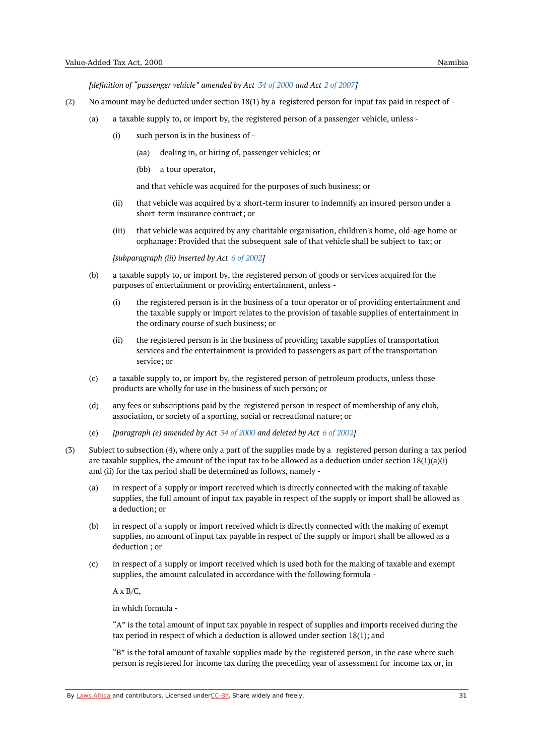*[definition of "passenger vehicle" amended by Act 34 of [2000](https://namiblii.org/akn/na/act/2000/34) and Act 2 of [2007](https://namiblii.org/akn/na/act/2007/2)]*

- (2) No amount may be deducted under section 18(1) by a registered person for input tax paid in respect of -
	- (a) a taxable supply to, or import by, the registered person of a passenger vehicle, unless -
		- (i) such person is in the business of -
			- (aa) dealing in, or hiring of, passenger vehicles; or
			- (bb) a tour operator,

and that vehicle was acquired for the purposes of such business; or

- (ii) that vehicle was acquired by a short-term insurer to indemnify an insured person under a short-term insurance contract; or
- (iii) that vehicle was acquired by any charitable organisation, children's home, old-age home or orphanage: Provided that the subsequent sale of that vehicle shall be subject to tax; or

*[subparagraph (iii) inserted by Act 6 of [2002](https://namiblii.org/akn/na/act/2002/6)]*

- (b) a taxable supply to, or import by, the registered person of goods or services acquired for the purposes of entertainment or providing entertainment, unless -
	- (i) the registered person is in the business of a tour operator or of providing entertainment and the taxable supply or import relates to the provision of taxable supplies of entertainment in the ordinary course of such business; or
	- (ii) the registered person is in the business of providing taxable supplies of transportation services and the entertainment is provided to passengers as part of the transportation service; or
- (c) a taxable supply to, or import by, the registered person of petroleum products, unless those products are wholly for use in the business of such person; or
- (d) any fees or subscriptions paid by the registered person in respect of membership of any club, association, or society of a sporting, social or recreational nature; or
- (e) *[paragraph (e) amended by Act 34 of [2000](https://namiblii.org/akn/na/act/2000/34) and deleted by Act 6 of [2002\]](https://namiblii.org/akn/na/act/2002/6)*
- (3) Subject to subsection (4), where only a part of the supplies made by a registered person during a tax period are taxable supplies, the amount of the input tax to be allowed as a deduction under section  $18(1)(a)(i)$ and (ii) for the tax period shall be determined as follows, namely -
	- (a) in respect of a supply or import received which is directly connected with the making of taxable supplies, the full amount of input tax payable in respect of the supply or import shall be allowed as a deduction; or
	- (b) in respect of a supply or import received which is directly connected with the making of exempt supplies, no amount of input tax payable in respect of the supply or import shall be allowed as a deduction ; or
	- $(c)$ in respect of a supply or import received which is used both for the making of taxable and exempt supplies, the amount calculated in accordance with the following formula -

 $A \times B/C$ .

in which formula -

"A" is the total amount of input tax payable in respect of supplies and imports received during the tax period in respect of which a deduction is allowed under section 18(1); and

"B" is the total amount of taxable supplies made by the registered person, in the case where such person is registered for income tax during the preceding year of assessment for income tax or, in

By [Laws.Africa](https://edit.laws.africa/widgets/pdf-attribution) and contributors. Licensed und[erCC-B](https://edit.laws.africa/widgets/pdf-cc-by)Y. Share widely and freely. 31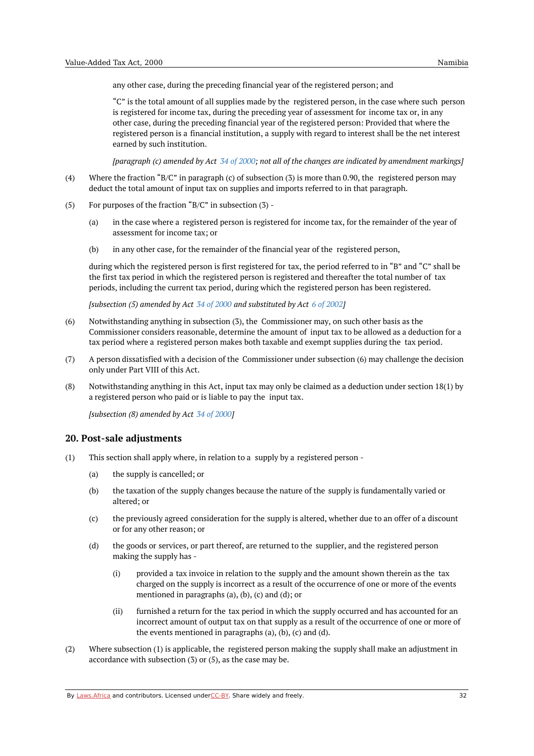any other case, during the preceding financial year of the registered person; and

"C" is the total amount of all supplies made by the registered person, in the case where such person is registered for income tax, during the preceding year of assessment for income tax or, in any other case, during the preceding financial year of the registered person: Provided that where the registered person is a financial institution, a supply with regard to interest shall be the net interest earned by such institution.

[paragraph (c) amended by Act 34 of [2000](https://namiblii.org/akn/na/act/2000/34); not all of the changes are indicated by amendment markings]

- (4) Where the fraction "B/C" in paragraph (c) of subsection (3) is more than 0.90, the registered person may deduct the total amount of input tax on supplies and imports referred to in that paragraph.
- (5) For purposes of the fraction "B/C" in subsection (3) -
	- (a) in the case where a registered person is registered for income tax, for the remainder of the year of assessment for income tax; or
	- (b) in any other case, for the remainder of the financial year of the registered person,

during which the registered person is first registered for tax, the period referred to in "B" and "C" shall be the first tax period in which the registered person is registered and thereafter the total number of tax periods, including the current tax period, during which the registered person has been registered.

*[subsection (5) amended by Act 34 of [2000](https://namiblii.org/akn/na/act/2000/34) and substituted by Act 6 of [2002](https://namiblii.org/akn/na/act/2002/6)]*

- (6) Notwithstanding anything in subsection (3), the Commissioner may, on such other basis as the Commissioner considers reasonable, determine the amount of input tax to be allowed as a deduction for a tax period where a registered person makes both taxable and exempt supplies during the tax period.
- (7) A person dissatisfied with a decision of the Commissioner under subsection (6) may challenge the decision only under Part VIII of this Act.
- (8) Notwithstanding anything in this Act, input tax may only be claimed as a deduction under section 18(1) by a registered person who paid or is liable to pay the input tax.

*[subsection (8) amended by Act 34 of [2000](https://namiblii.org/akn/na/act/2000/34)]*

#### <span id="page-31-0"></span>**20. Post-sale adjustments**

- (1) This section shall apply where, in relation to a supply by a registered person -
	- (a) the supply is cancelled; or
	- (b) the taxation of the supply changes because the nature of the supply is fundamentally varied or altered; or
	- $(c)$ the previously agreed consideration for the supply is altered, whether due to an offer of a discount or for any other reason; or
	- (d) the goods or services, or part thereof, are returned to the supplier, and the registered person making the supply has -
		- (i) provided a tax invoice in relation to the supply and the amount shown therein as the tax charged on the supply is incorrect as a result of the occurrence of one or more of the events mentioned in paragraphs (a), (b), (c) and (d); or
		- (ii) furnished a return for the tax period in which the supply occurred and has accounted for an incorrect amount of output tax on that supply as a result of the occurrence of one or more of the events mentioned in paragraphs (a), (b), (c) and (d).
- (2) Where subsection (1) is applicable, the registered person making the supply shall make an adjustment in accordance with subsection (3) or (5), as the case may be.

By [Laws.Africa](https://edit.laws.africa/widgets/pdf-attribution) and contributors. Licensed und[erCC-B](https://edit.laws.africa/widgets/pdf-cc-by)Y. Share widely and freely.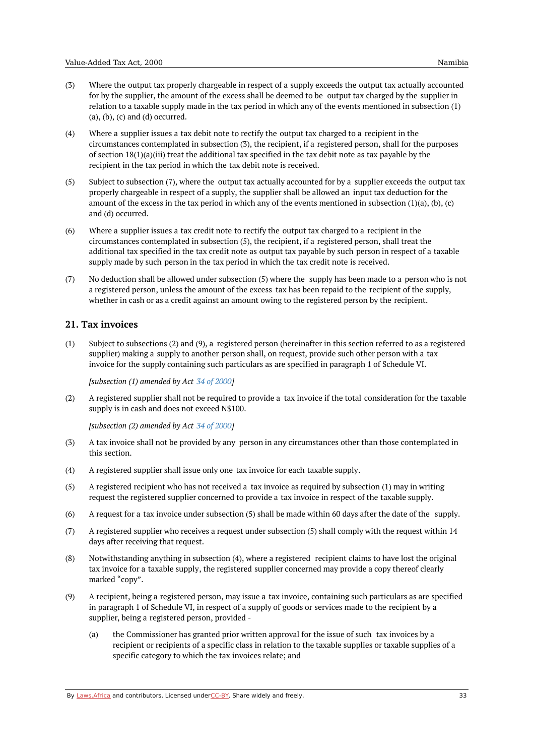- (3) Where the output tax properly chargeable in respect of a supply exceeds the output tax actually accounted for by the supplier, the amount of the excess shall be deemed to be output tax charged by the supplier in relation to a taxable supply made in the tax period in which any of the events mentioned in subsection (1)  $(a), (b), (c)$  and  $(d)$  occurred.
- (4) Where a supplier issues a tax debit note to rectify the output tax charged to a recipient in the circumstances contemplated in subsection (3), the recipient, if a registered person, shall for the purposes of section  $18(1)(a)(iii)$  treat the additional tax specified in the tax debit note as tax payable by the recipient in the tax period in which the tax debit note is received.
- (5) Subject to subsection (7), where the output tax actually accounted for by a supplier exceeds the output tax properly chargeable in respect of a supply, the supplier shall be allowed an input tax deduction for the amount of the excess in the tax period in which any of the events mentioned in subsection (1)(a), (b), (c) and (d) occurred.
- (6) Where a supplier issues a tax credit note to rectify the output tax charged to a recipient in the circumstances contemplated in subsection (5), the recipient, if a registered person, shall treat the additional tax specified in the tax credit note as output tax payable by such person in respect of a taxable supply made by such person in the tax period in which the tax credit note is received.
- (7) No deduction shall be allowed under subsection (5) where the supply has been made to a person who is not a registered person, unless the amount of the excess tax has been repaid to the recipient of the supply, whether in cash or as a credit against an amount owing to the registered person by the recipient.

## <span id="page-32-0"></span>**21. Tax invoices**

(1) Subject to subsections (2) and (9), a registered person (hereinafter in this section referred to as a registered supplier) making a supply to another person shall, on request, provide such other person with a tax invoice for the supply containing such particulars as are specified in paragraph 1 of Schedule VI.

*[subsection (1) amended by Act 34 of [2000](https://namiblii.org/akn/na/act/2000/34)]*

(2) A registered supplier shall not be required to provide a tax invoice if the total consideration for the taxable supply is in cash and does not exceed N\$100.

*[subsection (2) amended by Act 34 of [2000](https://namiblii.org/akn/na/act/2000/34)]*

- (3) A tax invoice shall not be provided by any person in any circumstances other than those contemplated in this section.
- (4) A registered supplier shall issue only one tax invoice for each taxable supply.
- $(5)$ A registered recipient who has not received a tax invoice as required by subsection (1) may in writing request the registered supplier concerned to provide a tax invoice in respect of the taxable supply.
- (6) A request for a tax invoice under subsection (5) shall be made within 60 days after the date of the supply.
- (7) A registered supplier who receives a request under subsection (5) shall comply with the request within 14 days after receiving that request.
- (8) Notwithstanding anything in subsection (4), where a registered recipient claims to have lost the original tax invoice for a taxable supply, the registered supplier concerned may provide a copy thereof clearly marked "copy".
- (9) A recipient, being a registered person, may issue a tax invoice, containing such particulars as are specified in paragraph 1 of Schedule VI, in respect of a supply of goods or services made to the recipient by a supplier, being a registered person, provided -
	- (a) the Commissioner has granted prior written approval for the issue of such tax invoices by a recipient or recipients of a specific class in relation to the taxable supplies or taxable supplies of a specific category to which the tax invoices relate; and

By [Laws.Africa](https://edit.laws.africa/widgets/pdf-attribution) and contributors. Licensed und[erCC-B](https://edit.laws.africa/widgets/pdf-cc-by)Y. Share widely and freely. 33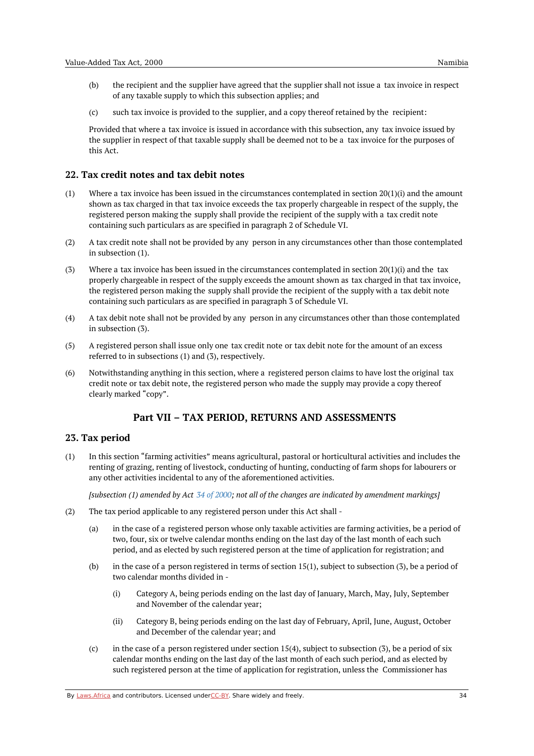- (b) the recipient and the supplier have agreed that the supplier shall not issue a tax invoice in respect of any taxable supply to which this subsection applies; and
- (c) such tax invoice is provided to the supplier, and a copy thereof retained by the recipient:

Provided that where a tax invoice is issued in accordance with this subsection, any tax invoice issued by the supplier in respect of that taxable supply shall be deemed not to be a tax invoice for the purposes of this Act.

## <span id="page-33-0"></span>**22. Tax credit notes and tax debit notes**

- $(1)$ Where a tax invoice has been issued in the circumstances contemplated in section  $20(1)(i)$  and the amount shown as tax charged in that tax invoice exceeds the tax properly chargeable in respect of the supply, the registered person making the supply shall provide the recipient of the supply with a tax credit note containing such particulars as are specified in paragraph 2 of Schedule VI.
- (2) A tax credit note shall not be provided by any person in any circumstances other than those contemplated in subsection (1).
- (3) Where a tax invoice has been issued in the circumstances contemplated in section  $20(1)(i)$  and the tax properly chargeable in respect of the supply exceeds the amount shown as tax charged in that tax invoice, the registered person making the supply shall provide the recipient of the supply with a tax debit note containing such particulars as are specified in paragraph 3 of Schedule VI.
- (4) A tax debit note shall not be provided by any person in any circumstances other than those contemplated in subsection (3).
- (5) A registered person shall issue only one tax credit note or tax debit note for the amount of an excess referred to in subsections (1) and (3), respectively.
- (6) Notwithstanding anything in this section, where a registered person claims to have lost the original tax credit note or tax debit note, the registered person who made the supply may provide a copy thereof clearly marked "copy".

## **Part VII – TAX PERIOD, RETURNS AND ASSESSMENTS**

#### <span id="page-33-2"></span><span id="page-33-1"></span>**23. Tax period**

(1) In this section "farming activities" means agricultural, pastoral or horticultural activities and includes the renting of grazing, renting of livestock, conducting of hunting, conducting of farm shops for labourers or any other activities incidental to any of the aforementioned activities.

[subsection (1) amended by Act  $34$  of [2000](https://namiblii.org/akn/na/act/2000/34); not all of the changes are indicated by amendment markings]

- (2) The tax period applicable to any registered person under this Act shall -
	- (a) in the case of a registered person whose only taxable activities are farming activities, be a period of two, four, six or twelve calendar months ending on the last day of the last month of each such period, and as elected by such registered person at the time of application for registration; and
	- (b) in the case of a person registered in terms of section 15(1), subject to subsection (3), be a period of two calendar months divided in -
		- (i) Category A, being periods ending on the last day of January, March, May, July, September and November of the calendar year;
		- (ii) Category B, being periods ending on the last day of February, April, June, August, October and December of the calendar year; and
	- $(c)$ in the case of a person registered under section 15(4), subject to subsection (3), be a period of six calendar months ending on the last day of the last month of each such period, and as elected by such registered person at the time of application for registration, unless the Commissioner has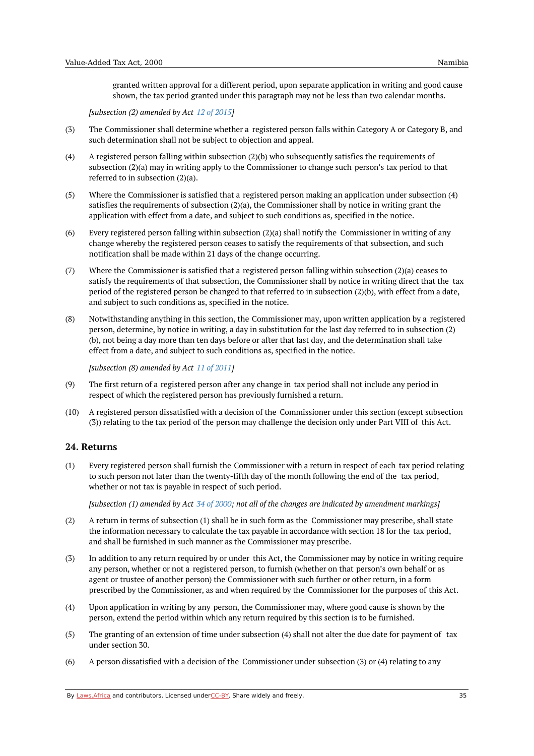granted written approval for a different period, upon separate application in writing and good cause shown, the tax period granted under this paragraph may not be less than two calendar months.

*[subsection (2) amended by Act 12 of [2015](https://namiblii.org/akn/na/act/2015/12)]*

- (3) The Commissioner shall determine whether a registered person falls within Category A or Category B, and such determination shall not be subject to objection and appeal.
- (4) A registered person falling within subsection (2)(b) who subsequently satisfies the requirements of subsection (2)(a) may in writing apply to the Commissioner to change such person's tax period to that referred to in subsection (2)(a).
- (5) Where the Commissioner is satisfied that a registered person making an application under subsection (4) satisfies the requirements of subsection (2)(a), the Commissioner shall by notice in writing grant the application with effect from a date, and subject to such conditions as, specified in the notice.
- (6) Every registered person falling within subsection (2)(a) shall notify the Commissioner in writing of any change whereby the registered person ceases to satisfy the requirements of that subsection, and such notification shall be made within 21 days of the change occurring.
- (7) Where the Commissioner is satisfied that a registered person falling within subsection (2)(a) ceases to satisfy the requirements of that subsection, the Commissioner shall by notice in writing direct that the tax period of the registered person be changed to that referred to in subsection (2)(b), with effect from a date, and subject to such conditions as, specified in the notice.
- (8) Notwithstanding anything in this section, the Commissioner may, upon written application by a registered person, determine, by notice in writing, a day in substitution for the last day referred to in subsection (2) (b), not being a day more than ten days before or after that last day, and the determination shall take effect from a date, and subject to such conditions as, specified in the notice.

*[subsection (8) amended by Act 11 of [2011](https://namiblii.org/akn/na/act/2011/11)]*

- (9) The first return of a registered person after any change in tax period shall not include any period in respect of which the registered person has previously furnished a return.
- $(10)$ A registered person dissatisfied with a decision of the Commissioner under this section (except subsection (3)) relating to the tax period of the person may challenge the decision only under Part VIII of this Act.

# <span id="page-34-0"></span>**24. Returns**

(1) Every registered person shall furnish the Commissioner with a return in respect of each tax period relating to such person not later than the twenty-fifth day of the month following the end of the tax period, whether or not tax is payable in respect of such period.

[subsection (1) amended by Act  $34$  of [2000](https://namiblii.org/akn/na/act/2000/34); not all of the changes are indicated by amendment markings]

- (2) A return in terms of subsection (1) shall be in such form as the Commissioner may prescribe, shall state the information necessary to calculate the tax payable in accordance with section 18 for the tax period, and shall be furnished in such manner as the Commissioner may prescribe.
- (3) In addition to any return required by or under this Act, the Commissioner may by notice in writing require any person, whether or not a registered person, to furnish (whether on that person's own behalf or as agent or trustee of another person) the Commissioner with such further or other return, in a form prescribed by the Commissioner, as and when required by the Commissioner for the purposes of this Act.
- (4) Upon application in writing by any person, the Commissioner may, where good cause is shown by the person, extend the period within which any return required by this section is to be furnished.
- (5) The granting of an extension of time under subsection (4) shall not alter the due date for payment of tax under section 30.
- (6) A person dissatisfied with a decision of the Commissioner under subsection (3) or (4) relating to any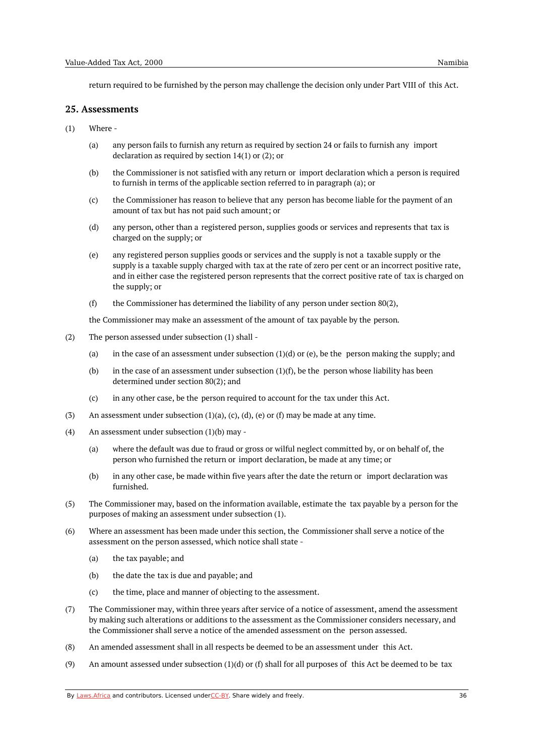return required to be furnished by the person may challenge the decision only under Part VIII of this Act.

#### <span id="page-35-0"></span>**25. Assessments**

- (1) Where -
	- (a) any person fails to furnish any return as required by section 24 or fails to furnish any import declaration as required by section 14(1) or (2); or
	- (b) the Commissioner is not satisfied with any return or import declaration which a person is required to furnish in terms of the applicable section referred to in paragraph (a); or
	- (c) the Commissioner has reason to believe that any person has become liable for the payment of an amount of tax but has not paid such amount; or
	- (d) any person, other than a registered person, supplies goods or services and represents that tax is charged on the supply; or
	- (e) any registered person supplies goods or services and the supply is not a taxable supply or the supply is a taxable supply charged with tax at the rate of zero per cent or an incorrect positive rate, and in either case the registered person represents that the correct positive rate of tax is charged on the supply; or
	- (f) the Commissioner has determined the liability of any person under section 80(2),

the Commissioner may make an assessment of the amount of tax payable by the person.

- (2) The person assessed under subsection (1) shall -
	- (a) in the case of an assessment under subsection  $(1)(d)$  or (e), be the person making the supply; and
	- (b) in the case of an assessment under subsection  $(1)(f)$ , be the person whose liability has been determined under section 80(2); and
	- (c) in any other case, be the person required to account for the tax under this Act.
- (3) An assessment under subsection  $(1)(a)$ ,  $(c)$ ,  $(d)$ ,  $(e)$  or  $(f)$  may be made at any time.
- (4) An assessment under subsection (1)(b) may -
	- (a) where the default was due to fraud or gross or wilful neglect committed by, or on behalf of, the person who furnished the return or import declaration, be made at any time; or
	- (b) in any other case, be made within five years after the date the return or import declaration was furnished.
- (5) The Commissioner may, based on the information available, estimate the tax payable by a person for the purposes of making an assessment under subsection (1).
- (6) Where an assessment has been made under this section, the Commissioner shall serve a notice of the assessment on the person assessed, which notice shall state -
	- (a) the tax payable; and
	- (b) the date the tax is due and payable; and
	- $(c)$ the time, place and manner of objecting to the assessment.
- (7) The Commissioner may, within three years after service of a notice of assessment, amend the assessment by making such alterations or additions to the assessment as the Commissioner considers necessary, and the Commissioner shall serve a notice of the amended assessment on the person assessed.
- (8) An amended assessment shall in all respects be deemed to be an assessment under this Act.
- (9) An amount assessed under subsection  $(1)(d)$  or  $(f)$  shall for all purposes of this Act be deemed to be tax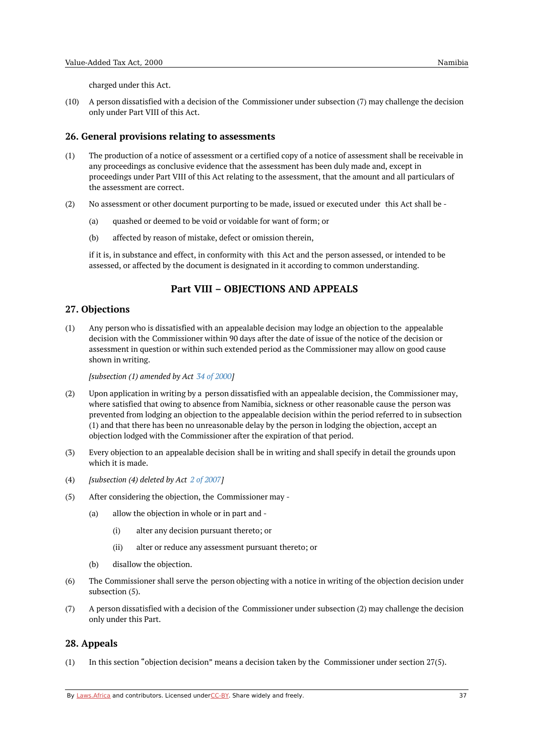charged under this Act.

(10) A person dissatisfied with a decision of the Commissioner under subsection (7) may challenge the decision only under Part VIII of this Act.

#### **26. General provisions relating to assessments**

- (1) The production of a notice of assessment or a certified copy of a notice of assessment shall be receivable in any proceedings as conclusive evidence that the assessment has been duly made and, except in proceedings under Part VIII of this Act relating to the assessment, that the amount and all particulars of the assessment are correct.
- (2) No assessment or other document purporting to be made, issued or executed under this Act shall be -
	- (a) quashed or deemed to be void or voidable for want of form; or
	- (b) affected by reason of mistake, defect or omission therein,

if it is, in substance and effect, in conformity with this Act and the person assessed, or intended to be assessed, or affected by the document is designated in it according to common understanding.

# **Part VIII – OBJECTIONS AND APPEALS**

### **27. Objections**

(1) Any person who is dissatisfied with an appealable decision may lodge an objection to the appealable decision with the Commissioner within 90 days after the date of issue of the notice of the decision or assessment in question or within such extended period as the Commissioner may allow on good cause shown in writing.

*[subsection (1) amended by Act 34 of [2000](https://namiblii.org/akn/na/act/2000/34)]*

- (2) Upon application in writing by a person dissatisfied with an appealable decision, the Commissioner may, where satisfied that owing to absence from Namibia, sickness or other reasonable cause the person was prevented from lodging an objection to the appealable decision within the period referred to in subsection (1) and that there has been no unreasonable delay by the person in lodging the objection, accept an objection lodged with the Commissioner after the expiration of that period.
- (3) Every objection to an appealable decision shall be in writing and shall specify in detail the grounds upon which it is made.
- (4) *[subsection (4) deleted by Act 2 of [2007](https://namiblii.org/akn/na/act/2007/2)]*
- (5) After considering the objection, the Commissioner may -
	- (a) allow the objection in whole or in part and -
		- (i) alter any decision pursuant thereto; or
		- (ii) alter or reduce any assessment pursuant thereto; or
	- (b) disallow the objection.
- (6) The Commissioner shall serve the person objecting with a notice in writing of the objection decision under subsection (5).
- (7) A person dissatisfied with a decision of the Commissioner under subsection (2) may challenge the decision only under this Part.

### **28. Appeals**

(1) In this section "objection decision" means a decision taken by the Commissioner under section 27(5).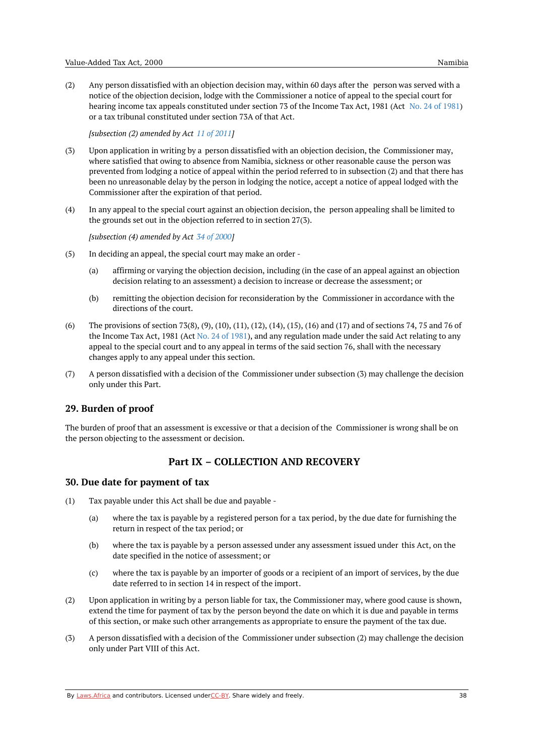(2) Any person dissatisfied with an objection decision may, within 60 days after the person was served with a notice of the objection decision, lodge with the Commissioner a notice of appeal to the special court for hearing income tax appeals constituted under section 73 of the Income Tax Act, 1981 (Act No. 24 of [1981](https://namiblii.org/akn/na/act/1981/24)) or a tax tribunal constituted under section 73A of that Act.

*[subsection (2) amended by Act 11 of [2011](https://namiblii.org/akn/na/act/2011/11)]*

- (3) Upon application in writing by a person dissatisfied with an objection decision, the Commissioner may, where satisfied that owing to absence from Namibia, sickness or other reasonable cause the person was prevented from lodging a notice of appeal within the period referred to in subsection (2) and that there has been no unreasonable delay by the person in lodging the notice, accept a notice of appeal lodged with the Commissioner after the expiration of that period.
- (4) In any appeal to the special court against an objection decision, the person appealing shall be limited to the grounds set out in the objection referred to in section 27(3).

*[subsection (4) amended by Act 34 of [2000](https://namiblii.org/akn/na/act/2000/34)]*

- (5) In deciding an appeal, the special court may make an order -
	- (a) affirming or varying the objection decision, including (in the case of an appeal against an objection decision relating to an assessment) a decision to increase or decrease the assessment; or
	- (b) remitting the objection decision for reconsideration by the Commissioner in accordance with the directions of the court.
- (6) The provisions of section 73(8), (9), (10), (11), (12), (14), (15), (16) and (17) and of sections 74, 75 and 76 of the Income Tax Act, 1981 (Act No. 24 of [1981](https://namiblii.org/akn/na/act/1981/24)), and any regulation made under the said Act relating to any appeal to the special court and to any appeal in terms of the said section 76, shall with the necessary changes apply to any appeal under this section.
- (7) A person dissatisfied with a decision of the Commissioner under subsection (3) may challenge the decision only under this Part.

# **29. Burden of proof**

The burden of proof that an assessment is excessive or that a decision of the Commissioner is wrong shall be on the person objecting to the assessment or decision.

# **Part IX – COLLECTION AND RECOVERY**

#### **30. Due date for payment of tax**

- (1) Tax payable under this Act shall be due and payable -
	- (a) where the tax is payable by a registered person for a tax period, by the due date for furnishing the return in respect of the tax period; or
	- (b) where the tax is payable by a person assessed under any assessment issued under this Act, on the date specified in the notice of assessment; or
	- (c) where the tax is payable by an importer of goods or a recipient of an import of services, by the due date referred to in section 14 in respect of the import.
- (2) Upon application in writing by a person liable for tax, the Commissioner may, where good cause is shown, extend the time for payment of tax by the person beyond the date on which it is due and payable in terms of this section, or make such other arrangements as appropriate to ensure the payment of the tax due.
- (3) A person dissatisfied with a decision of the Commissioner under subsection (2) may challenge the decision only under Part VIII of this Act.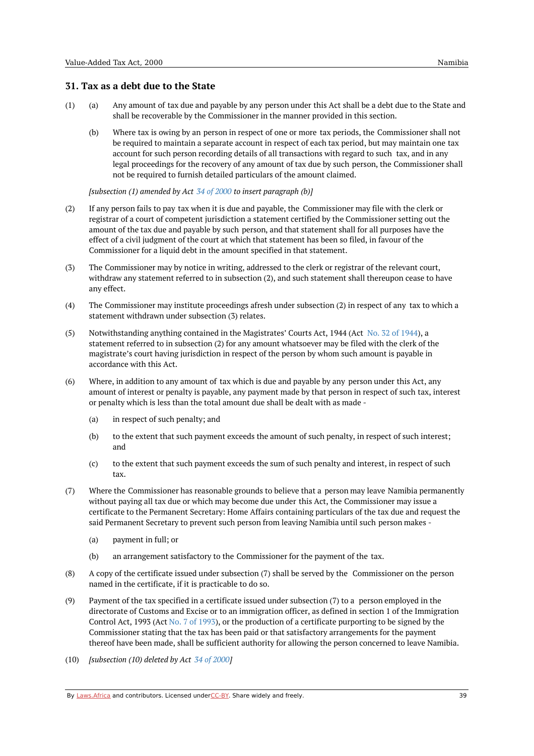# **31. Tax as a debt due to the State**

- (a) (1) Any amount of tax due and payable by any person under this Act shall be a debt due to the State and shall be recoverable by the Commissioner in the manner provided in this section.
	- (b) Where tax is owing by an person in respect of one or more tax periods, the Commissioner shall not be required to maintain a separate account in respect of each tax period, but may maintain one tax account for such person recording details of all transactions with regard to such tax, and in any legal proceedings for the recovery of any amount of tax due by such person, the Commissioner shall not be required to furnish detailed particulars of the amount claimed.

*[subsection (1) amended by Act 34 of [2000](https://namiblii.org/akn/na/act/2000/34) to insert paragraph (b)]*

- (2) If any person fails to pay tax when it is due and payable, the Commissioner may file with the clerk or registrar of a court of competent jurisdiction a statement certified by the Commissioner setting out the amount of the tax due and payable by such person, and that statement shall for all purposes have the effect of a civil judgment of the court at which that statement has been so filed, in favour of the Commissioner for a liquid debt in the amount specified in that statement.
- (3) The Commissioner may by notice in writing, addressed to the clerk or registrar of the relevant court, withdraw any statement referred to in subsection (2), and such statement shall thereupon cease to have any effect.
- (4) The Commissioner may institute proceedings afresh under subsection (2) in respect of any tax to which a statement withdrawn under subsection (3) relates.
- (5) Notwithstanding anything contained in the Magistrates' Courts Act, 1944 (Act No. 32 of [1944](https://namiblii.org/akn/na/act/1944/32)), a statement referred to in subsection (2) for any amount whatsoever may be filed with the clerk of the magistrate's court having jurisdiction in respect of the person by whom such amount is payable in accordance with this Act.
- (6) Where, in addition to any amount of tax which is due and payable by any person under this Act, any amount of interest or penalty is payable, any payment made by that person in respect of such tax, interest or penalty which is less than the total amount due shall be dealt with as made -
	- (a) in respect of such penalty; and
	- (b) to the extent that such payment exceeds the amount of such penalty, in respect of such interest; and
	- (c) to the extent that such payment exceeds the sum of such penalty and interest, in respect of such tax.
- (7) Where the Commissioner has reasonable grounds to believe that a person may leave Namibia permanently without paying all tax due or which may become due under this Act, the Commissioner may issue a certificate to the Permanent Secretary: Home Affairs containing particulars of the tax due and request the said Permanent Secretary to prevent such person from leaving Namibia until such person makes -
	- (a) payment in full; or
	- (b) an arrangement satisfactory to the Commissioner for the payment of the tax.
- (8) A copy of the certificate issued under subsection (7) shall be served by the Commissioner on the person named in the certificate, if it is practicable to do so.
- (9) Payment of the tax specified in a certificate issued under subsection (7) to a person employed in the directorate of Customs and Excise or to an immigration officer, as defined in section 1 of the Immigration Control Act, 1993 (Act No. 7 of [1993](https://namiblii.org/akn/na/act/1993/7)), or the production of a certificate purporting to be signed by the Commissioner stating that the tax has been paid or that satisfactory arrangements for the payment thereof have been made, shall be sufficient authority for allowing the person concerned to leave Namibia.
- (10) *[subsection (10) deleted by Act 34 of [2000](https://namiblii.org/akn/na/act/2000/34)]*

By [Laws.Africa](https://edit.laws.africa/widgets/pdf-attribution) and contributors. Licensed und[erCC-B](https://edit.laws.africa/widgets/pdf-cc-by)Y. Share widely and freely.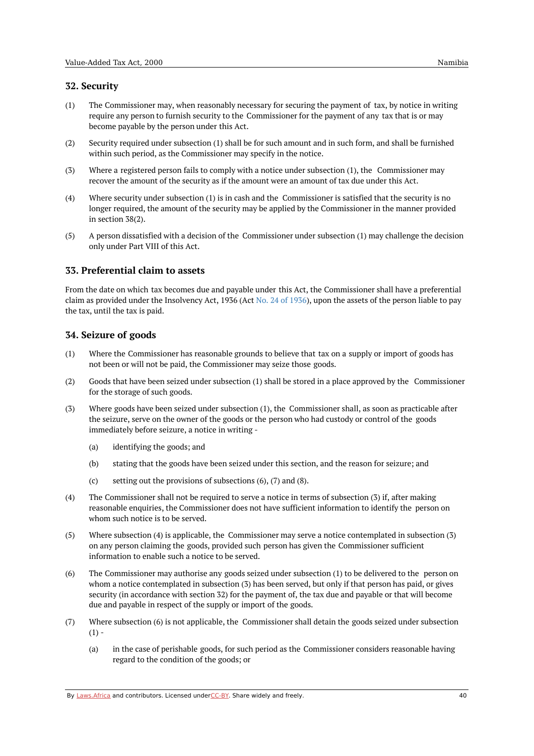- (1) The Commissioner may, when reasonably necessary for securing the payment of tax, by notice in writing require any person to furnish security to the Commissioner for the payment of any tax that is or may become payable by the person under this Act.
- (2) Security required under subsection (1) shall be for such amount and in such form, and shall be furnished within such period, as the Commissioner may specify in the notice.
- (3) Where a registered person fails to comply with a notice under subsection (1), the Commissioner may recover the amount of the security as if the amount were an amount of tax due under this Act.
- (4) Where security under subsection (1) is in cash and the Commissioner is satisfied that the security is no longer required, the amount of the security may be applied by the Commissioner in the manner provided in section 38(2).
- (5) A person dissatisfied with a decision of the Commissioner under subsection (1) may challenge the decision only under Part VIII of this Act.

# **33. Preferential claim to assets**

From the date on which tax becomes due and payable under this Act, the Commissioner shall have a preferential claim as provided under the Insolvency Act, 1936 (Act No. 24 of [1936](https://namiblii.org/akn/na/act/1936/24)), upon the assets of the person liable to pay the tax, until the tax is paid.

# **34. Seizure of goods**

- (1) Where the Commissioner has reasonable grounds to believe that tax on a supply or import of goods has not been or will not be paid, the Commissioner may seize those goods.
- (2) Goods that have been seized under subsection (1) shall be stored in a place approved by the Commissioner for the storage of such goods.
- $(3)$ Where goods have been seized under subsection (1), the Commissioner shall, as soon as practicable after the seizure, serve on the owner of the goods or the person who had custody or control of the goods immediately before seizure, a notice in writing -
	- (a) identifying the goods; and
	- (b) stating that the goods have been seized under this section, and the reason for seizure; and
	- $(c)$ setting out the provisions of subsections (6), (7) and (8).
- (4) The Commissioner shall not be required to serve a notice in terms of subsection (3) if, after making reasonable enquiries, the Commissioner does not have sufficient information to identify the person on whom such notice is to be served.
- (5) Where subsection (4) is applicable, the Commissioner may serve a notice contemplated in subsection (3) on any person claiming the goods, provided such person has given the Commissioner sufficient information to enable such a notice to be served.
- (6) The Commissioner may authorise any goods seized under subsection (1) to be delivered to the person on whom a notice contemplated in subsection (3) has been served, but only if that person has paid, or gives security (in accordance with section 32) for the payment of, the tax due and payable or that will become due and payable in respect of the supply or import of the goods.
- (7) Where subsection (6) is not applicable, the Commissioner shall detain the goods seized under subsection  $(1) -$ 
	- (a) in the case of perishable goods, for such period as the Commissioner considers reasonable having regard to the condition of the goods; or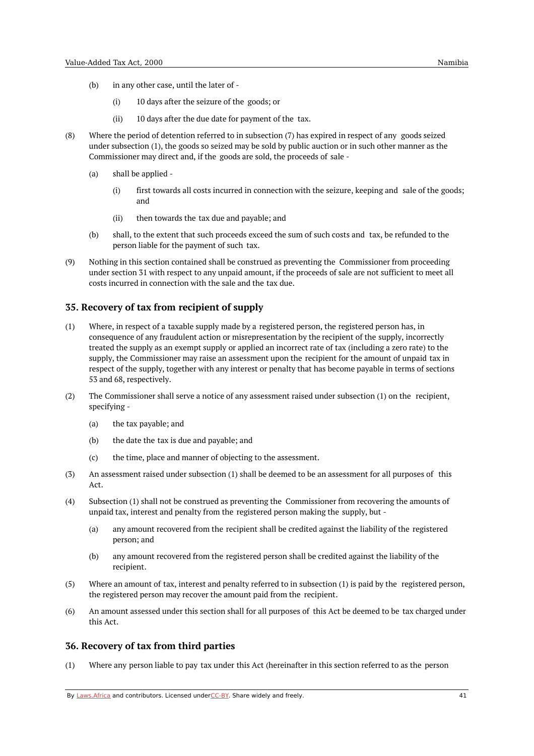- (b) in any other case, until the later of -
	- (i) 10 days after the seizure of the goods; or
	- (ii) 10 days after the due date for payment of the tax.
- (8) Where the period of detention referred to in subsection (7) has expired in respect of any goods seized under subsection (1), the goods so seized may be sold by public auction or in such other manner as the Commissioner may direct and, if the goods are sold, the proceeds of sale -
	- (a) shall be applied -
		- (i) first towards all costs incurred in connection with the seizure, keeping and sale of the goods; and
		- (ii) then towards the tax due and payable; and
	- (b) shall, to the extent that such proceeds exceed the sum of such costs and tax, be refunded to the person liable for the payment of such tax.
- (9) Nothing in this section contained shall be construed as preventing the Commissioner from proceeding under section 31 with respect to any unpaid amount, if the proceeds of sale are not sufficient to meet all costs incurred in connection with the sale and the tax due.

## **35. Recovery of tax from recipient of supply**

- (1) Where, in respect of a taxable supply made by a registered person, the registered person has, in consequence of any fraudulent action or misrepresentation by the recipient of the supply, incorrectly treated the supply as an exempt supply or applied an incorrect rate of tax (including a zero rate) to the supply, the Commissioner may raise an assessment upon the recipient for the amount of unpaid tax in respect of the supply, together with any interest or penalty that has become payable in terms of sections 53 and 68, respectively.
- (2) The Commissioner shall serve a notice of any assessment raised under subsection (1) on the recipient, specifying -
	- (a) the tax payable; and
	- (b) the date the tax is due and payable; and
	- (c) the time, place and manner of objecting to the assessment.
- (3) An assessment raised under subsection (1) shall be deemed to be an assessment for all purposes of this Act.
- (4) Subsection (1) shall not be construed as preventing the Commissioner from recovering the amounts of unpaid tax, interest and penalty from the registered person making the supply, but -
	- (a) any amount recovered from the recipient shall be credited against the liability of the registered person; and
	- (b) any amount recovered from the registered person shall be credited against the liability of the recipient.
- (5) Where an amount of tax, interest and penalty referred to in subsection (1) is paid by the registered person, the registered person may recover the amount paid from the recipient.
- (6) An amount assessed under this section shall for all purposes of this Act be deemed to be tax charged under this Act.

#### **36. Recovery of tax from third parties**

(1) Where any person liable to pay tax under this Act (hereinafter in this section referred to as the person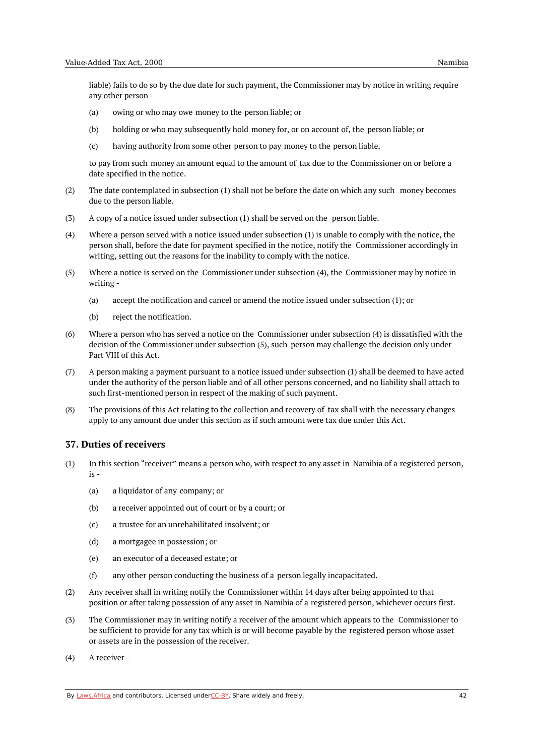liable) fails to do so by the due date for such payment, the Commissioner may by notice in writing require any other person -

- (a) owing or who may owe money to the person liable; or
- (b) holding or who may subsequently hold money for, or on account of, the person liable; or
- $(c)$ having authority from some other person to pay money to the person liable,

to pay from such money an amount equal to the amount of tax due to the Commissioner on or before a date specified in the notice.

- (2) The date contemplated in subsection (1) shall not be before the date on which any such money becomes due to the person liable.
- (3) A copy of a notice issued under subsection (1) shall be served on the person liable.
- $(4)$ Where a person served with a notice issued under subsection (1) is unable to comply with the notice, the person shall, before the date for payment specified in the notice, notify the Commissioner accordingly in writing, setting out the reasons for the inability to comply with the notice.
- (5) Where a notice is served on the Commissioner under subsection (4), the Commissioner may by notice in writing -
	- (a) accept the notification and cancel or amend the notice issued under subsection (1); or
	- (b) reject the notification.
- (6) Where a person who has served a notice on the Commissioner under subsection (4) is dissatisfied with the decision of the Commissioner under subsection (5), such person may challenge the decision only under Part VIII of this Act.
- (7) A person making a payment pursuant to a notice issued under subsection (1) shall be deemed to have acted under the authority of the person liable and of all other persons concerned, and no liability shall attach to such first-mentioned person in respect of the making of such payment.
- (8) The provisions of this Act relating to the collection and recovery of tax shall with the necessary changes apply to any amount due under this section as if such amount were tax due under this Act.

#### **37. Duties of receivers**

- (1) In this section "receiver" means a person who, with respect to any asset in Namibia of a registered person, is -
	- (a) a liquidator of any company; or
	- (b) a receiver appointed out of court or by a court; or
	- (c) a trustee for an unrehabilitated insolvent; or
	- (d) a mortgagee in possession; or
	- (e) an executor of a deceased estate; or
	- (f) any other person conducting the business of a person legally incapacitated.
- (2) Any receiver shall in writing notify the Commissioner within 14 days after being appointed to that position or after taking possession of any asset in Namibia of a registered person, whichever occurs first.
- (3) The Commissioner may in writing notify a receiver of the amount which appears to the Commissioner to be sufficient to provide for any tax which is or will become payable by the registered person whose asset or assets are in the possession of the receiver.
- (4) A receiver -

By [Laws.Africa](https://edit.laws.africa/widgets/pdf-attribution) and contributors. Licensed und[erCC-B](https://edit.laws.africa/widgets/pdf-cc-by)Y. Share widely and freely. 42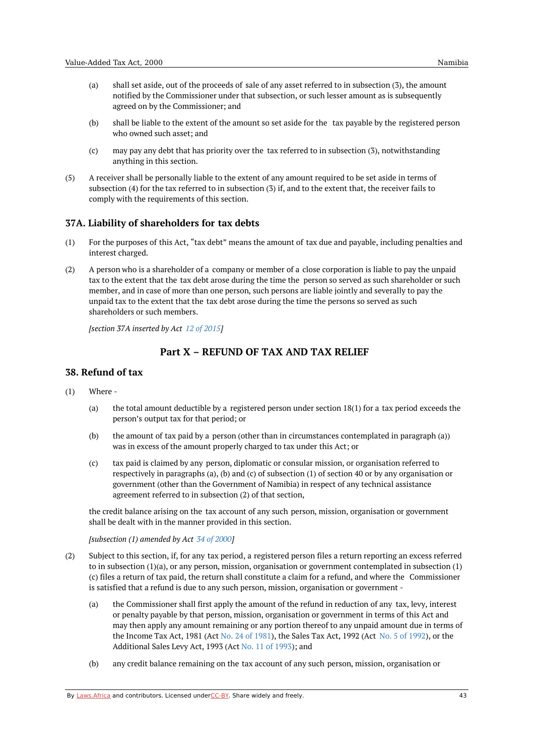- (a) shall set aside, out of the proceeds of sale of any asset referred to in subsection (3), the amount notified by the Commissioner under that subsection, or such lesser amount as is subsequently agreed on by the Commissioner; and
- (b) shall be liable to the extent of the amount so set aside for the tax payable by the registered person who owned such asset; and
- $(c)$ may pay any debt that has priority over the tax referred to in subsection (3), notwithstanding anything in this section.
- (5) A receiver shall be personally liable to the extent of any amount required to be set aside in terms of subsection (4) for the tax referred to in subsection (3) if, and to the extent that, the receiver fails to comply with the requirements of this section.

## **37A. Liability of shareholders for tax debts**

- (1) For the purposes of this Act, "tax debt" means the amount of tax due and payable, including penalties and interest charged.
- (2) A person who is a shareholder of a company or member of a close corporation is liable to pay the unpaid tax to the extent that the tax debt arose during the time the person so served as such shareholder or such member, and in case of more than one person, such persons are liable jointly and severally to pay the unpaid tax to the extent that the tax debt arose during the time the persons so served as such shareholders or such members.

*[section 37A inserted by Act 12 of [2015](https://namiblii.org/akn/na/act/2015/12)]*

# **Part X – REFUND OF TAX AND TAX RELIEF**

## **38. Refund of tax**

- (1) Where -
	- (a) the total amount deductible by a registered person under section 18(1) for a tax period exceeds the person's output tax for that period; or
	- (b) the amount of tax paid by a person (other than in circumstances contemplated in paragraph (a)) was in excess of the amount properly charged to tax under this Act; or
	- $(c)$ tax paid is claimed by any person, diplomatic or consular mission, or organisation referred to respectively in paragraphs (a), (b) and (c) of subsection (1) of section 40 or by any organisation or government (other than the Government of Namibia) in respect of any technical assistance agreement referred to in subsection (2) of that section,

the credit balance arising on the tax account of any such person, mission, organisation or government shall be dealt with in the manner provided in this section.

*[subsection (1) amended by Act 34 of [2000](https://namiblii.org/akn/na/act/2000/34)]*

- (2) Subject to this section, if, for any tax period, a registered person files a return reporting an excess referred to in subsection (1)(a), or any person, mission, organisation or government contemplated in subsection (1) (c) files a return of tax paid, the return shall constitute a claim for a refund, and where the Commissioner is satisfied that a refund is due to any such person, mission, organisation or government -
	- (a) the Commissioner shall first apply the amount of the refund in reduction of any tax, levy, interest or penalty payable by that person, mission, organisation or government in terms of this Act and may then apply any amount remaining or any portion thereof to any unpaid amount due in terms of the Income Tax Act, 1981 (Act No. 24 of [1981](https://namiblii.org/akn/na/act/1981/24)), the Sales Tax Act, 1992 (Act No. 5 of [1992](https://namiblii.org/akn/na/act/1992/5)), or the Additional Sales Levy Act, 1993 (Act No. 11 of [1993](https://namiblii.org/akn/na/act/1993/11)); and
	- (b) any credit balance remaining on the tax account of any such person, mission, organisation or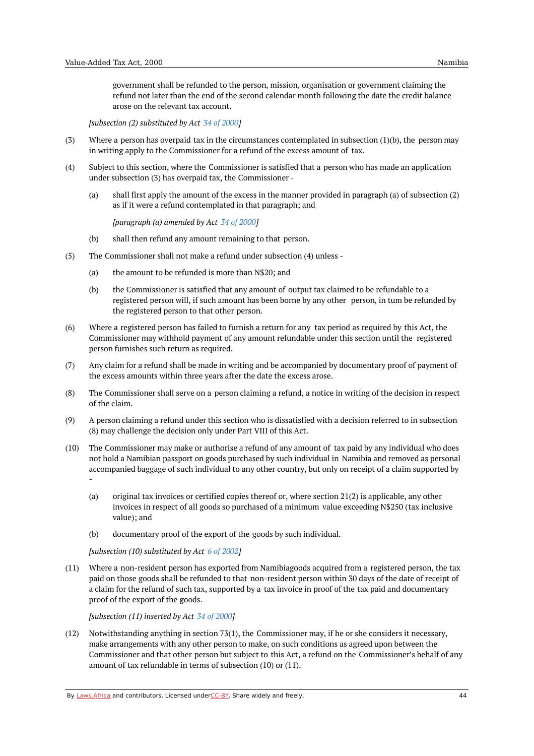government shall be refunded to the person, mission, organisation or government claiming the refund not later than the end of the second calendar month following the date the credit balance arose on the relevant tax account.

*[subsection (2) substituted by Act 34 of [2000\]](https://namiblii.org/akn/na/act/2000/34)*

- (3) Where a person has overpaid tax in the circumstances contemplated in subsection  $(1)(b)$ , the person may in writing apply to the Commissioner for a refund of the excess amount of tax.
- (4) Subject to this section, where the Commissioner is satisfied that a person who has made an application under subsection (3) has overpaid tax, the Commissioner -
	- (a) shall first apply the amount of the excess in the manner provided in paragraph (a) of subsection (2) as if it were a refund contemplated in that paragraph; and

*[paragraph (a) amended by Act 34 of [2000](https://namiblii.org/akn/na/act/2000/34)]*

- (b) shall then refund any amount remaining to that person.
- (5) The Commissioner shall not make a refund under subsection (4) unless -
	- (a) the amount to be refunded is more than N\$20; and
	- (b) the Commissioner is satisfied that any amount of output tax claimed to be refundable to a registered person will, if such amount has been borne by any other person, in tum be refunded by the registered person to that other person.
- (6) Where a registered person has failed to furnish a return for any tax period as required by this Act, the Commissioner may withhold payment of any amount refundable under this section until the registered person furnishes such return as required.
- (7) Any claim for a refund shall be made in writing and be accompanied by documentary proof of payment of the excess amounts within three years after the date the excess arose.
- (8) The Commissioner shall serve on a person claiming a refund, a notice in writing of the decision in respect of the claim.
- (9) A person claiming a refund under this section who is dissatisfied with a decision referred to in subsection (8) may challenge the decision only under Part VIII of this Act.
- (10) The Commissioner may make or authorise a refund of any amount of tax paid by any individual who does not hold a Namibian passport on goods purchased by such individual in Namibia and removed as personal accompanied baggage of such individual to any other country, but only on receipt of a claim supported by -
	- (a) original tax invoices or certified copies thereof or, where section 21(2) is applicable, any other invoices in respect of all goods so purchased of a minimum value exceeding N\$250 (tax inclusive value); and
	- (b) documentary proof of the export of the goods by such individual.

*[subsection (10) substituted by Act 6 of [2002\]](https://namiblii.org/akn/na/act/2002/6)*

(11) Where a non-resident person has exported from Namibiagoods acquired from a registered person, the tax paid on those goods shall be refunded to that non-resident person within 30 days of the date of receipt of a claim for the refund of such tax, supported by a tax invoice in proof of the tax paid and documentary proof of the export of the goods.

*[subsection (11) inserted by Act 34 of [2000](https://namiblii.org/akn/na/act/2000/34)]*

(12) Notwithstanding anything in section 73(1), the Commissioner may, if he or she considers it necessary, make arrangements with any other person to make, on such conditions as agreed upon between the Commissioner and that other person but subject to this Act, a refund on the Commissioner's behalf of any amount of tax refundable in terms of subsection (10) or (11).

By [Laws.Africa](https://edit.laws.africa/widgets/pdf-attribution) and contributors. Licensed und[erCC-B](https://edit.laws.africa/widgets/pdf-cc-by)Y. Share widely and freely.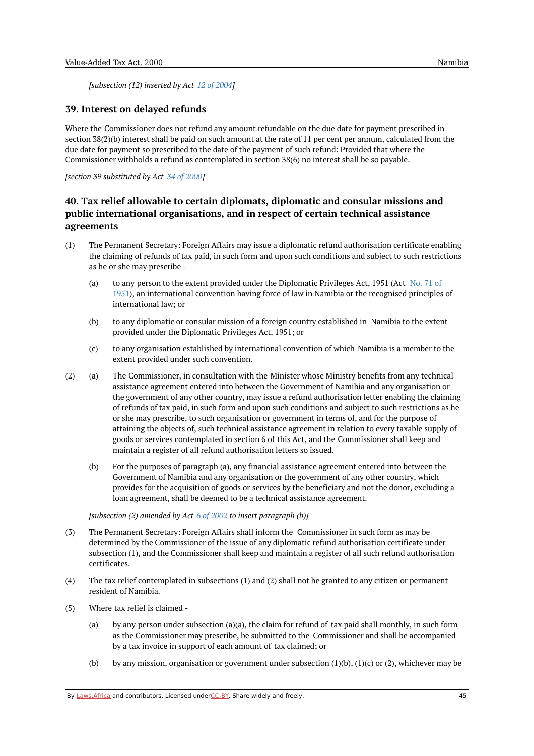*[subsection (12) inserted by Act 12 of [2004](https://namiblii.org/akn/na/act/2004/12)]*

### **39. Interest on delayed refunds**

Where the Commissioner does not refund any amount refundable on the due date for payment prescribed in section 38(2)(b) interest shall be paid on such amount at the rate of 11 per cent per annum, calculated from the due date for payment so prescribed to the date of the payment of such refund: Provided that where the Commissioner withholds a refund as contemplated in section 38(6) no interest shall be so payable.

*[section 39 substituted by Act 34 of [2000](https://namiblii.org/akn/na/act/2000/34)]*

# **40. Tax relief allowable to certain diplomats, diplomatic and consular missions and public international organisations, and in respect of certain technical assistance agreements**

- (1) The Permanent Secretary: Foreign Affairs may issue a diplomatic refund authorisation certificate enabling the claiming of refunds of tax paid, in such form and upon such conditions and subject to such restrictions as he or she may prescribe -
	- (a) to any person to the extent provided under the Diplomatic Privileges Act, 1951 (Act No. 71 of 1951), an [international](https://namiblii.org/akn/na/act/1951/71) convention having force of law in Namibia or the recognised principles of international law; or
	- (b) to any diplomatic or consular mission of a foreign country established in Namibia to the extent provided under the Diplomatic Privileges Act, 1951; or
	- (c) to any organisation established by international convention of which Namibia is a member to the extent provided under such convention.
- (a) (2) The Commissioner, in consultation with the Minister whose Ministry benefits from any technical assistance agreement entered into between the Government of Namibia and any organisation or the government of any other country, may issue a refund authorisation letter enabling the claiming of refunds of tax paid, in such form and upon such conditions and subject to such restrictions as he or she may prescribe, to such organisation or government in terms of, and for the purpose of attaining the objects of, such technical assistance agreement in relation to every taxable supply of goods or services contemplated in section 6 of this Act, and the Commissioner shall keep and maintain a register of all refund authorisation letters so issued.
	- (b) For the purposes of paragraph (a), any financial assistance agreement entered into between the Government of Namibia and any organisation or the government of any other country, which provides for the acquisition of goods or services by the beneficiary and not the donor, excluding a loan agreement, shall be deemed to be a technical assistance agreement.

*[subsection (2) amended by Act 6 of [2002](https://namiblii.org/akn/na/act/2002/6) to insert paragraph (b)]*

- (3) The Permanent Secretary: Foreign Affairs shall inform the Commissioner in such form as may be determined by the Commissioner of the issue of any diplomatic refund authorisation certificate under subsection (1), and the Commissioner shall keep and maintain a register of all such refund authorisation certificates.
- (4) The tax relief contemplated in subsections (1) and (2) shall not be granted to any citizen or permanent resident of Namibia.
- (5) Where tax relief is claimed -
	- (a) by any person under subsection (a)(a), the claim for refund of tax paid shall monthly, in such form as the Commissioner may prescribe, be submitted to the Commissioner and shall be accompanied by a tax invoice in support of each amount of tax claimed; or
	- (b) by any mission, organisation or government under subsection (1)(b), (1)(c) or (2), whichever may be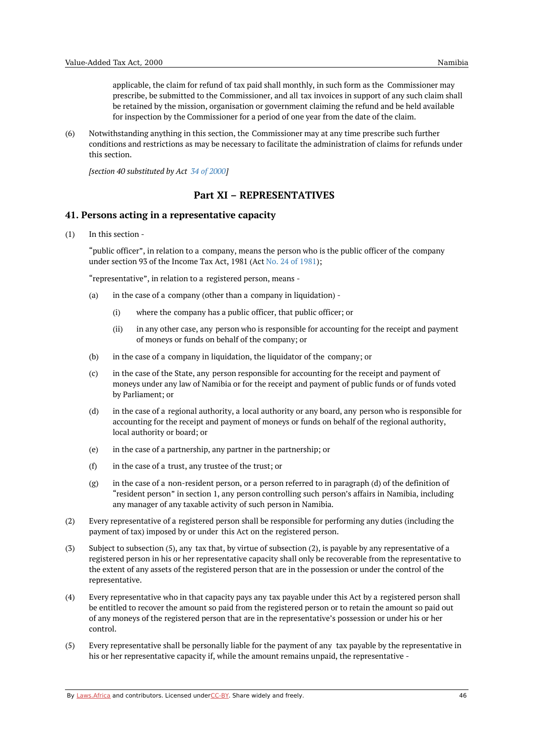applicable, the claim for refund of tax paid shall monthly, in such form as the Commissioner may prescribe, be submitted to the Commissioner, and all tax invoices in support of any such claim shall be retained by the mission, organisation or government claiming the refund and be held available for inspection by the Commissioner for a period of one year from the date of the claim.

(6) Notwithstanding anything in this section, the Commissioner may at any time prescribe such further conditions and restrictions as may be necessary to facilitate the administration of claims for refunds under this section.

*[section 40 substituted by Act 34 of [2000](https://namiblii.org/akn/na/act/2000/34)]*

# **Part XI – REPRESENTATIVES**

## **41. Persons acting in a representative capacity**

(1) In this section -

> "public officer", in relation to a company, means the person who is the public officer of the company under section 93 of the Income Tax Act, 1981 (Act No. 24 of [1981](https://namiblii.org/akn/na/act/1981/24));

"representative", in relation to a registered person, means -

- (a) in the case of a company (other than a company in liquidation) -
	- (i) where the company has a public officer, that public officer; or
	- (ii) in any other case, any person who is responsible for accounting for the receipt and payment of moneys or funds on behalf of the company; or
- (b) in the case of a company in liquidation, the liquidator of the company; or
- $(c)$ in the case of the State, any person responsible for accounting for the receipt and payment of moneys under any law of Namibia or for the receipt and payment of public funds or of funds voted by Parliament; or
- (d) in the case of a regional authority, a local authority or any board, any person who is responsible for accounting for the receipt and payment of moneys or funds on behalf of the regional authority, local authority or board; or
- (e) in the case of a partnership, any partner in the partnership; or
- (f) in the case of a trust, any trustee of the trust; or
- (g) in the case of a non-resident person, or a person referred to in paragraph (d) of the definition of "resident person" in section 1, any person controlling such person's affairs in Namibia, including any manager of any taxable activity of such person in Namibia.
- (2) Every representative of a registered person shall be responsible for performing any duties (including the payment of tax) imposed by or under this Act on the registered person.
- (3) Subject to subsection (5), any tax that, by virtue of subsection (2), is payable by any representative of a registered person in his or her representative capacity shall only be recoverable from the representative to the extent of any assets of the registered person that are in the possession or under the control of the representative.
- (4) Every representative who in that capacity pays any tax payable under this Act by a registered person shall be entitled to recover the amount so paid from the registered person or to retain the amount so paid out of any moneys of the registered person that are in the representative's possession or under his or her control.
- (5) Every representative shall be personally liable for the payment of any tax payable by the representative in his or her representative capacity if, while the amount remains unpaid, the representative -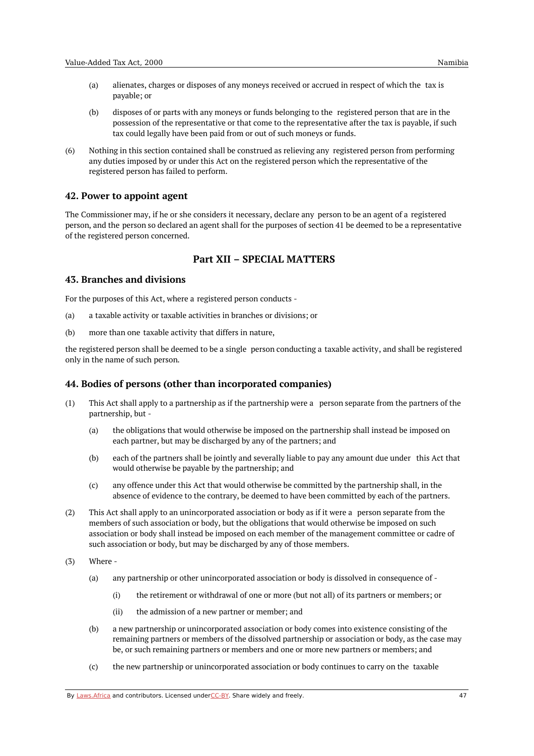- (a) alienates, charges or disposes of any moneys received or accrued in respect of which the tax is payable; or
- (b) disposes of or parts with any moneys or funds belonging to the registered person that are in the possession of the representative or that come to the representative after the tax is payable, if such tax could legally have been paid from or out of such moneys or funds.
- (6) Nothing in this section contained shall be construed as relieving any registered person from performing any duties imposed by or under this Act on the registered person which the representative of the registered person has failed to perform.

#### **42. Power to appoint agent**

The Commissioner may, if he or she considers it necessary, declare any person to be an agent of a registered person, and the person so declared an agent shall for the purposes of section 41 be deemed to be a representative of the registered person concerned.

# **Part XII – SPECIAL MATTERS**

#### **43. Branches and divisions**

For the purposes of this Act, where a registered person conducts -

- (a) a taxable activity or taxable activities in branches or divisions; or
- $(h)$ more than one taxable activity that differs in nature,

the registered person shall be deemed to be a single person conducting a taxable activity, and shall be registered only in the name of such person.

### **44. Bodies of persons (other than incorporated companies)**

- (1) This Act shall apply to a partnership as if the partnership were a person separate from the partners of the partnership, but -
	- (a) the obligations that would otherwise be imposed on the partnership shall instead be imposed on each partner, but may be discharged by any of the partners; and
	- (b) each of the partners shall be jointly and severally liable to pay any amount due under this Act that would otherwise be payable by the partnership; and
	- (c) any offence under this Act that would otherwise be committed by the partnership shall, in the absence of evidence to the contrary, be deemed to have been committed by each of the partners.
- (2) This Act shall apply to an unincorporated association or body as if it were a person separate from the members of such association or body, but the obligations that would otherwise be imposed on such association or body shall instead be imposed on each member of the management committee or cadre of such association or body, but may be discharged by any of those members.
- (3) Where -
	- (a) any partnership or other unincorporated association or body is dissolved in consequence of -
		- (i) the retirement or withdrawal of one or more (but not all) of its partners or members; or
		- (ii) the admission of a new partner or member; and
	- (b) a new partnership or unincorporated association or body comes into existence consisting of the remaining partners or members of the dissolved partnership or association or body, as the case may be, or such remaining partners or members and one or more new partners or members; and
	- (c) the new partnership or unincorporated association or body continues to carry on the taxable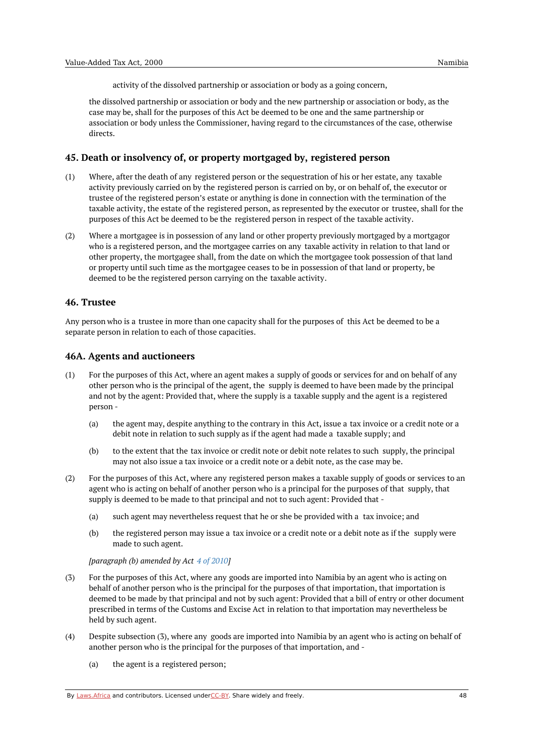activity of the dissolved partnership or association or body as a going concern,

the dissolved partnership or association or body and the new partnership or association or body, as the case may be, shall for the purposes of this Act be deemed to be one and the same partnership or association or body unless the Commissioner, having regard to the circumstances of the case, otherwise directs.

### **45. Death or insolvency of, or property mortgaged by, registered person**

- (1) Where, after the death of any registered person or the sequestration of his or her estate, any taxable activity previously carried on by the registered person is carried on by, or on behalf of, the executor or trustee of the registered person's estate or anything is done in connection with the termination of the taxable activity, the estate of the registered person, as represented by the executor or trustee, shall for the purposes of this Act be deemed to be the registered person in respect of the taxable activity.
- (2) Where a mortgagee is in possession of any land or other property previously mortgaged by a mortgagor who is a registered person, and the mortgagee carries on any taxable activity in relation to that land or other property, the mortgagee shall, from the date on which the mortgagee took possession of that land or property until such time as the mortgagee ceases to be in possession of that land or property, be deemed to be the registered person carrying on the taxable activity.

#### **46. Trustee**

Any person who is a trustee in more than one capacity shall for the purposes of this Act be deemed to be a separate person in relation to each of those capacities.

#### **46A. Agents and auctioneers**

- (1) For the purposes of this Act, where an agent makes a supply of goods or services for and on behalf of any other person who is the principal of the agent, the supply is deemed to have been made by the principal and not by the agent: Provided that, where the supply is a taxable supply and the agent is a registered person -
	- (a) the agent may, despite anything to the contrary in this Act, issue a tax invoice or a credit note or a debit note in relation to such supply as if the agent had made a taxable supply; and
	- (b) to the extent that the tax invoice or credit note or debit note relates to such supply, the principal may not also issue a tax invoice or a credit note or a debit note, as the case may be.
- (2) For the purposes of this Act, where any registered person makes a taxable supply of goods or services to an agent who is acting on behalf of another person who is a principal for the purposes of that supply, that supply is deemed to be made to that principal and not to such agent: Provided that -
	- (a) such agent may nevertheless request that he or she be provided with a tax invoice; and
	- (b) the registered person may issue a tax invoice or a credit note or a debit note as if the supply were made to such agent.

*[paragraph (b) amended by Act 4 of [2010](https://namiblii.org/akn/na/act/2010/4)]*

- $(3)$ For the purposes of this Act, where any goods are imported into Namibia by an agent who is acting on behalf of another person who is the principal for the purposes of that importation, that importation is deemed to be made by that principal and not by such agent: Provided that a bill of entry or other document prescribed in terms of the Customs and Excise Act in relation to that importation may nevertheless be held by such agent.
- (4) Despite subsection (3), where any goods are imported into Namibia by an agent who is acting on behalf of another person who is the principal for the purposes of that importation, and -
	- (a) the agent is a registered person;

By [Laws.Africa](https://edit.laws.africa/widgets/pdf-attribution) and contributors. Licensed und[erCC-B](https://edit.laws.africa/widgets/pdf-cc-by)Y. Share widely and freely. 48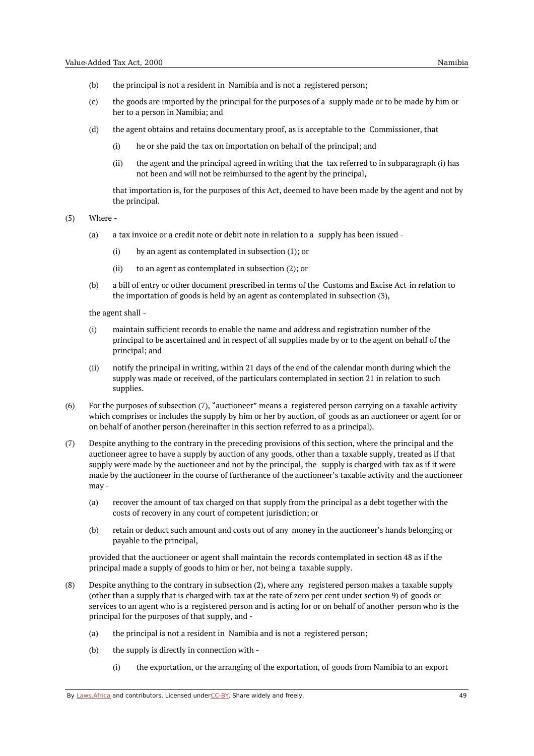- (b) the principal is not a resident in Namibia and is not a registered person;
- (c) the goods are imported by the principal for the purposes of a supply made or to be made by him or her to a person in Namibia; and
- (d) the agent obtains and retains documentary proof, as is acceptable to the Commissioner, that
	- (i) he or she paid the tax on importation on behalf of the principal; and
	- $(i)$ the agent and the principal agreed in writing that the tax referred to in subparagraph (i) has not been and will not be reimbursed to the agent by the principal,

that importation is, for the purposes of this Act, deemed to have been made by the agent and not by the principal.

(5) Where -

- (a) a tax invoice or a credit note or debit note in relation to a supply has been issued -
	- (i) by an agent as contemplated in subsection (1); or
	- (ii) to an agent as contemplated in subsection (2); or
- (b) a bill of entry or other document prescribed in terms of the Customs and Excise Act in relation to the importation of goods is held by an agent as contemplated in subsection (3),

the agent shall -

- (i) maintain sufficient records to enable the name and address and registration number of the principal to be ascertained and in respect of all supplies made by or to the agent on behalf of the principal; and
- (ii) notify the principal in writing, within 21 days of the end of the calendar month during which the supply was made or received, of the particulars contemplated in section 21 in relation to such supplies.
- (6) For the purposes of subsection (7), "auctioneer" means a registered person carrying on a taxable activity which comprises or includes the supply by him or her by auction, of goods as an auctioneer or agent for or on behalf of another person (hereinafter in this section referred to as a principal).
- (7) Despite anything to the contrary in the preceding provisions of this section, where the principal and the auctioneer agree to have a supply by auction of any goods, other than a taxable supply, treated as if that supply were made by the auctioneer and not by the principal, the supply is charged with tax as if it were made by the auctioneer in the course of furtherance of the auctioneer's taxable activity and the auctioneer may -
	- (a) recover the amount of tax charged on that supply from the principal as a debt together with the costs of recovery in any court of competent jurisdiction; or
	- (b) retain or deduct such amount and costs out of any money in the auctioneer's hands belonging or payable to the principal,

provided that the auctioneer or agent shall maintain the records contemplated in section 48 as if the principal made a supply of goods to him or her, not being a taxable supply.

- (8) Despite anything to the contrary in subsection (2), where any registered person makes a taxable supply (other than a supply that is charged with tax at the rate of zero per cent under section 9) of goods or services to an agent who is a registered person and is acting for or on behalf of another person who is the principal for the purposes of that supply, and -
	- (a) the principal is not a resident in Namibia and is not a registered person;
	- (b) the supply is directly in connection with -
		- (i) the exportation, or the arranging of the exportation, of goods from Namibia to an export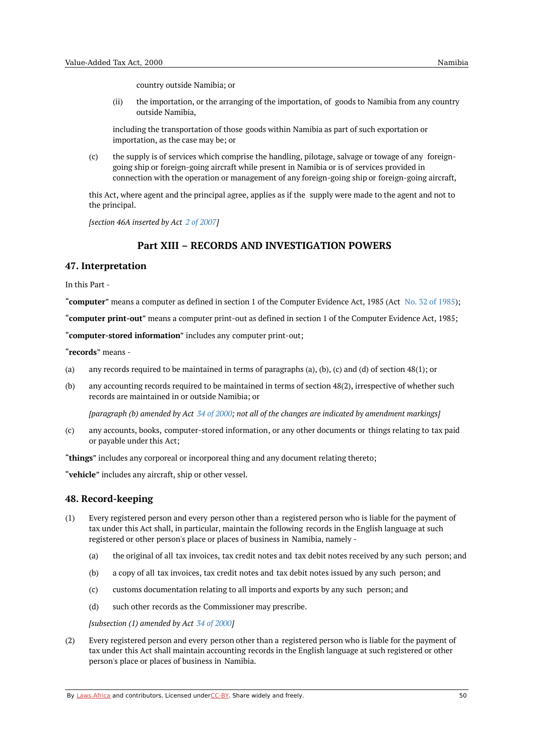country outside Namibia; or

(ii) the importation, or the arranging of the importation, of goods to Namibia from any country outside Namibia,

including the transportation of those goods within Namibia as part of such exportation or importation, as the case may be; or

(c) the supply is of services which comprise the handling, pilotage, salvage or towage of any foreigngoing ship or foreign-going aircraft while present in Namibia or is of services provided in connection with the operation or management of any foreign-going ship or foreign-going aircraft,

this Act, where agent and the principal agree, applies as if the supply were made to the agent and not to the principal.

*[section 46A inserted by Act 2 of [2007](https://namiblii.org/akn/na/act/2007/2)]*

# **Part XIII – RECORDS AND INVESTIGATION POWERS**

### **47. Interpretation**

In this Part -

"**computer**" means a computer as defined in section 1 of the Computer Evidence Act, 1985 (Act No. 32 of [1985](https://namiblii.org/akn/na/act/1985/32));

"**computer print-out**" means a computer print-out as defined in section 1 of the Computer Evidence Act, 1985;

"**computer-stored information**" includes any computer print-out;

"**records**" means -

- (a) any records required to be maintained in terms of paragraphs (a), (b), (c) and (d) of section 48(1); or
- (b) any accounting records required to be maintained in terms of section 48(2), irrespective of whether such records are maintained in or outside Namibia; or

[paragraph (b) amended by Act 34 of [2000](https://namiblii.org/akn/na/act/2000/34); not all of the changes are indicated by amendment markings]

(c) any accounts, books, computer-stored information, or any other documents or things relating to tax paid or payable under this Act;

"**things**" includes any corporeal or incorporeal thing and any document relating thereto;

"**vehicle**" includes any aircraft, ship or other vessel.

### **48. Record-keeping**

- (1) Every registered person and every person other than a registered person who is liable for the payment of tax under this Act shall, in particular, maintain the following records in the English language at such registered or other person's place or places of business in Namibia, namely -
	- (a) the original of all tax invoices, tax credit notes and tax debit notes received by any such person; and
	- (b) a copy of all tax invoices, tax credit notes and tax debit notes issued by any such person; and
	- (c) customs documentation relating to all imports and exports by any such person; and
	- (d) such other records as the Commissioner may prescribe.

*[subsection (1) amended by Act 34 of [2000](https://namiblii.org/akn/na/act/2000/34)]*

(2) Every registered person and every person other than a registered person who is liable for the payment of tax under this Act shall maintain accounting records in the English language at such registered or other person's place or places of business in Namibia.

By [Laws.Africa](https://edit.laws.africa/widgets/pdf-attribution) and contributors. Licensed und[erCC-B](https://edit.laws.africa/widgets/pdf-cc-by)Y. Share widely and freely. 50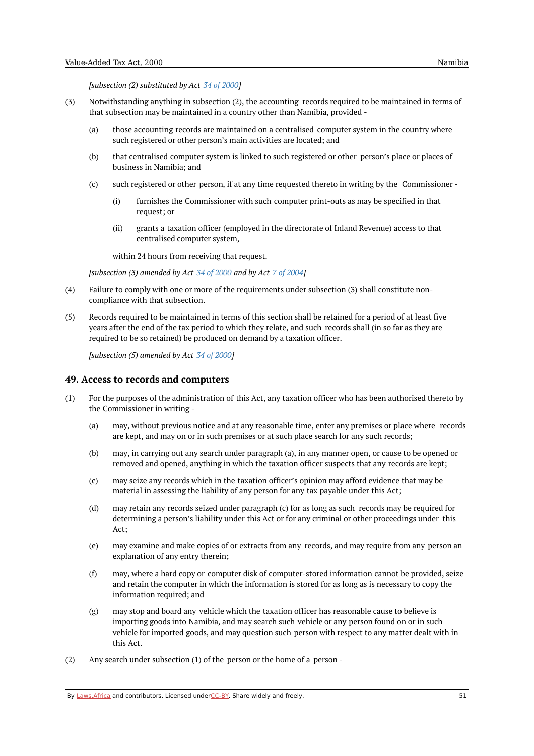*[subsection (2) substituted by Act 34 of [2000\]](https://namiblii.org/akn/na/act/2000/34)*

- (3) Notwithstanding anything in subsection (2), the accounting records required to be maintained in terms of that subsection may be maintained in a country other than Namibia, provided -
	- (a) those accounting records are maintained on a centralised computer system in the country where such registered or other person's main activities are located; and
	- (b) that centralised computer system is linked to such registered or other person's place or places of business in Namibia; and
	- (c) such registered or other person, if at any time requested thereto in writing by the Commissioner -
		- (i) furnishes the Commissioner with such computer print-outs as may be specified in that request; or
		- (ii) grants a taxation officer (employed in the directorate of Inland Revenue) access to that centralised computer system,

within 24 hours from receiving that request.

*[subsection (3) amended by Act 34 of [2000](https://namiblii.org/akn/na/act/2000/34) and by Act 7 of [2004](https://namiblii.org/akn/na/act/2004/7)]*

- $(4)$ Failure to comply with one or more of the requirements under subsection (3) shall constitute noncompliance with that subsection.
- (5) Records required to be maintained in terms of this section shall be retained for a period of at least five years after the end of the tax period to which they relate, and such records shall (in so far as they are required to be so retained) be produced on demand by a taxation officer.

*[subsection (5) amended by Act 34 of [2000](https://namiblii.org/akn/na/act/2000/34)]*

#### **49. Access to records and computers**

- (1) For the purposes of the administration of this Act, any taxation officer who has been authorised thereto by the Commissioner in writing -
	- (a) may, without previous notice and at any reasonable time, enter any premises or place where records are kept, and may on or in such premises or at such place search for any such records;
	- (b) may, in carrying out any search under paragraph (a), in any manner open, or cause to be opened or removed and opened, anything in which the taxation officer suspects that any records are kept;
	- (c) may seize any records which in the taxation officer's opinion may afford evidence that may be material in assessing the liability of any person for any tax payable under this Act;
	- (d) may retain any records seized under paragraph (c) for as long as such records may be required for determining a person's liability under this Act or for any criminal or other proceedings under this Act;
	- (e) may examine and make copies of or extracts from any records, and may require from any person an explanation of any entry therein;
	- (f) may, where a hard copy or computer disk of computer-stored information cannot be provided, seize and retain the computer in which the information is stored for as long as is necessary to copy the information required; and
	- (g) may stop and board any vehicle which the taxation officer has reasonable cause to believe is importing goods into Namibia, and may search such vehicle or any person found on or in such vehicle for imported goods, and may question such person with respect to any matter dealt with in this Act.
- (2) Any search under subsection (1) of the person or the home of a person -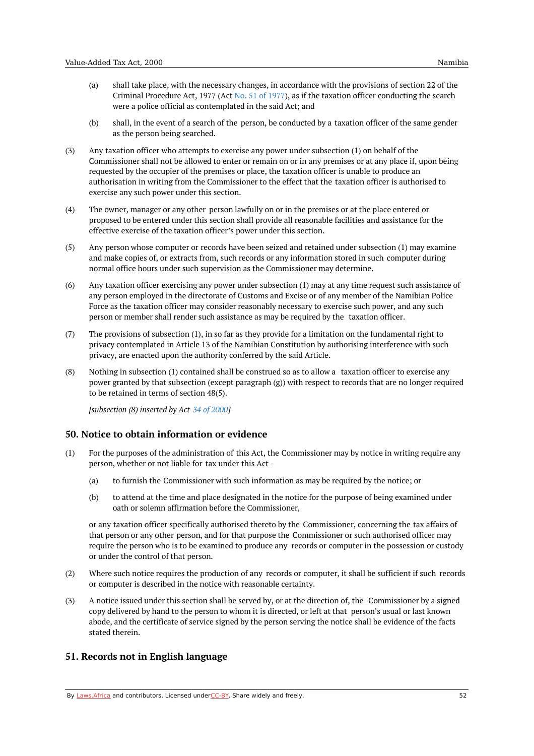- (b) shall, in the event of a search of the person, be conducted by a taxation officer of the same gender as the person being searched.
- (3) Any taxation officer who attempts to exercise any power under subsection (1) on behalf of the Commissioner shall not be allowed to enter or remain on or in any premises or at any place if, upon being requested by the occupier of the premises or place, the taxation officer is unable to produce an authorisation in writing from the Commissioner to the effect that the taxation officer is authorised to exercise any such power under this section.
- (4) The owner, manager or any other person lawfully on or in the premises or at the place entered or proposed to be entered under this section shall provide all reasonable facilities and assistance for the effective exercise of the taxation officer's power under this section.
- (5) Any person whose computer or records have been seized and retained under subsection (1) may examine and make copies of, or extracts from, such records or any information stored in such computer during normal office hours under such supervision as the Commissioner may determine.
- (6) Any taxation officer exercising any power under subsection (1) may at any time request such assistance of any person employed in the directorate of Customs and Excise or of any member of the Namibian Police Force as the taxation officer may consider reasonably necessary to exercise such power, and any such person or member shall render such assistance as may be required by the taxation officer.
- (7) The provisions of subsection (1), in so far as they provide for a limitation on the fundamental right to privacy contemplated in Article 13 of the Namibian Constitution by authorising interference with such privacy, are enacted upon the authority conferred by the said Article.
- (8) Nothing in subsection (1) contained shall be construed so as to allow a taxation officer to exercise any power granted by that subsection (except paragraph (g)) with respect to records that are no longer required to be retained in terms of section 48(5).

*[subsection (8) inserted by Act 34 of [2000](https://namiblii.org/akn/na/act/2000/34)]*

### **50. Notice to obtain information or evidence**

- (1) For the purposes of the administration of this Act, the Commissioner may by notice in writing require any person, whether or not liable for tax under this Act -
	- (a) to furnish the Commissioner with such information as may be required by the notice; or
	- (b) to attend at the time and place designated in the notice for the purpose of being examined under oath or solemn affirmation before the Commissioner,

or any taxation officer specifically authorised thereto by the Commissioner, concerning the tax affairs of that person or any other person, and for that purpose the Commissioner or such authorised officer may require the person who is to be examined to produce any records or computer in the possession or custody or under the control of that person.

- (2) Where such notice requires the production of any records or computer, it shall be sufficient if such records or computer is described in the notice with reasonable certainty.
- (3) A notice issued under this section shall be served by, or at the direction of, the Commissioner by a signed copy delivered by hand to the person to whom it is directed, or left at that person's usual or last known abode, and the certificate of service signed by the person serving the notice shall be evidence of the facts stated therein.

# **51. Records not in English language**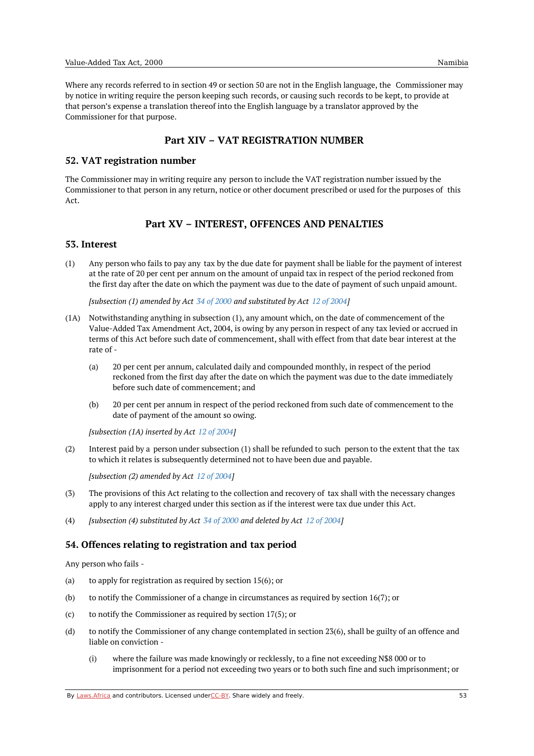Where any records referred to in section 49 or section 50 are not in the English language, the Commissioner may by notice in writing require the person keeping such records, or causing such records to be kept, to provide at that person's expense a translation thereof into the English language by a translator approved by the Commissioner for that purpose.

# **Part XIV – VAT REGISTRATION NUMBER**

### **52. VAT registration number**

The Commissioner may in writing require any person to include the VAT registration number issued by the Commissioner to that person in any return, notice or other document prescribed or used for the purposes of this Act.

# **Part XV – INTEREST, OFFENCES AND PENALTIES**

### **53. Interest**

(1) Any person who fails to pay any tax by the due date for payment shall be liable for the payment of interest at the rate of 20 per cent per annum on the amount of unpaid tax in respect of the period reckoned from the first day after the date on which the payment was due to the date of payment of such unpaid amount.

*[subsection (1) amended by Act 34 of [2000](https://namiblii.org/akn/na/act/2000/34) and substituted by Act 12 of [2004](https://namiblii.org/akn/na/act/2004/12)]*

- (1A) Notwithstanding anything in subsection (1), any amount which, on the date of commencement of the Value-Added Tax Amendment Act, 2004, is owing by any person in respect of any tax levied or accrued in terms of this Act before such date of commencement, shall with effect from that date bear interest at the rate of -
	- (a) 20 per cent per annum, calculated daily and compounded monthly, in respect of the period reckoned from the first day after the date on which the payment was due to the date immediately before such date of commencement; and
	- (b) 20 per cent per annum in respect of the period reckoned from such date of commencement to the date of payment of the amount so owing.

*[subsection (1A) inserted by Act 12 of [2004](https://namiblii.org/akn/na/act/2004/12)]*

(2) Interest paid by a person under subsection (1) shall be refunded to such person to the extent that the tax to which it relates is subsequently determined not to have been due and payable.

*[subsection (2) amended by Act 12 of [2004](https://namiblii.org/akn/na/act/2004/12)]*

- (3) The provisions of this Act relating to the collection and recovery of tax shall with the necessary changes apply to any interest charged under this section as if the interest were tax due under this Act.
- (4) *[subsection (4) substituted by Act 34 of [2000](https://namiblii.org/akn/na/act/2000/34) and deleted by Act 12 of [2004\]](https://namiblii.org/akn/na/act/2004/12)*

# **54. Offences relating to registration and tax period**

Any person who fails -

- (a) to apply for registration as required by section 15(6); or
- (b) to notify the Commissioner of a change in circumstances as required by section 16(7); or
- (c) to notify the Commissioner as required by section 17(5); or
- (d) to notify the Commissioner of any change contemplated in section 23(6), shall be guilty of an offence and liable on conviction -
	- (i) where the failure was made knowingly or recklessly, to a fine not exceeding N\$8 000 or to imprisonment for a period not exceeding two years or to both such fine and such imprisonment; or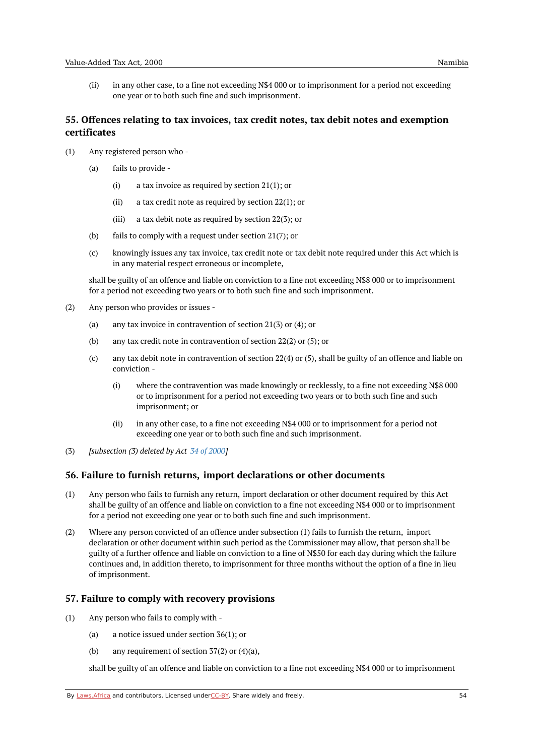(ii) in any other case, to a fine not exceeding N\$4 000 or to imprisonment for a period not exceeding one year or to both such fine and such imprisonment.

# **55. Offences relating to tax invoices, tax credit notes, tax debit notes and exemption certificates**

- (1) Any registered person who -
	- (a) fails to provide -
		- (i) a tax invoice as required by section 21(1); or
		- (ii) a tax credit note as required by section 22(1); or
		- (iii) a tax debit note as required by section 22(3); or
	- (b) fails to comply with a request under section 21(7); or
	- (c) knowingly issues any tax invoice, tax credit note or tax debit note required under this Act which is in any material respect erroneous or incomplete,

shall be guilty of an offence and liable on conviction to a fine not exceeding N\$8 000 or to imprisonment for a period not exceeding two years or to both such fine and such imprisonment.

- (2) Any person who provides or issues -
	- (a) any tax invoice in contravention of section 21(3) or (4); or
	- (b) any tax credit note in contravention of section 22(2) or (5); or
	- $(c)$ any tax debit note in contravention of section 22(4) or (5), shall be guilty of an offence and liable on conviction -
		- (i) where the contravention was made knowingly or recklessly, to a fine not exceeding N\$8 000 or to imprisonment for a period not exceeding two years or to both such fine and such imprisonment; or
		- (ii) in any other case, to a fine not exceeding N\$4 000 or to imprisonment for a period not exceeding one year or to both such fine and such imprisonment.
- (3) *[subsection (3) deleted by Act 34 of [2000](https://namiblii.org/akn/na/act/2000/34)]*

### **56. Failure to furnish returns, import declarations or other documents**

- (1) Any person who fails to furnish any return, import declaration or other document required by this Act shall be guilty of an offence and liable on conviction to a fine not exceeding N\$4 000 or to imprisonment for a period not exceeding one year or to both such fine and such imprisonment.
- (2) Where any person convicted of an offence under subsection (1) fails to furnish the return, import declaration or other document within such period as the Commissioner may allow, that person shall be guilty of a further offence and liable on conviction to a fine of N\$50 for each day during which the failure continues and, in addition thereto, to imprisonment for three months without the option of a fine in lieu of imprisonment.

### **57. Failure to comply with recovery provisions**

- (1) Any person who fails to comply with -
	- (a) a notice issued under section 36(1); or
	- (b) any requirement of section 37(2) or (4)(a),

shall be guilty of an offence and liable on conviction to a fine not exceeding N\$4 000 or to imprisonment

By [Laws.Africa](https://edit.laws.africa/widgets/pdf-attribution) and contributors. Licensed und[erCC-B](https://edit.laws.africa/widgets/pdf-cc-by)Y. Share widely and freely. 54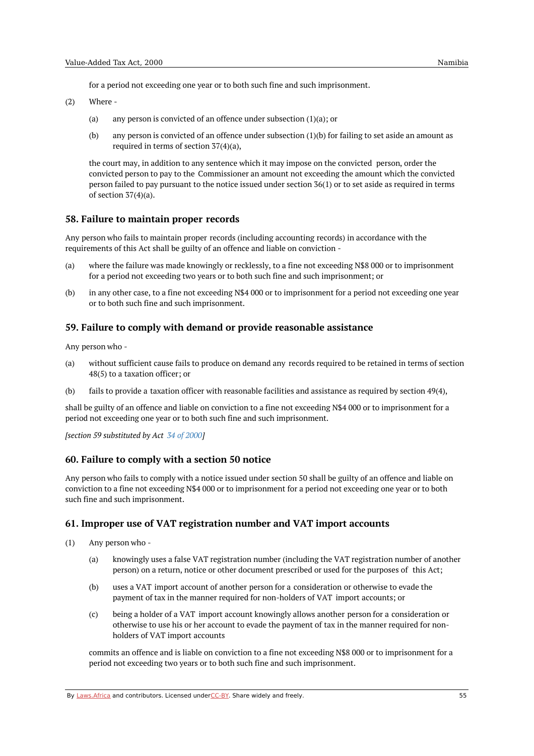for a period not exceeding one year or to both such fine and such imprisonment.

(2) Where -

- (a) any person is convicted of an offence under subsection (1)(a); or
- $(h)$ any person is convicted of an offence under subsection (1)(b) for failing to set aside an amount as required in terms of section 37(4)(a),

the court may, in addition to any sentence which it may impose on the convicted person, order the convicted person to pay to the Commissioner an amount not exceeding the amount which the convicted person failed to pay pursuant to the notice issued under section 36(1) or to set aside as required in terms of section 37(4)(a).

### **58. Failure to maintain proper records**

Any person who fails to maintain proper records (including accounting records) in accordance with the requirements of this Act shall be guilty of an offence and liable on conviction -

- $(a)$ where the failure was made knowingly or recklessly, to a fine not exceeding N\$8 000 or to imprisonment for a period not exceeding two years or to both such fine and such imprisonment; or
- $(h)$ in any other case, to a fine not exceeding N\$4 000 or to imprisonment for a period not exceeding one year or to both such fine and such imprisonment.

## **59. Failure to comply with demand or provide reasonable assistance**

Any person who -

- (a) without sufficient cause fails to produce on demand any records required to be retained in terms of section 48(5) to a taxation officer; or
- (b) fails to provide a taxation officer with reasonable facilities and assistance as required by section 49(4),

shall be guilty of an offence and liable on conviction to a fine not exceeding N\$4 000 or to imprisonment for a period not exceeding one year or to both such fine and such imprisonment.

*[section 59 substituted by Act 34 of [2000](https://namiblii.org/akn/na/act/2000/34)]*

### **60. Failure to comply with a section 50 notice**

Any person who fails to comply with a notice issued under section 50 shall be guilty of an offence and liable on conviction to a fine not exceeding N\$4 000 or to imprisonment for a period not exceeding one year or to both such fine and such imprisonment.

### **61. Improper use of VAT registration number and VAT import accounts**

(1) Any person who -

- (a) knowingly uses a false VAT registration number (including the VAT registration number of another person) on a return, notice or other document prescribed or used for the purposes of this Act;
- (b) uses a VAT import account of another person for a consideration or otherwise to evade the payment of tax in the manner required for non-holders of VAT import accounts; or
- (c) being a holder of a VAT import account knowingly allows another person for a consideration or otherwise to use his or her account to evade the payment of tax in the manner required for nonholders of VAT import accounts

commits an offence and is liable on conviction to a fine not exceeding N\$8 000 or to imprisonment for a period not exceeding two years or to both such fine and such imprisonment.

By [Laws.Africa](https://edit.laws.africa/widgets/pdf-attribution) and contributors. Licensed und[erCC-B](https://edit.laws.africa/widgets/pdf-cc-by)Y. Share widely and freely.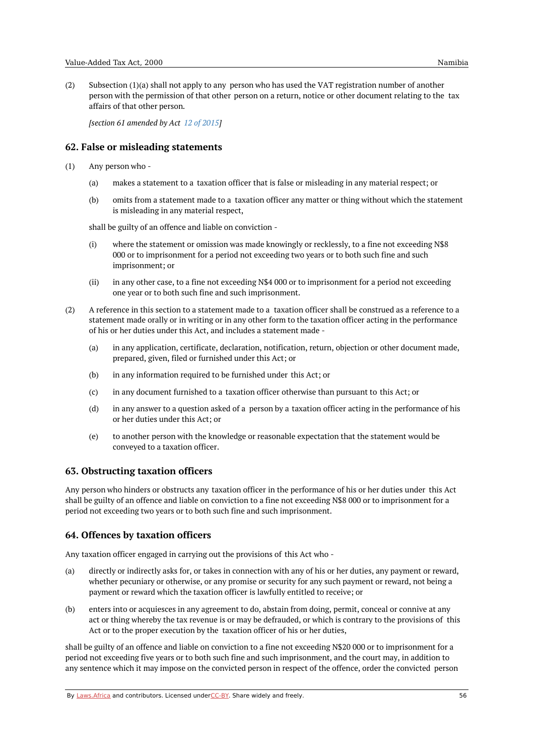(2) Subsection (1)(a) shall not apply to any person who has used the VAT registration number of another person with the permission of that other person on a return, notice or other document relating to the tax affairs of that other person.

*[section 61 amended by Act 12 of [2015](https://namiblii.org/akn/na/act/2015/12)]*

### **62. False or misleading statements**

- (1) Any person who -
	- (a) makes a statement to a taxation officer that is false or misleading in any material respect; or
	- (b) omits from a statement made to a taxation officer any matter or thing without which the statement is misleading in any material respect,

shall be guilty of an offence and liable on conviction -

- (i) where the statement or omission was made knowingly or recklessly, to a fine not exceeding N\$8 000 or to imprisonment for a period not exceeding two years or to both such fine and such imprisonment; or
- (ii) in any other case, to a fine not exceeding N\$4 000 or to imprisonment for a period not exceeding one year or to both such fine and such imprisonment.
- (2) A reference in this section to a statement made to a taxation officer shall be construed as a reference to a statement made orally or in writing or in any other form to the taxation officer acting in the performance of his or her duties under this Act, and includes a statement made -
	- (a) in any application, certificate, declaration, notification, return, objection or other document made, prepared, given, filed or furnished under this Act; or
	- (b) in any information required to be furnished under this Act; or
	- (c) in any document furnished to a taxation officer otherwise than pursuant to this Act; or
	- (d) in any answer to a question asked of a person by a taxation officer acting in the performance of his or her duties under this Act; or
	- (e) to another person with the knowledge or reasonable expectation that the statement would be conveyed to a taxation officer.

### **63. Obstructing taxation officers**

Any person who hinders or obstructs any taxation officer in the performance of his or her duties under this Act shall be guilty of an offence and liable on conviction to a fine not exceeding N\$8 000 or to imprisonment for a period not exceeding two years or to both such fine and such imprisonment.

# **64. Offences by taxation officers**

Any taxation officer engaged in carrying out the provisions of this Act who -

- (a) directly or indirectly asks for, or takes in connection with any of his or her duties, any payment or reward, whether pecuniary or otherwise, or any promise or security for any such payment or reward, not being a payment or reward which the taxation officer is lawfully entitled to receive; or
- (b) enters into or acquiesces in any agreement to do, abstain from doing, permit, conceal or connive at any act or thing whereby the tax revenue is or may be defrauded, or which is contrary to the provisions of this Act or to the proper execution by the taxation officer of his or her duties,

shall be guilty of an offence and liable on conviction to a fine not exceeding N\$20 000 or to imprisonment for a period not exceeding five years or to both such fine and such imprisonment, and the court may, in addition to any sentence which it may impose on the convicted person in respect of the offence, order the convicted person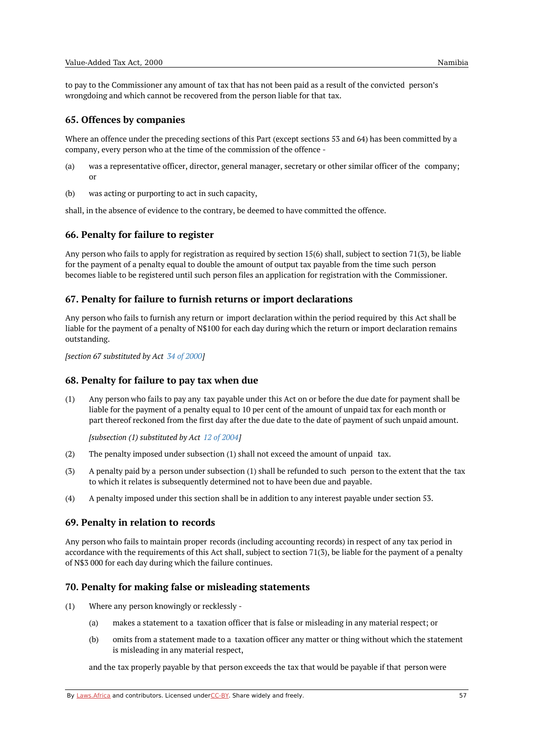to pay to the Commissioner any amount of tax that has not been paid as a result of the convicted person's wrongdoing and which cannot be recovered from the person liable for that tax.

### **65. Offences by companies**

Where an offence under the preceding sections of this Part (except sections 53 and 64) has been committed by a company, every person who at the time of the commission of the offence -

- (a) was a representative officer, director, general manager, secretary or other similar officer of the company; or
- $(h)$ was acting or purporting to act in such capacity,

shall, in the absence of evidence to the contrary, be deemed to have committed the offence.

#### **66. Penalty for failure to register**

Any person who fails to apply for registration as required by section 15(6) shall, subject to section 71(3), be liable for the payment of a penalty equal to double the amount of output tax payable from the time such person becomes liable to be registered until such person files an application for registration with the Commissioner.

#### **67. Penalty for failure to furnish returns or import declarations**

Any person who fails to furnish any return or import declaration within the period required by this Act shall be liable for the payment of a penalty of N\$100 for each day during which the return or import declaration remains outstanding.

*[section 67 substituted by Act 34 of [2000](https://namiblii.org/akn/na/act/2000/34)]*

#### **68. Penalty for failure to pay tax when due**

(1) Any person who fails to pay any tax payable under this Act on or before the due date for payment shall be liable for the payment of a penalty equal to 10 per cent of the amount of unpaid tax for each month or part thereof reckoned from the first day after the due date to the date of payment of such unpaid amount.

*[subsection (1) substituted by Act 12 of [2004\]](https://namiblii.org/akn/na/act/2004/12)*

- (2) The penalty imposed under subsection (1) shall not exceed the amount of unpaid tax.
- (3) A penalty paid by a person under subsection (1) shall be refunded to such person to the extent that the tax to which it relates is subsequently determined not to have been due and payable.
- $(4)$ A penalty imposed under this section shall be in addition to any interest payable under section 53.

#### **69. Penalty in relation to records**

Any person who fails to maintain proper records (including accounting records) in respect of any tax period in accordance with the requirements of this Act shall, subject to section 71(3), be liable for the payment of a penalty of N\$3 000 for each day during which the failure continues.

#### **70. Penalty for making false or misleading statements**

- (1) Where any person knowingly or recklessly -
	- (a) makes a statement to a taxation officer that is false or misleading in any material respect; or
	- (b) omits from a statement made to a taxation officer any matter or thing without which the statement is misleading in any material respect,

and the tax properly payable by that person exceeds the tax that would be payable if that person were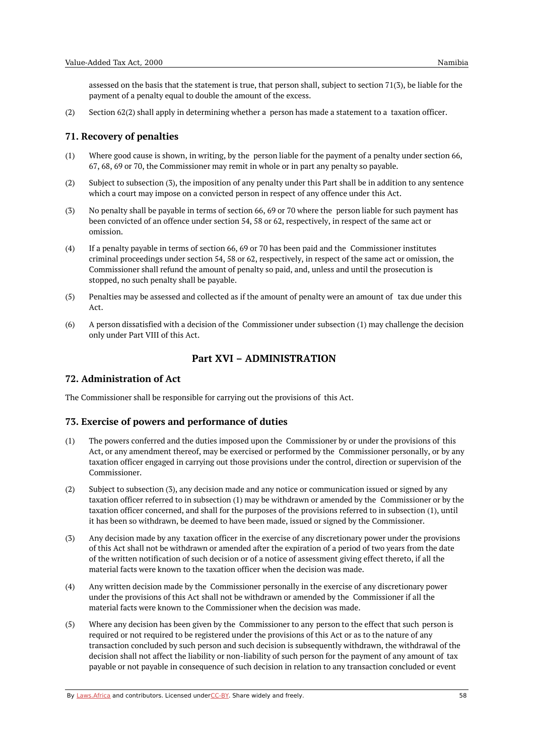assessed on the basis that the statement is true, that person shall, subject to section 71(3), be liable for the payment of a penalty equal to double the amount of the excess.

(2) Section 62(2) shall apply in determining whether a person has made a statement to a taxation officer.

## **71. Recovery of penalties**

- (1) Where good cause is shown, in writing, by the person liable for the payment of a penalty under section 66, 67, 68, 69 or 70, the Commissioner may remit in whole or in part any penalty so payable.
- (2) Subject to subsection (3), the imposition of any penalty under this Part shall be in addition to any sentence which a court may impose on a convicted person in respect of any offence under this Act.
- (3) No penalty shall be payable in terms of section 66, 69 or 70 where the person liable for such payment has been convicted of an offence under section 54, 58 or 62, respectively, in respect of the same act or omission.
- (4) If a penalty payable in terms of section 66, 69 or 70 has been paid and the Commissioner institutes criminal proceedings under section 54, 58 or 62, respectively, in respect of the same act or omission, the Commissioner shall refund the amount of penalty so paid, and, unless and until the prosecution is stopped, no such penalty shall be payable.
- (5) Penalties may be assessed and collected as if the amount of penalty were an amount of tax due under this Act.
- (6) A person dissatisfied with a decision of the Commissioner under subsection (1) may challenge the decision only under Part VIII of this Act.

# **Part XVI – ADMINISTRATION**

# **72. Administration of Act**

The Commissioner shall be responsible for carrying out the provisions of this Act.

### **73. Exercise of powers and performance of duties**

- (1) The powers conferred and the duties imposed upon the Commissioner by or under the provisions of this Act, or any amendment thereof, may be exercised or performed by the Commissioner personally, or by any taxation officer engaged in carrying out those provisions under the control, direction or supervision of the Commissioner.
- (2) Subject to subsection (3), any decision made and any notice or communication issued or signed by any taxation officer referred to in subsection (1) may be withdrawn or amended by the Commissioner or by the taxation officer concerned, and shall for the purposes of the provisions referred to in subsection (1), until it has been so withdrawn, be deemed to have been made, issued or signed by the Commissioner.
- (3) Any decision made by any taxation officer in the exercise of any discretionary power under the provisions of this Act shall not be withdrawn or amended after the expiration of a period of two years from the date of the written notification of such decision or of a notice of assessment giving effect thereto, if all the material facts were known to the taxation officer when the decision was made.
- (4) Any written decision made by the Commissioner personally in the exercise of any discretionary power under the provisions of this Act shall not be withdrawn or amended by the Commissioner if all the material facts were known to the Commissioner when the decision was made.
- (5) Where any decision has been given by the Commissioner to any person to the effect that such person is required or not required to be registered under the provisions of this Act or as to the nature of any transaction concluded by such person and such decision is subsequently withdrawn, the withdrawal of the decision shall not affect the liability or non-liability of such person for the payment of any amount of tax payable or not payable in consequence of such decision in relation to any transaction concluded or event

By [Laws.Africa](https://edit.laws.africa/widgets/pdf-attribution) and contributors. Licensed und[erCC-B](https://edit.laws.africa/widgets/pdf-cc-by)Y. Share widely and freely. 58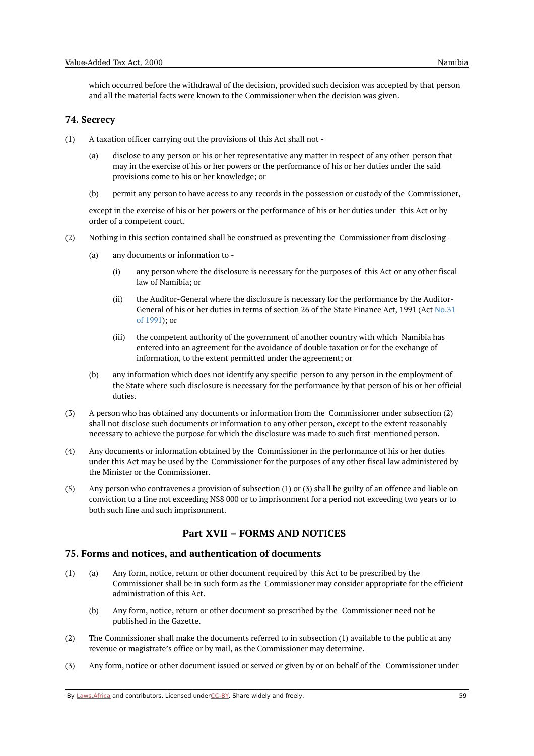which occurred before the withdrawal of the decision, provided such decision was accepted by that person and all the material facts were known to the Commissioner when the decision was given.

### **74. Secrecy**

- (1) A taxation officer carrying out the provisions of this Act shall not -
	- (a) disclose to any person or his or her representative any matter in respect of any other person that may in the exercise of his or her powers or the performance of his or her duties under the said provisions come to his or her knowledge; or
	- (b) permit any person to have access to any records in the possession or custody of the Commissioner,

except in the exercise of his or her powers or the performance of his or her duties under this Act or by order of a competent court.

- (2) Nothing in this section contained shall be construed as preventing the Commissioner from disclosing -
	- (a) any documents or information to -
		- (i) any person where the disclosure is necessary for the purposes of this Act or any other fiscal law of Namibia; or
		- (ii) the Auditor-General where the disclosure is necessary for the performance by the Auditor-General of his or her duties in terms of section 26 of the State [Finance](https://namiblii.org/akn/na/act/1991/31) Act, 1991 (Act No.31 of 1991); or
		- (iii) the competent authority of the government of another country with which Namibia has entered into an agreement for the avoidance of double taxation or for the exchange of information, to the extent permitted under the agreement; or
	- (b) any information which does not identify any specific person to any person in the employment of the State where such disclosure is necessary for the performance by that person of his or her official duties.
- (3) A person who has obtained any documents or information from the Commissioner under subsection (2) shall not disclose such documents or information to any other person, except to the extent reasonably necessary to achieve the purpose for which the disclosure was made to such first-mentioned person.
- (4) Any documents or information obtained by the Commissioner in the performance of his or her duties under this Act may be used by the Commissioner for the purposes of any other fiscal law administered by the Minister or the Commissioner.
- (5) Any person who contravenes a provision of subsection (1) or (3) shall be guilty of an offence and liable on conviction to a fine not exceeding N\$8 000 or to imprisonment for a period not exceeding two years or to both such fine and such imprisonment.

# **Part XVII – FORMS AND NOTICES**

# **75. Forms and notices, and authentication of documents**

- (a) (1) Any form, notice, return or other document required by this Act to be prescribed by the Commissioner shall be in such form as the Commissioner may consider appropriate for the efficient administration of this Act.
	- (b) Any form, notice, return or other document so prescribed by the Commissioner need not be published in the Gazette.
- (2) The Commissioner shall make the documents referred to in subsection (1) available to the public at any revenue or magistrate's office or by mail, as the Commissioner may determine.
- (3) Any form, notice or other document issued or served or given by or on behalf of the Commissioner under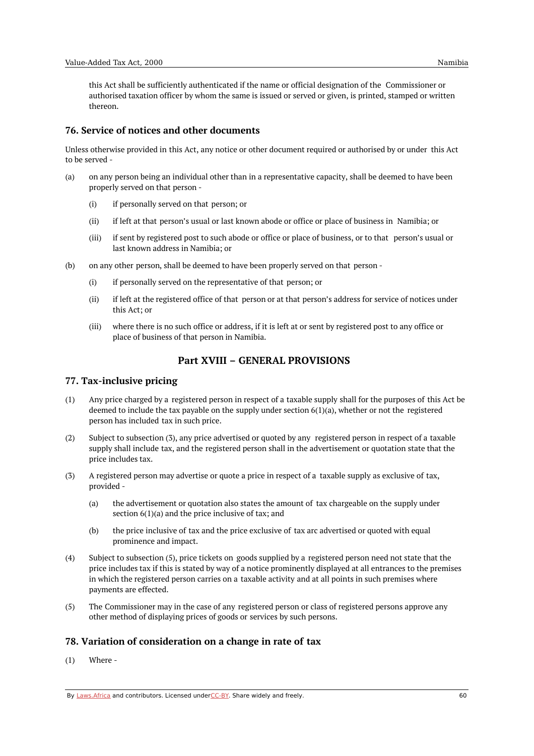this Act shall be sufficiently authenticated if the name or official designation of the Commissioner or authorised taxation officer by whom the same is issued or served or given, is printed, stamped or written thereon.

## **76. Service of notices and other documents**

Unless otherwise provided in this Act, any notice or other document required or authorised by or under this Act to be served -

- (a) on any person being an individual other than in a representative capacity, shall be deemed to have been properly served on that person -
	- (i) if personally served on that person; or
	- (ii) if left at that person's usual or last known abode or office or place of business in Namibia; or
	- (iii) if sent by registered post to such abode or office or place of business, or to that person's usual or last known address in Namibia; or
- $(h)$ on any other person, shall be deemed to have been properly served on that person -
	- (i) if personally served on the representative of that person; or
	- (ii) if left at the registered office of that person or at that person's address for service of notices under this Act; or
	- (iii) where there is no such office or address, if it is left at or sent by registered post to any office or place of business of that person in Namibia.

# **Part XVIII – GENERAL PROVISIONS**

# **77. Tax-inclusive pricing**

- (1) Any price charged by a registered person in respect of a taxable supply shall for the purposes of this Act be deemed to include the tax payable on the supply under section  $6(1)(a)$ , whether or not the registered person has included tax in such price.
- (2) Subject to subsection (3), any price advertised or quoted by any registered person in respect of a taxable supply shall include tax, and the registered person shall in the advertisement or quotation state that the price includes tax.
- (3) A registered person may advertise or quote a price in respect of a taxable supply as exclusive of tax, provided -
	- (a) the advertisement or quotation also states the amount of tax chargeable on the supply under section  $6(1)(a)$  and the price inclusive of tax; and
	- (b) the price inclusive of tax and the price exclusive of tax arc advertised or quoted with equal prominence and impact.
- (4) Subject to subsection (5), price tickets on goods supplied by a registered person need not state that the price includes tax if this is stated by way of a notice prominently displayed at all entrances to the premises in which the registered person carries on a taxable activity and at all points in such premises where payments are effected.
- (5) The Commissioner may in the case of any registered person or class of registered persons approve any other method of displaying prices of goods or services by such persons.

# **78. Variation of consideration on a change in rate of tax**

(1) Where -

By [Laws.Africa](https://edit.laws.africa/widgets/pdf-attribution) and contributors. Licensed und[erCC-B](https://edit.laws.africa/widgets/pdf-cc-by)Y. Share widely and freely. 60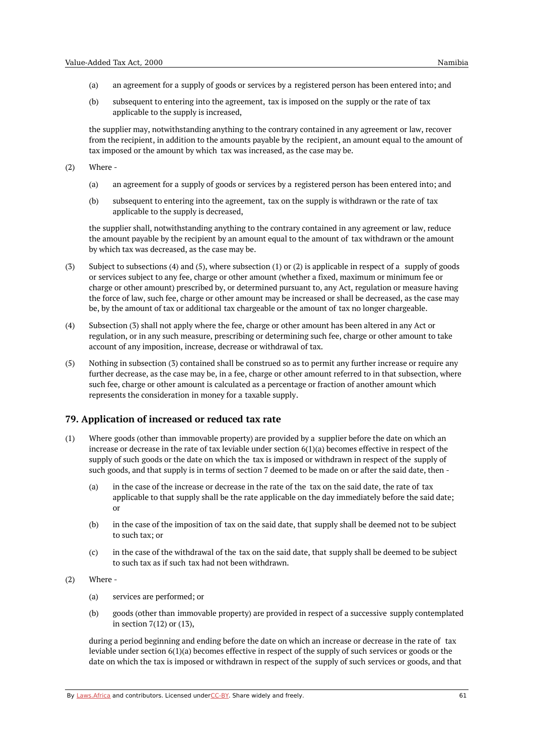- (a) an agreement for a supply of goods or services by a registered person has been entered into; and
- (b) subsequent to entering into the agreement, tax is imposed on the supply or the rate of tax applicable to the supply is increased,

the supplier may, notwithstanding anything to the contrary contained in any agreement or law, recover from the recipient, in addition to the amounts payable by the recipient, an amount equal to the amount of tax imposed or the amount by which tax was increased, as the case may be.

(2) Where -

- (a) an agreement for a supply of goods or services by a registered person has been entered into; and
- (b) subsequent to entering into the agreement, tax on the supply is withdrawn or the rate of tax applicable to the supply is decreased,

the supplier shall, notwithstanding anything to the contrary contained in any agreement or law, reduce the amount payable by the recipient by an amount equal to the amount of tax withdrawn or the amount by which tax was decreased, as the case may be.

- (3) Subject to subsections (4) and (5), where subsection (1) or (2) is applicable in respect of a supply of goods or services subject to any fee, charge or other amount (whether a fixed, maximum or minimum fee or charge or other amount) prescribed by, or determined pursuant to, any Act, regulation or measure having the force of law, such fee, charge or other amount may be increased or shall be decreased, as the case may be, by the amount of tax or additional tax chargeable or the amount of tax no longer chargeable.
- (4) Subsection (3) shall not apply where the fee, charge or other amount has been altered in any Act or regulation, or in any such measure, prescribing or determining such fee, charge or other amount to take account of any imposition, increase, decrease or withdrawal of tax.
- (5) Nothing in subsection (3) contained shall be construed so as to permit any further increase or require any further decrease, as the case may be, in a fee, charge or other amount referred to in that subsection, where such fee, charge or other amount is calculated as a percentage or fraction of another amount which represents the consideration in money for a taxable supply.

# **79. Application of increased or reduced tax rate**

- (1) Where goods (other than immovable property) are provided by a supplier before the date on which an increase or decrease in the rate of tax leviable under section 6(1)(a) becomes effective in respect of the supply of such goods or the date on which the tax is imposed or withdrawn in respect of the supply of such goods, and that supply is in terms of section 7 deemed to be made on or after the said date, then -
	- (a) in the case of the increase or decrease in the rate of the tax on the said date, the rate of tax applicable to that supply shall be the rate applicable on the day immediately before the said date; or
	- (b) in the case of the imposition of tax on the said date, that supply shall be deemed not to be subject to such tax; or
	- (c) in the case of the withdrawal of the tax on the said date, that supply shall be deemed to be subject to such tax as if such tax had not been withdrawn.
- (2) Where -
	- (a) services are performed; or
	- (b) goods (other than immovable property) are provided in respect of a successive supply contemplated in section 7(12) or (13),

during a period beginning and ending before the date on which an increase or decrease in the rate of tax leviable under section 6(1)(a) becomes effective in respect of the supply of such services or goods or the date on which the tax is imposed or withdrawn in respect of the supply of such services or goods, and that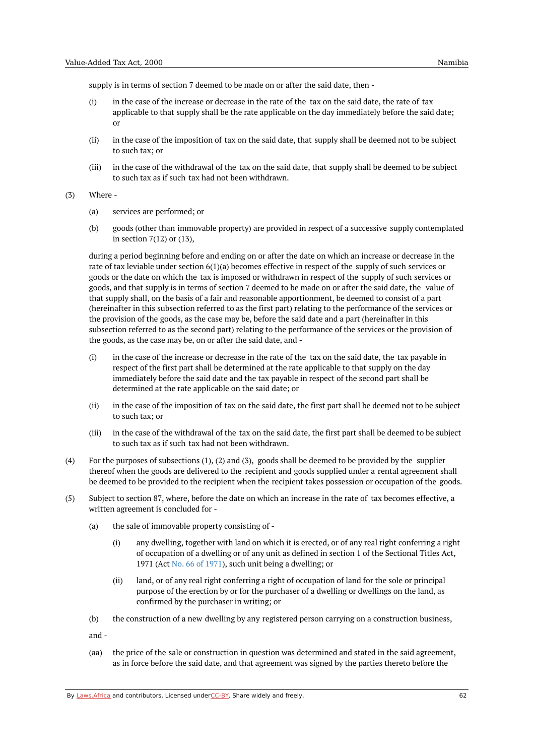supply is in terms of section 7 deemed to be made on or after the said date, then -

- (i) in the case of the increase or decrease in the rate of the tax on the said date, the rate of tax applicable to that supply shall be the rate applicable on the day immediately before the said date; or
- (ii) in the case of the imposition of tax on the said date, that supply shall be deemed not to be subject to such tax; or
- (iii) in the case of the withdrawal of the tax on the said date, that supply shall be deemed to be subject to such tax as if such tax had not been withdrawn.
- (3) Where -
	- (a) services are performed; or
	- (b) goods (other than immovable property) are provided in respect of a successive supply contemplated in section 7(12) or (13),

during a period beginning before and ending on or after the date on which an increase or decrease in the rate of tax leviable under section 6(1)(a) becomes effective in respect of the supply of such services or goods or the date on which the tax is imposed or withdrawn in respect of the supply of such services or goods, and that supply is in terms of section 7 deemed to be made on or after the said date, the value of that supply shall, on the basis of a fair and reasonable apportionment, be deemed to consist of a part (hereinafter in this subsection referred to as the first part) relating to the performance of the services or the provision of the goods, as the case may be, before the said date and a part (hereinafter in this subsection referred to as the second part) relating to the performance of the services or the provision of the goods, as the case may be, on or after the said date, and -

- (i) in the case of the increase or decrease in the rate of the tax on the said date, the tax payable in respect of the first part shall be determined at the rate applicable to that supply on the day immediately before the said date and the tax payable in respect of the second part shall be determined at the rate applicable on the said date; or
- (ii) in the case of the imposition of tax on the said date, the first part shall be deemed not to be subject to such tax; or
- (iii) in the case of the withdrawal of the tax on the said date, the first part shall be deemed to be subject to such tax as if such tax had not been withdrawn.
- (4) For the purposes of subsections (1), (2) and (3), goods shall be deemed to be provided by the supplier thereof when the goods are delivered to the recipient and goods supplied under a rental agreement shall be deemed to be provided to the recipient when the recipient takes possession or occupation of the goods.
- (5) Subject to section 87, where, before the date on which an increase in the rate of tax becomes effective, a written agreement is concluded for -
	- (a) the sale of immovable property consisting of -
		- (i) any dwelling, together with land on which it is erected, or of any real right conferring a right of occupation of a dwelling or of any unit as defined in section 1 of the Sectional Titles Act, 1971 (Act No. 66 of [1971\)](https://namiblii.org/akn/na/act/1971/66), such unit being a dwelling; or
		- (ii) land, or of any real right conferring a right of occupation of land for the sole or principal purpose of the erection by or for the purchaser of a dwelling or dwellings on the land, as confirmed by the purchaser in writing; or
	- (b) the construction of a new dwelling by any registered person carrying on a construction business,
	- and -
	- (aa) the price of the sale or construction in question was determined and stated in the said agreement, as in force before the said date, and that agreement was signed by the parties thereto before the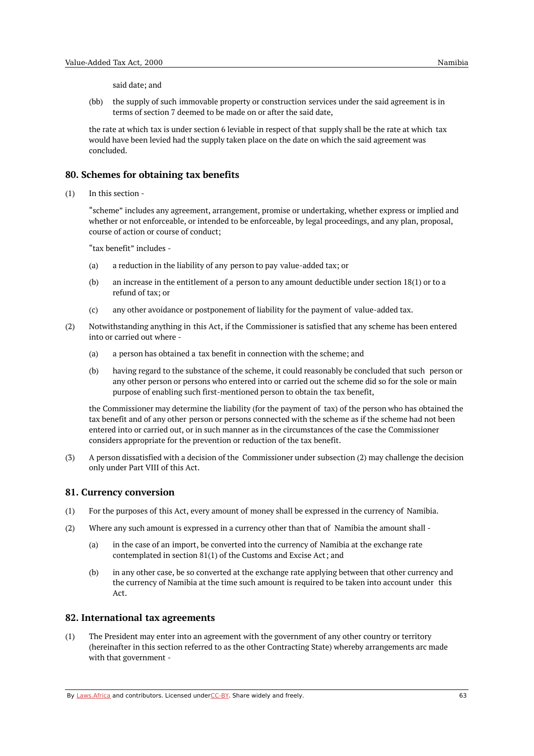said date; and

(bb) the supply of such immovable property or construction services under the said agreement is in terms of section 7 deemed to be made on or after the said date,

the rate at which tax is under section 6 leviable in respect of that supply shall be the rate at which tax would have been levied had the supply taken place on the date on which the said agreement was concluded.

### **80. Schemes for obtaining tax benefits**

 $(1)$ In this section -

> "scheme" includes any agreement, arrangement, promise or undertaking, whether express or implied and whether or not enforceable, or intended to be enforceable, by legal proceedings, and any plan, proposal, course of action or course of conduct;

"tax benefit" includes -

- (a) a reduction in the liability of any person to pay value-added tax; or
- (b) an increase in the entitlement of a person to any amount deductible under section 18(1) or to a refund of tax; or
- $(c)$ any other avoidance or postponement of liability for the payment of value-added tax.
- (2) Notwithstanding anything in this Act, if the Commissioner is satisfied that any scheme has been entered into or carried out where -
	- (a) a person has obtained a tax benefit in connection with the scheme; and
	- (b) having regard to the substance of the scheme, it could reasonably be concluded that such person or any other person or persons who entered into or carried out the scheme did so for the sole or main purpose of enabling such first-mentioned person to obtain the tax benefit,

the Commissioner may determine the liability (for the payment of tax) of the person who has obtained the tax benefit and of any other person or persons connected with the scheme as if the scheme had not been entered into or carried out, or in such manner as in the circumstances of the case the Commissioner considers appropriate for the prevention or reduction of the tax benefit.

(3) A person dissatisfied with a decision of the Commissioner under subsection (2) may challenge the decision only under Part VIII of this Act.

### **81. Currency conversion**

- (1) For the purposes of this Act, every amount of money shall be expressed in the currency of Namibia.
- (2) Where any such amount is expressed in a currency other than that of Namibia the amount shall -
	- (a) in the case of an import, be converted into the currency of Namibia at the exchange rate contemplated in section 81(1) of the Customs and Excise Act; and
	- (b) in any other case, be so converted at the exchange rate applying between that other currency and the currency of Namibia at the time such amount is required to be taken into account under this Act.

# **82. International tax agreements**

(1) The President may enter into an agreement with the government of any other country or territory (hereinafter in this section referred to as the other Contracting State) whereby arrangements arc made with that government -

By [Laws.Africa](https://edit.laws.africa/widgets/pdf-attribution) and contributors. Licensed und[erCC-B](https://edit.laws.africa/widgets/pdf-cc-by)Y. Share widely and freely. 63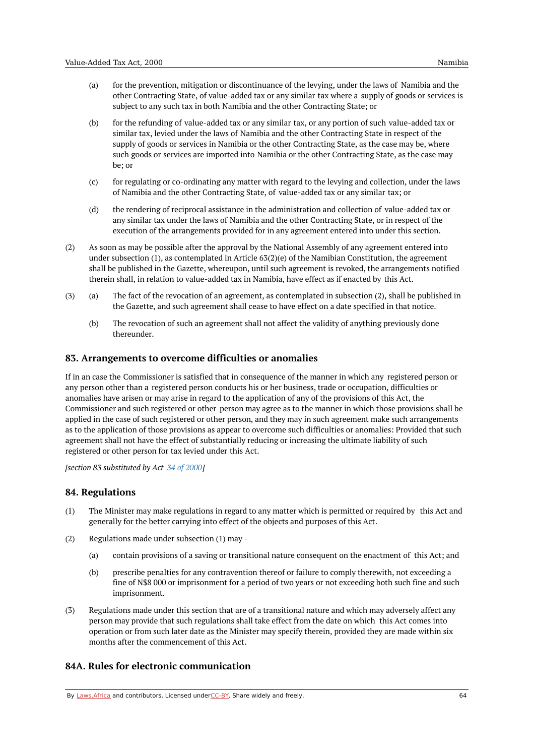- (a) for the prevention, mitigation or discontinuance of the levying, under the laws of Namibia and the other Contracting State, of value-added tax or any similar tax where a supply of goods or services is subject to any such tax in both Namibia and the other Contracting State; or
- (b) for the refunding of value-added tax or any similar tax, or any portion of such value-added tax or similar tax, levied under the laws of Namibia and the other Contracting State in respect of the supply of goods or services in Namibia or the other Contracting State, as the case may be, where such goods or services are imported into Namibia or the other Contracting State, as the case may be; or
- (c) for regulating or co-ordinating any matter with regard to the levying and collection, under the laws of Namibia and the other Contracting State, of value-added tax or any similar tax; or
- (d) the rendering of reciprocal assistance in the administration and collection of value-added tax or any similar tax under the laws of Namibia and the other Contracting State, or in respect of the execution of the arrangements provided for in any agreement entered into under this section.
- (2) As soon as may be possible after the approval by the National Assembly of any agreement entered into under subsection (1), as contemplated in Article 63(2)(e) of the Namibian Constitution, the agreement shall be published in the Gazette, whereupon, until such agreement is revoked, the arrangements notified therein shall, in relation to value-added tax in Namibia, have effect as if enacted by this Act.
- (a) (3) The fact of the revocation of an agreement, as contemplated in subsection (2), shall be published in the Gazette, and such agreement shall cease to have effect on a date specified in that notice.
	- (b) The revocation of such an agreement shall not affect the validity of anything previously done thereunder.

## **83. Arrangements to overcome difficulties or anomalies**

If in an case the Commissioner is satisfied that in consequence of the manner in which any registered person or any person other than a registered person conducts his or her business, trade or occupation, difficulties or anomalies have arisen or may arise in regard to the application of any of the provisions of this Act, the Commissioner and such registered or other person may agree as to the manner in which those provisions shall be applied in the case of such registered or other person, and they may in such agreement make such arrangements as to the application of those provisions as appear to overcome such difficulties or anomalies: Provided that such agreement shall not have the effect of substantially reducing or increasing the ultimate liability of such registered or other person for tax levied under this Act.

*[section 83 substituted by Act 34 of [2000](https://namiblii.org/akn/na/act/2000/34)]*

### **84. Regulations**

- (1) The Minister may make regulations in regard to any matter which is permitted or required by this Act and generally for the better carrying into effect of the objects and purposes of this Act.
- (2) Regulations made under subsection (1) may -
	- (a) contain provisions of a saving or transitional nature consequent on the enactment of this Act; and
	- (b) prescribe penalties for any contravention thereof or failure to comply therewith, not exceeding a fine of N\$8 000 or imprisonment for a period of two years or not exceeding both such fine and such imprisonment.
- (3) Regulations made under this section that are of a transitional nature and which may adversely affect any person may provide that such regulations shall take effect from the date on which this Act comes into operation or from such later date as the Minister may specify therein, provided they are made within six months after the commencement of this Act.

# **84A. Rules for electronic communication**

By [Laws.Africa](https://edit.laws.africa/widgets/pdf-attribution) and contributors. Licensed und[erCC-B](https://edit.laws.africa/widgets/pdf-cc-by)Y. Share widely and freely.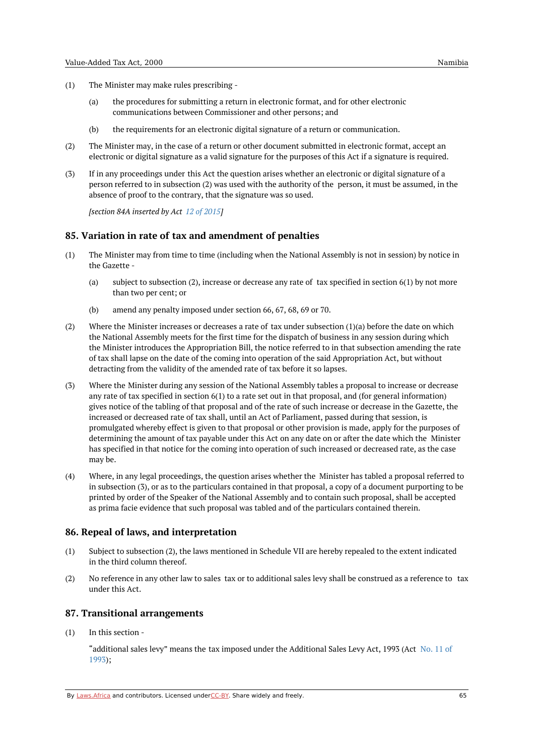- (1) The Minister may make rules prescribing -
	- (a) the procedures for submitting a return in electronic format, and for other electronic communications between Commissioner and other persons; and
	- (b) the requirements for an electronic digital signature of a return or communication.
- (2) The Minister may, in the case of a return or other document submitted in electronic format, accept an electronic or digital signature as a valid signature for the purposes of this Act if a signature is required.
- (3) If in any proceedings under this Act the question arises whether an electronic or digital signature of a person referred to in subsection (2) was used with the authority of the person, it must be assumed, in the absence of proof to the contrary, that the signature was so used.

*[section 84A inserted by Act 12 of [2015](https://namiblii.org/akn/na/act/2015/12)]*

## **85. Variation in rate of tax and amendment of penalties**

- (1) The Minister may from time to time (including when the National Assembly is not in session) by notice in the Gazette -
	- (a) subject to subsection (2), increase or decrease any rate of tax specified in section 6(1) by not more than two per cent; or
	- (b) amend any penalty imposed under section 66, 67, 68, 69 or 70.
- (2) Where the Minister increases or decreases a rate of tax under subsection (1)(a) before the date on which the National Assembly meets for the first time for the dispatch of business in any session during which the Minister introduces the Appropriation Bill, the notice referred to in that subsection amending the rate of tax shall lapse on the date of the coming into operation of the said Appropriation Act, but without detracting from the validity of the amended rate of tax before it so lapses.
- (3) Where the Minister during any session of the National Assembly tables a proposal to increase or decrease any rate of tax specified in section 6(1) to a rate set out in that proposal, and (for general information) gives notice of the tabling of that proposal and of the rate of such increase or decrease in the Gazette, the increased or decreased rate of tax shall, until an Act of Parliament, passed during that session, is promulgated whereby effect is given to that proposal or other provision is made, apply for the purposes of determining the amount of tax payable under this Act on any date on or after the date which the Minister has specified in that notice for the coming into operation of such increased or decreased rate, as the case may be.
- (4) Where, in any legal proceedings, the question arises whether the Minister has tabled a proposal referred to in subsection (3), or as to the particulars contained in that proposal, a copy of a document purporting to be printed by order of the Speaker of the National Assembly and to contain such proposal, shall be accepted as prima facie evidence that such proposal was tabled and of the particulars contained therein.

### **86. Repeal of laws, and interpretation**

- (1) Subject to subsection (2), the laws mentioned in Schedule VII are hereby repealed to the extent indicated in the third column thereof.
- (2) No reference in any other law to sales tax or to additional sales levy shall be construed as a reference to tax under this Act.

### **87. Transitional arrangements**

(1) In this section -

> ["additional](https://namiblii.org/akn/na/act/1993/11) sales levy" means the tax imposed under the Additional Sales Levy Act, 1993 (Act No. 11 of 1993);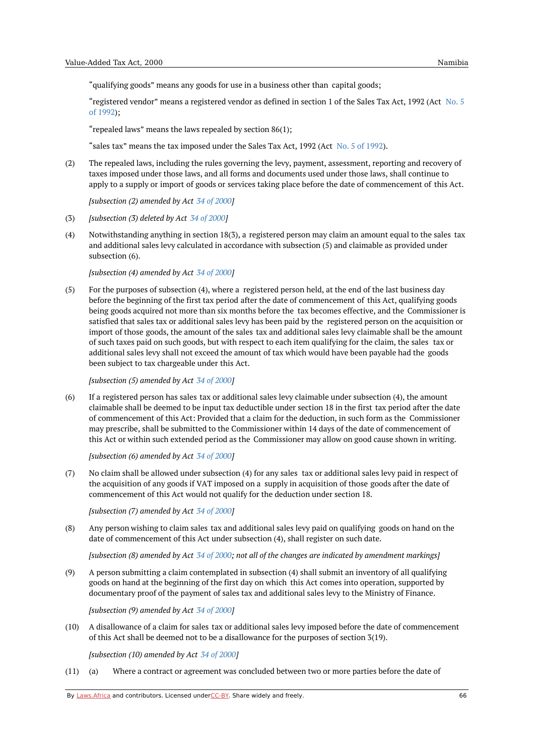"qualifying goods" means any goods for use in a business other than capital goods;

["registered](https://namiblii.org/akn/na/act/1992/5) vendor" means a registered vendor as defined in section 1 of the Sales Tax Act, 1992 (Act No. 5 of 1992);

"repealed laws" means the laws repealed by section 86(1);

"sales tax" means the tax imposed under the Sales Tax Act, 1992 (Act No. 5 of [1992](https://namiblii.org/akn/na/act/1992/5)).

(2) The repealed laws, including the rules governing the levy, payment, assessment, reporting and recovery of taxes imposed under those laws, and all forms and documents used under those laws, shall continue to apply to a supply or import of goods or services taking place before the date of commencement of this Act.

*[subsection (2) amended by Act 34 of [2000](https://namiblii.org/akn/na/act/2000/34)]*

- (3) *[subsection (3) deleted by Act 34 of [2000](https://namiblii.org/akn/na/act/2000/34)]*
- $(4)$ Notwithstanding anything in section 18(3), a registered person may claim an amount equal to the sales tax and additional sales levy calculated in accordance with subsection (5) and claimable as provided under subsection (6).

*[subsection (4) amended by Act 34 of [2000](https://namiblii.org/akn/na/act/2000/34)]*

 $(5)$ For the purposes of subsection (4), where a registered person held, at the end of the last business day before the beginning of the first tax period after the date of commencement of this Act, qualifying goods being goods acquired not more than six months before the tax becomes effective, and the Commissioner is satisfied that sales tax or additional sales levy has been paid by the registered person on the acquisition or import of those goods, the amount of the sales tax and additional sales levy claimable shall be the amount of such taxes paid on such goods, but with respect to each item qualifying for the claim, the sales tax or additional sales levy shall not exceed the amount of tax which would have been payable had the goods been subject to tax chargeable under this Act.

*[subsection (5) amended by Act 34 of [2000](https://namiblii.org/akn/na/act/2000/34)]*

(6) If a registered person has sales tax or additional sales levy claimable under subsection (4), the amount claimable shall be deemed to be input tax deductible under section 18 in the first tax period after the date of commencement of this Act: Provided that a claim for the deduction, in such form as the Commissioner may prescribe, shall be submitted to the Commissioner within 14 days of the date of commencement of this Act or within such extended period as the Commissioner may allow on good cause shown in writing.

*[subsection (6) amended by Act 34 of [2000](https://namiblii.org/akn/na/act/2000/34)]*

(7) No claim shall be allowed under subsection (4) for any sales tax or additional sales levy paid in respect of the acquisition of any goods if VAT imposed on a supply in acquisition of those goods after the date of commencement of this Act would not qualify for the deduction under section 18.

*[subsection (7) amended by Act 34 of [2000](https://namiblii.org/akn/na/act/2000/34)]*

(8) Any person wishing to claim sales tax and additional sales levy paid on qualifying goods on hand on the date of commencement of this Act under subsection (4), shall register on such date.

[subsection (8) amended by Act 34 of [2000](https://namiblii.org/akn/na/act/2000/34); not all of the changes are indicated by amendment markings]

(9) A person submitting a claim contemplated in subsection (4) shall submit an inventory of all qualifying goods on hand at the beginning of the first day on which this Act comes into operation, supported by documentary proof of the payment of sales tax and additional sales levy to the Ministry of Finance.

*[subsection (9) amended by Act 34 of [2000](https://namiblii.org/akn/na/act/2000/34)]*

(10) A disallowance of a claim for sales tax or additional sales levy imposed before the date of commencement of this Act shall be deemed not to be a disallowance for the purposes of section 3(19).

*[subsection (10) amended by Act 34 of [2000](https://namiblii.org/akn/na/act/2000/34)]*

 $(11)$  (a) Where a contract or agreement was concluded between two or more parties before the date of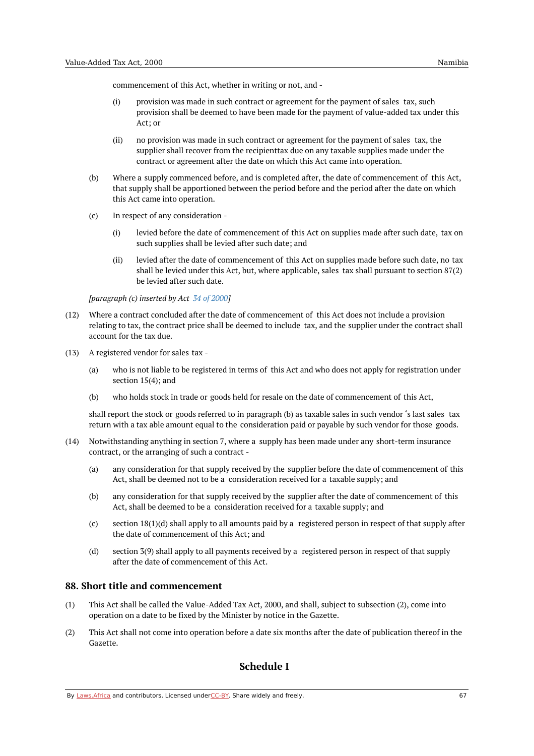commencement of this Act, whether in writing or not, and -

- (i) provision was made in such contract or agreement for the payment of sales tax, such provision shall be deemed to have been made for the payment of value-added tax under this Act; or
- (ii) no provision was made in such contract or agreement for the payment of sales tax, the supplier shall recover from the recipienttax due on any taxable supplies made under the contract or agreement after the date on which this Act came into operation.
- (b) Where a supply commenced before, and is completed after, the date of commencement of this Act, that supply shall be apportioned between the period before and the period after the date on which this Act came into operation.
- (c) In respect of any consideration -
	- (i) levied before the date of commencement of this Act on supplies made after such date, tax on such supplies shall be levied after such date; and
	- (ii) levied after the date of commencement of this Act on supplies made before such date, no tax shall be levied under this Act, but, where applicable, sales tax shall pursuant to section 87(2) be levied after such date.

*[paragraph (c) inserted by Act 34 of [2000](https://namiblii.org/akn/na/act/2000/34)]*

- (12) Where a contract concluded after the date of commencement of this Act does not include a provision relating to tax, the contract price shall be deemed to include tax, and the supplier under the contract shall account for the tax due.
- (13) A registered vendor for sales tax
	- (a) who is not liable to be registered in terms of this Act and who does not apply for registration under section 15(4); and
	- (b) who holds stock in trade or goods held for resale on the date of commencement of this Act,

shall report the stock or goods referred to in paragraph (b) as taxable sales in such vendor 's last sales tax return with a tax able amount equal to the consideration paid or payable by such vendor for those goods.

- (14) Notwithstanding anything in section 7, where a supply has been made under any short-term insurance contract, or the arranging of such a contract -
	- (a) any consideration for that supply received by the supplier before the date of commencement of this Act, shall be deemed not to be a consideration received for a taxable supply; and
	- (b) any consideration for that supply received by the supplier after the date of commencement of this Act, shall be deemed to be a consideration received for a taxable supply; and
	- (c) section 18(1)(d) shall apply to all amounts paid by a registered person in respect of that supply after the date of commencement of this Act; and
	- (d) section 3(9) shall apply to all payments received by a registered person in respect of that supply after the date of commencement of this Act.

# **88. Short title and commencement**

- (1) This Act shall be called the Value-Added Tax Act, 2000, and shall, subject to subsection (2), come into operation on a date to be fixed by the Minister by notice in the Gazette.
- (2) This Act shall not come into operation before a date six months after the date of publication thereof in the Gazette.

# **Schedule I**

By [Laws.Africa](https://edit.laws.africa/widgets/pdf-attribution) and contributors. Licensed und[erCC-B](https://edit.laws.africa/widgets/pdf-cc-by)Y. Share widely and freely. 67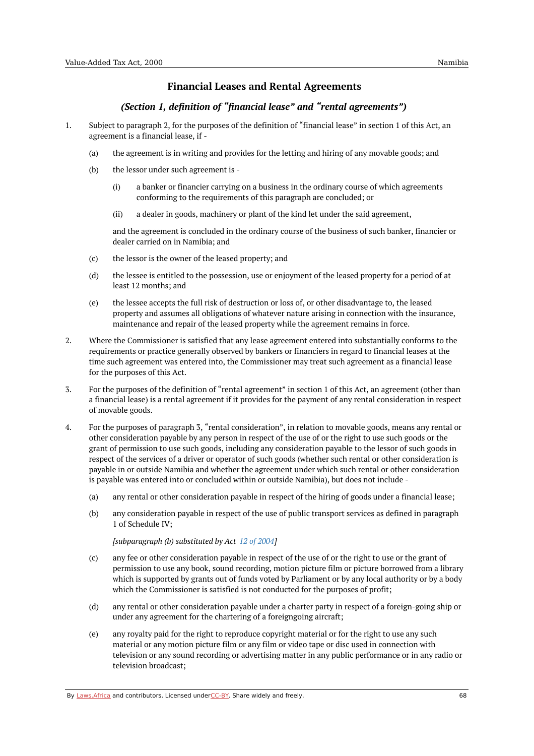# **Financial Leases and Rental Agreements**

# *(Section 1, definition of "financial lease" and "rental agreements")*

- 1. Subject to paragraph 2, for the purposes of the definition of "financial lease" in section 1 of this Act, an agreement is a financial lease, if -
	- (a) the agreement is in writing and provides for the letting and hiring of any movable goods; and
	- (b) the lessor under such agreement is -
		- (i) a banker or financier carrying on a business in the ordinary course of which agreements conforming to the requirements of this paragraph are concluded; or
		- (ii) a dealer in goods, machinery or plant of the kind let under the said agreement,

and the agreement is concluded in the ordinary course of the business of such banker, financier or dealer carried on in Namibia; and

- (c) the lessor is the owner of the leased property; and
- (d) the lessee is entitled to the possession, use or enjoyment of the leased property for a period of at least 12 months; and
- (e) the lessee accepts the full risk of destruction or loss of, or other disadvantage to, the leased property and assumes all obligations of whatever nature arising in connection with the insurance, maintenance and repair of the leased property while the agreement remains in force.
- 2. Where the Commissioner is satisfied that any lease agreement entered into substantially conforms to the requirements or practice generally observed by bankers or financiers in regard to financial leases at the time such agreement was entered into, the Commissioner may treat such agreement as a financial lease for the purposes of this Act.
- 3. For the purposes of the definition of "rental agreement" in section 1 of this Act, an agreement (other than a financial lease) is a rental agreement if it provides for the payment of any rental consideration in respect of movable goods.
- 4. For the purposes of paragraph 3, "rental consideration", in relation to movable goods, means any rental or other consideration payable by any person in respect of the use of or the right to use such goods or the grant of permission to use such goods, including any consideration payable to the lessor of such goods in respect of the services of a driver or operator of such goods (whether such rental or other consideration is payable in or outside Namibia and whether the agreement under which such rental or other consideration is payable was entered into or concluded within or outside Namibia), but does not include -
	- (a) any rental or other consideration payable in respect of the hiring of goods under a financial lease;
	- (b) any consideration payable in respect of the use of public transport services as defined in paragraph 1 of Schedule IV;

*[subparagraph (b) substituted by Act 12 of [2004](https://namiblii.org/akn/na/act/2004/12)]*

- (c) any fee or other consideration payable in respect of the use of or the right to use or the grant of permission to use any book, sound recording, motion picture film or picture borrowed from a library which is supported by grants out of funds voted by Parliament or by any local authority or by a body which the Commissioner is satisfied is not conducted for the purposes of profit;
- (d) any rental or other consideration payable under a charter party in respect of a foreign-going ship or under any agreement for the chartering of a foreigngoing aircraft;
- (e) any royalty paid for the right to reproduce copyright material or for the right to use any such material or any motion picture film or any film or video tape or disc used in connection with television or any sound recording or advertising matter in any public performance or in any radio or television broadcast;

By [Laws.Africa](https://edit.laws.africa/widgets/pdf-attribution) and contributors. Licensed und[erCC-B](https://edit.laws.africa/widgets/pdf-cc-by)Y. Share widely and freely.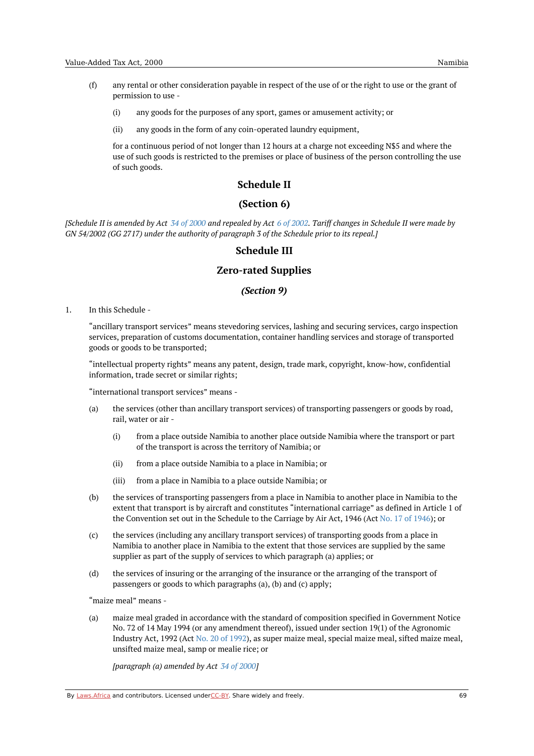- (f) any rental or other consideration payable in respect of the use of or the right to use or the grant of permission to use -
	- (i) any goods for the purposes of any sport, games or amusement activity; or
	- (ii) any goods in the form of any coin-operated laundry equipment,

for a continuous period of not longer than 12 hours at a charge not exceeding N\$5 and where the use of such goods is restricted to the premises or place of business of the person controlling the use of such goods.

## **Schedule II**

# **(Section 6)**

[Schedule II is amended by Act 34 of [2000](https://namiblii.org/akn/na/act/2000/34) and repealed by Act 6 of [2002](https://namiblii.org/akn/na/act/2002/6). Tariff changes in Schedule II were made by *GN 54/2002 (GG 2717) under the authority of paragraph 3 of the Schedule prior to its repeal.]*

## **Schedule III**

# **Zero-rated Supplies**

## *(Section 9)*

1. In this Schedule -

> "ancillary transport services" means stevedoring services, lashing and securing services, cargo inspection services, preparation of customs documentation, container handling services and storage of transported goods or goods to be transported;

"intellectual property rights" means any patent, design, trade mark, copyright, know-how, confidential information, trade secret or similar rights;

"international transport services" means -

- (a) the services (other than ancillary transport services) of transporting passengers or goods by road, rail, water or air -
	- (i) from a place outside Namibia to another place outside Namibia where the transport or part of the transport is across the territory of Namibia; or
	- (ii) from a place outside Namibia to a place in Namibia; or
	- (iii) from a place in Namibia to a place outside Namibia; or
- (b) the services of transporting passengers from a place in Namibia to another place in Namibia to the extent that transport is by aircraft and constitutes "international carriage" as defined in Article 1 of the Convention set out in the Schedule to the Carriage by Air Act, 1946 (Act No. 17 of [1946](https://namiblii.org/akn/na/act/1946/17)); or
- (c) the services (including any ancillary transport services) of transporting goods from a place in Namibia to another place in Namibia to the extent that those services are supplied by the same supplier as part of the supply of services to which paragraph (a) applies; or
- (d) the services of insuring or the arranging of the insurance or the arranging of the transport of passengers or goods to which paragraphs (a), (b) and (c) apply;

"maize meal" means -

(a) maize meal graded in accordance with the standard of composition specified in Government Notice No. 72 of 14 May 1994 (or any amendment thereof), issued under section 19(1) of the Agronomic Industry Act, 1992 (Act No. 20 of [1992](https://namiblii.org/akn/na/act/1992/20)), as super maize meal, special maize meal, sifted maize meal, unsifted maize meal, samp or mealie rice; or

*[paragraph (a) amended by Act 34 of [2000](https://namiblii.org/akn/na/act/2000/34)]*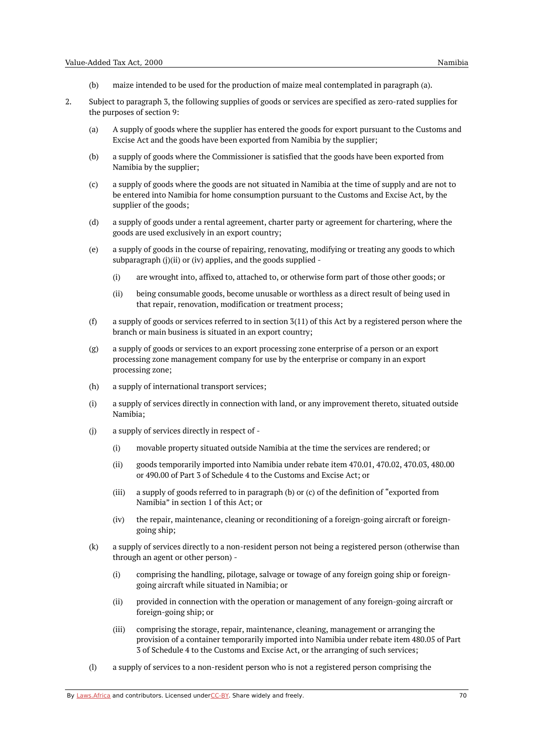- (b) maize intended to be used for the production of maize meal contemplated in paragraph (a).
- 2. Subject to paragraph 3, the following supplies of goods or services are specified as zero-rated supplies for the purposes of section 9:
	- (a) A supply of goods where the supplier has entered the goods for export pursuant to the Customs and Excise Act and the goods have been exported from Namibia by the supplier;
	- (b) a supply of goods where the Commissioner is satisfied that the goods have been exported from Namibia by the supplier;
	- (c) a supply of goods where the goods are not situated in Namibia at the time of supply and are not to be entered into Namibia for home consumption pursuant to the Customs and Excise Act, by the supplier of the goods;
	- (d) a supply of goods under a rental agreement, charter party or agreement for chartering, where the goods are used exclusively in an export country;
	- (e) a supply of goods in the course of repairing, renovating, modifying or treating any goods to which subparagraph (j)(ii) or (iv) applies, and the goods supplied -
		- (i) are wrought into, affixed to, attached to, or otherwise form part of those other goods; or
		- (ii) being consumable goods, become unusable or worthless as a direct result of being used in that repair, renovation, modification or treatment process;
	- (f) a supply of goods or services referred to in section 3(11) of this Act by a registered person where the branch or main business is situated in an export country;
	- (g) a supply of goods or services to an export processing zone enterprise of a person or an export processing zone management company for use by the enterprise or company in an export processing zone;
	- (h) a supply of international transport services;
	- (i) a supply of services directly in connection with land, or any improvement thereto, situated outside Namibia;
	- $(i)$ a supply of services directly in respect of -
		- (i) movable property situated outside Namibia at the time the services are rendered; or
		- (ii) goods temporarily imported into Namibia under rebate item 470.01, 470.02, 470.03, 480.00 or 490.00 of Part 3 of Schedule 4 to the Customs and Excise Act; or
		- (iii) a supply of goods referred to in paragraph (b) or (c) of the definition of "exported from Namibia" in section 1 of this Act; or
		- $(iv)$ the repair, maintenance, cleaning or reconditioning of a foreign-going aircraft or foreigngoing ship;
	- (k) a supply of services directly to a non-resident person not being a registered person (otherwise than through an agent or other person) -
		- (i) comprising the handling, pilotage, salvage or towage of any foreign going ship or foreigngoing aircraft while situated in Namibia; or
		- (ii) provided in connection with the operation or management of any foreign-going aircraft or foreign-going ship; or
		- (iii) comprising the storage, repair, maintenance, cleaning, management or arranging the provision of a container temporarily imported into Namibia under rebate item 480.05 of Part 3 of Schedule 4 to the Customs and Excise Act, or the arranging of such services;
	- (l) a supply of services to a non-resident person who is not a registered person comprising the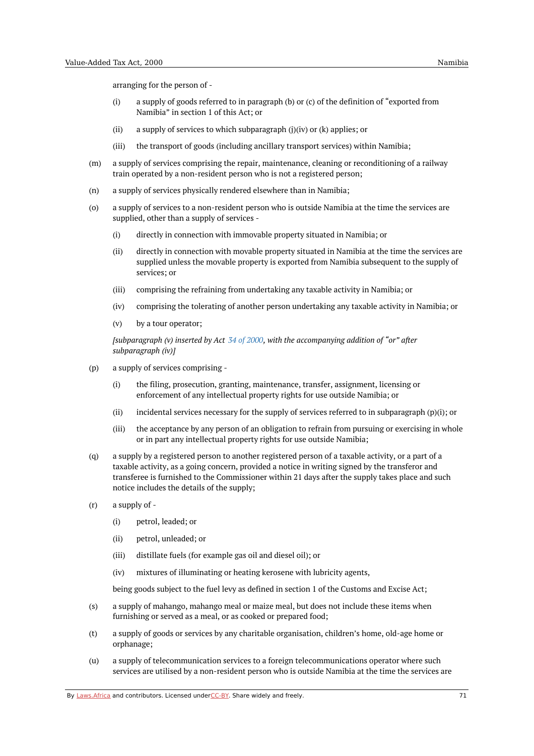arranging for the person of -

- (i) a supply of goods referred to in paragraph (b) or (c) of the definition of "exported from Namibia" in section 1 of this Act; or
- (ii) a supply of services to which subparagraph (j)(iv) or (k) applies; or
- (iii) the transport of goods (including ancillary transport services) within Namibia;
- (m) a supply of services comprising the repair, maintenance, cleaning or reconditioning of a railway train operated by a non-resident person who is not a registered person;
- (n) a supply of services physically rendered elsewhere than in Namibia;
- (o) a supply of services to a non-resident person who is outside Namibia at the time the services are supplied, other than a supply of services -
	- (i) directly in connection with immovable property situated in Namibia; or
	- (ii) directly in connection with movable property situated in Namibia at the time the services are supplied unless the movable property is exported from Namibia subsequent to the supply of services; or
	- (iii) comprising the refraining from undertaking any taxable activity in Namibia; or
	- (iv) comprising the tolerating of another person undertaking any taxable activity in Namibia; or
	- (v) by a tour operator;

*[subparagraph (v) inserted by Act 34 of [2000](https://namiblii.org/akn/na/act/2000/34), with the accompanying addition of "or" after subparagraph (iv)]*

- (p) a supply of services comprising -
	- (i) the filing, prosecution, granting, maintenance, transfer, assignment, licensing or enforcement of any intellectual property rights for use outside Namibia; or
	- (ii) incidental services necessary for the supply of services referred to in subparagraph (p)(i); or
	- (iii) the acceptance by any person of an obligation to refrain from pursuing or exercising in whole or in part any intellectual property rights for use outside Namibia;
- $(a)$ a supply by a registered person to another registered person of a taxable activity, or a part of a taxable activity, as a going concern, provided a notice in writing signed by the transferor and transferee is furnished to the Commissioner within 21 days after the supply takes place and such notice includes the details of the supply;
- (r) a supply of -
	- (i) petrol, leaded; or
	- (ii) petrol, unleaded; or
	- (iii) distillate fuels (for example gas oil and diesel oil); or
	- (iv) mixtures of illuminating or heating kerosene with lubricity agents,

being goods subject to the fuel levy as defined in section 1 of the Customs and Excise Act;

- (s) a supply of mahango, mahango meal or maize meal, but does not include these items when furnishing or served as a meal, or as cooked or prepared food;
- (t) a supply of goods or services by any charitable organisation, children's home, old-age home or orphanage;
- $(u)$ a supply of telecommunication services to a foreign telecommunications operator where such services are utilised by a non-resident person who is outside Namibia at the time the services are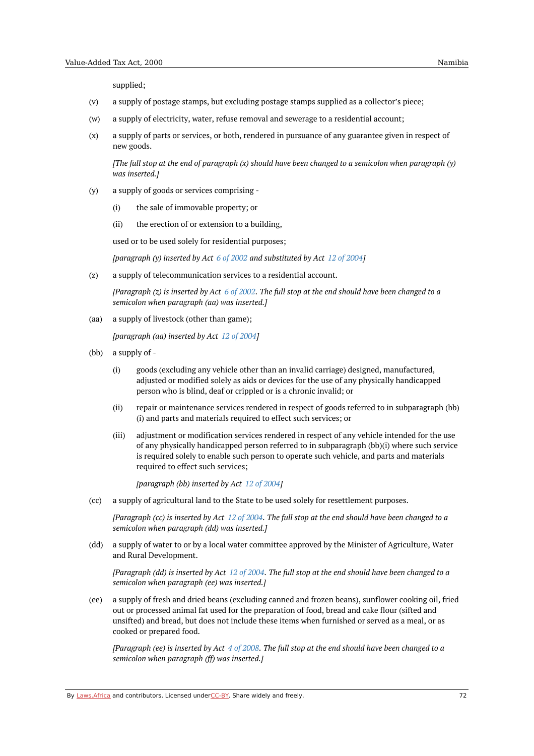supplied;

- (v) a supply of postage stamps, but excluding postage stamps supplied as a collector's piece;
- (w) a supply of electricity, water, refuse removal and sewerage to a residential account;
- (x) a supply of parts or services, or both, rendered in pursuance of any guarantee given in respect of new goods.

The full stop at the end of paragraph  $(x)$  should have been changed to a semicolon when paragraph  $(y)$ *was inserted.]*

- (y) a supply of goods or services comprising -
	- (i) the sale of immovable property; or
	- $(i)$ the erection of or extension to a building,

used or to be used solely for residential purposes;

*[paragraph (y) inserted by Act 6 of [2002](https://namiblii.org/akn/na/act/2002/6) and substituted by Act 12 of [2004](https://namiblii.org/akn/na/act/2004/12)]*

(z) a supply of telecommunication services to a residential account.

[Paragraph  $(z)$  is inserted by Act 6 of [2002](https://namiblii.org/akn/na/act/2002/6). The full stop at the end should have been changed to a *semicolon when paragraph (aa) was inserted.]*

(aa) a supply of livestock (other than game);

*[paragraph (aa) inserted by Act 12 of [2004](https://namiblii.org/akn/na/act/2004/12)]*

- (bb) a supply of -
	- (i) goods (excluding any vehicle other than an invalid carriage) designed, manufactured, adjusted or modified solely as aids or devices for the use of any physically handicapped person who is blind, deaf or crippled or is a chronic invalid; or
	- (ii) repair or maintenance services rendered in respect of goods referred to in subparagraph (bb) (i) and parts and materials required to effect such services; or
	- (iii) adjustment or modification services rendered in respect of any vehicle intended for the use of any physically handicapped person referred to in subparagraph (bb)(i) where such service is required solely to enable such person to operate such vehicle, and parts and materials required to effect such services;

*[paragraph (bb) inserted by Act 12 of [2004](https://namiblii.org/akn/na/act/2004/12)]*

(cc) a supply of agricultural land to the State to be used solely for resettlement purposes.

[Paragraph (cc) is inserted by Act 12 of [2004](https://namiblii.org/akn/na/act/2004/12). The full stop at the end should have been changed to a *semicolon when paragraph (dd) was inserted.]*

(dd) a supply of water to or by a local water committee approved by the Minister of Agriculture, Water and Rural Development.

[Paragraph (dd) is inserted by Act  $12$  of [2004](https://namiblii.org/akn/na/act/2004/12). The full stop at the end should have been changed to a *semicolon when paragraph (ee) was inserted.]*

(ee) a supply of fresh and dried beans (excluding canned and frozen beans), sunflower cooking oil, fried out or processed animal fat used for the preparation of food, bread and cake flour (sifted and unsifted) and bread, but does not include these items when furnished or served as a meal, or as cooked or prepared food.

[Paragraph (ee) is inserted by Act  $4$  of [2008](https://namiblii.org/akn/na/act/2008/4). The full stop at the end should have been changed to a *semicolon when paragraph (ff) was inserted.]*

By [Laws.Africa](https://edit.laws.africa/widgets/pdf-attribution) and contributors. Licensed und[erCC-B](https://edit.laws.africa/widgets/pdf-cc-by)Y. Share widely and freely.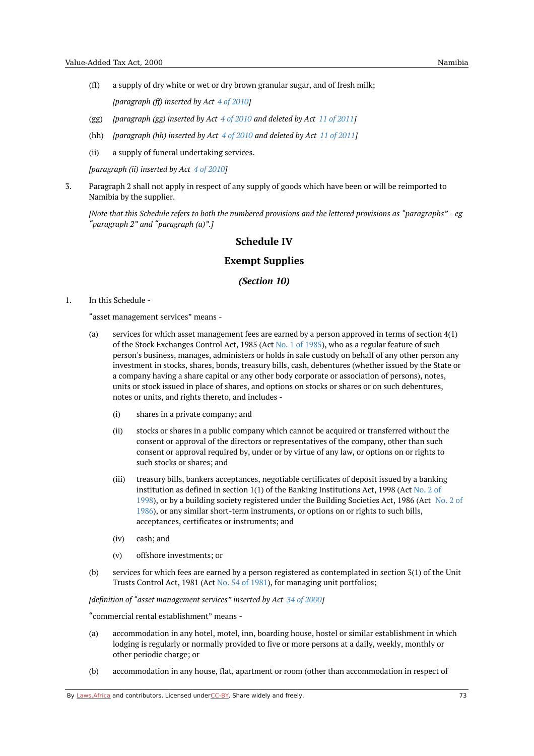- (ff) a supply of dry white or wet or dry brown granular sugar, and of fresh milk; *[paragraph (ff) inserted by Act 4 of [2010](https://namiblii.org/akn/na/act/2010/4)]*
- (gg) *[paragraph (gg) inserted by Act 4 of [2010](https://namiblii.org/akn/na/act/2010/4) and deleted by Act 11 of [2011](https://namiblii.org/akn/na/act/2011/11)]*
- (hh) *[paragraph (hh) inserted by Act 4 of [2010](https://namiblii.org/akn/na/act/2010/4) and deleted by Act 11 of [2011](https://namiblii.org/akn/na/act/2011/11)]*
- (ii) a supply of funeral undertaking services.

*[paragraph (ii) inserted by Act 4 of [2010](https://namiblii.org/akn/na/act/2010/4)]*

3. Paragraph 2 shall not apply in respect of any supply of goods which have been or will be reimported to Namibia by the supplier.

[Note that this Schedule refers to both the numbered provisions and the lettered provisions as "paragraphs" - eg *"paragraph 2" and "paragraph (a)".]*

# **Schedule IV**

### **Exempt Supplies**

#### *(Section 10)*

1. In this Schedule -

"asset management services" means -

- (a) services for which asset management fees are earned by a person approved in terms of section 4(1) of the Stock Exchanges Control Act, 1985 (Act No. 1 of [1985](https://namiblii.org/akn/na/act/1985/1)), who as a regular feature of such person's business, manages, administers or holds in safe custody on behalf of any other person any investment in stocks, shares, bonds, treasury bills, cash, debentures (whether issued by the State or a company having a share capital or any other body corporate or association of persons), notes, units or stock issued in place of shares, and options on stocks or shares or on such debentures, notes or units, and rights thereto, and includes -
	- (i) shares in a private company; and
	- (ii) stocks or shares in a public company which cannot be acquired or transferred without the consent or approval of the directors or representatives of the company, other than such consent or approval required by, under or by virtue of any law, or options on or rights to such stocks or shares; and
	- (iii) treasury bills, bankers acceptances, negotiable certificates of deposit issued by a banking institution as defined in section 1(1) of the Banking [Institutions](https://namiblii.org/akn/na/act/1998/2) Act, 1998 (Act No. 2 of 1998), or by a building society registered under the Building Societies Act, 1986 (Act No. 2 of 1986), or any similar short-term [instruments,](https://namiblii.org/akn/na/act/1986/2) or options on or rights to such bills, acceptances, certificates or instruments; and
	- (iv) cash; and
	- (v) offshore investments; or
- (b) services for which fees are earned by a person registered as contemplated in section 3(1) of the Unit Trusts Control Act, 1981 (Act No. 54 of [1981](https://namiblii.org/akn/na/act/1981/54)), for managing unit portfolios;

*[definition of "asset management services" inserted by Act 34 of [2000](https://namiblii.org/akn/na/act/2000/34)]*

"commercial rental establishment" means -

- (a) accommodation in any hotel, motel, inn, boarding house, hostel or similar establishment in which lodging is regularly or normally provided to five or more persons at a daily, weekly, monthly or other periodic charge; or
- (b) accommodation in any house, flat, apartment or room (other than accommodation in respect of

By [Laws.Africa](https://edit.laws.africa/widgets/pdf-attribution) and contributors. Licensed und[erCC-B](https://edit.laws.africa/widgets/pdf-cc-by)Y. Share widely and freely. The mass of the match of the match of the match of the match of the match of the match of the match of the match of the match of the match of t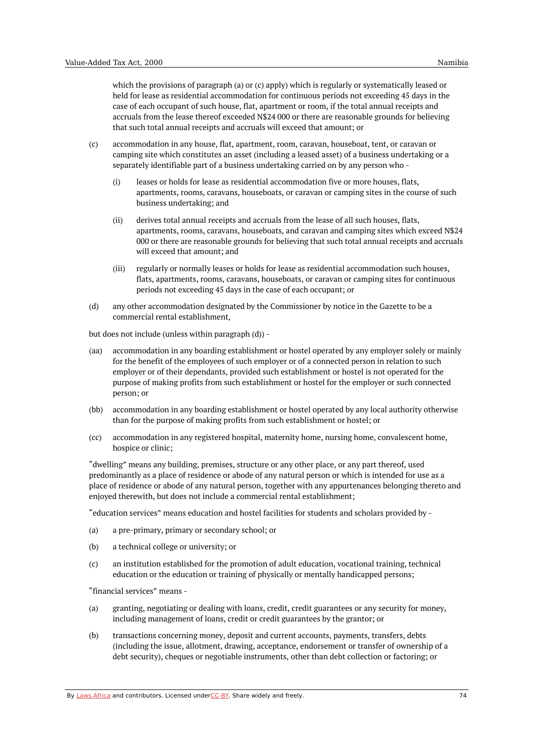which the provisions of paragraph (a) or (c) apply) which is regularly or systematically leased or held for lease as residential accommodation for continuous periods not exceeding 45 days in the case of each occupant of such house, flat, apartment or room, if the total annual receipts and accruals from the lease thereof exceeded N\$24 000 or there are reasonable grounds for believing that such total annual receipts and accruals will exceed that amount; or

- (c) accommodation in any house, flat, apartment, room, caravan, houseboat, tent, or caravan or camping site which constitutes an asset (including a leased asset) of a business undertaking or a separately identifiable part of a business undertaking carried on by any person who -
	- (i) leases or holds for lease as residential accommodation five or more houses, flats, apartments, rooms, caravans, houseboats, or caravan or camping sites in the course of such business undertaking; and
	- (ii) derives total annual receipts and accruals from the lease of all such houses, flats, apartments, rooms, caravans, houseboats, and caravan and camping sites which exceed N\$24 000 or there are reasonable grounds for believing that such total annual receipts and accruals will exceed that amount; and
	- (iii) regularly or normally leases or holds for lease as residential accommodation such houses, flats, apartments, rooms, caravans, houseboats, or caravan or camping sites for continuous periods not exceeding 45 days in the case of each occupant; or
- (d) any other accommodation designated by the Commissioner by notice in the Gazette to be a commercial rental establishment,

but does not include (unless within paragraph (d)) -

- (aa) accommodation in any boarding establishment or hostel operated by any employer solely or mainly for the benefit of the employees of such employer or of a connected person in relation to such employer or of their dependants, provided such establishment or hostel is not operated for the purpose of making profits from such establishment or hostel for the employer or such connected person; or
- (bb) accommodation in any boarding establishment or hostel operated by any local authority otherwise than for the purpose of making profits from such establishment or hostel; or
- (cc) accommodation in any registered hospital, maternity home, nursing home, convalescent home, hospice or clinic;

"dwelling" means any building, premises, structure or any other place, or any part thereof, used predominantly as a place of residence or abode of any natural person or which is intended for use as a place of residence or abode of any natural person, together with any appurtenances belonging thereto and enjoyed therewith, but does not include a commercial rental establishment;

"education services" means education and hostel facilities for students and scholars provided by -

- (a) a pre-primary, primary or secondary school; or
- (b) a technical college or university; or
- (c) an institution established for the promotion of adult education, vocational training, technical education or the education or training of physically or mentally handicapped persons;

"financial services" means -

- (a) granting, negotiating or dealing with loans, credit, credit guarantees or any security for money, including management of loans, credit or credit guarantees by the grantor; or
- (b) transactions concerning money, deposit and current accounts, payments, transfers, debts (including the issue, allotment, drawing, acceptance, endorsement or transfer of ownership of a debt security), cheques or negotiable instruments, other than debt collection or factoring; or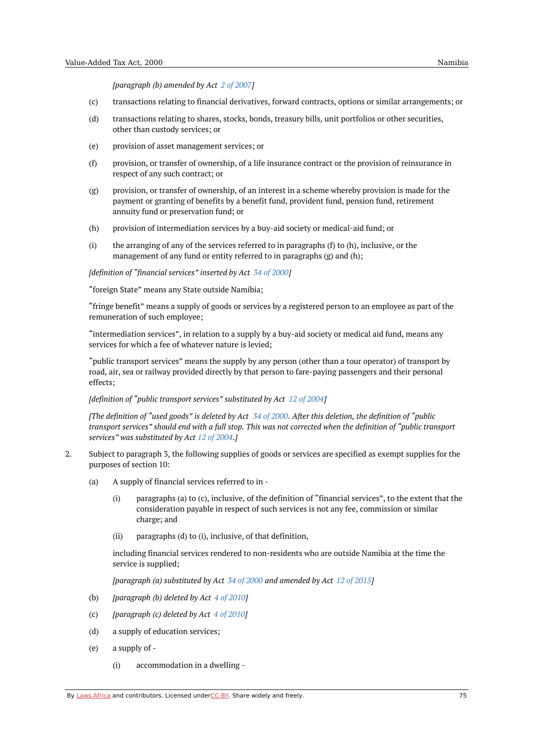*[paragraph (b) amended by Act 2 of [2007](https://namiblii.org/akn/na/act/2007/2)]*

- (c) transactions relating to financial derivatives, forward contracts, options or similar arrangements; or
- (d) transactions relating to shares, stocks, bonds, treasury bills, unit portfolios or other securities, other than custody services; or
- (e) provision of asset management services; or
- (f) provision, or transfer of ownership, of a life insurance contract or the provision of reinsurance in respect of any such contract; or
- (g) provision, or transfer of ownership, of an interest in a scheme whereby provision is made for the payment or granting of benefits by a benefit fund, provident fund, pension fund, retirement annuity fund or preservation fund; or
- (h) provision of intermediation services by a buy-aid society or medical-aid fund; or
- (i) the arranging of any of the services referred to in paragraphs (f) to (h), inclusive, or the management of any fund or entity referred to in paragraphs (g) and (h);

*[definition of "financial services" inserted by Act 34 of [2000](https://namiblii.org/akn/na/act/2000/34)]*

"foreign State" means any State outside Namibia;

"fringe benefit" means a supply of goods or services by a registered person to an employee as part of the remuneration of such employee;

"intermediation services", in relation to a supply by a buy-aid society or medical aid fund, means any services for which a fee of whatever nature is levied;

"public transport services" means the supply by any person (other than a tour operator) of transport by road, air, sea or railway provided directly by that person to fare-paying passengers and their personal effects;

*[definition of "public transport services" substituted by Act 12 of [2004](https://namiblii.org/akn/na/act/2004/12)]*

IThe definition of "used goods" is deleted by Act 34 of [2000](https://namiblii.org/akn/na/act/2000/34). After this deletion, the definition of "public transport services" should end with a full stop. This was not corrected when the definition of "public transport *services" was substituted by Act 12 of [2004](https://namiblii.org/akn/na/act/2004/12).]*

- 2. Subject to paragraph 3, the following supplies of goods or services are specified as exempt supplies for the purposes of section 10:
	- (a) A supply of financial services referred to in -
		- (i) paragraphs (a) to (c), inclusive, of the definition of "financial services", to the extent that the consideration payable in respect of such services is not any fee, commission or similar charge; and
		- (ii) paragraphs (d) to (i), inclusive, of that definition,

including financial services rendered to non-residents who are outside Namibia at the time the service is supplied;

*[paragraph (a) substituted by Act 34 of [2000](https://namiblii.org/akn/na/act/2000/34) and amended by Act 12 of [2015](https://namiblii.org/akn/na/act/2015/12)]*

- (b) *[paragraph (b) deleted by Act 4 of [2010](https://namiblii.org/akn/na/act/2010/4)]*
- (c) *[paragraph (c) deleted by Act 4 of [2010](https://namiblii.org/akn/na/act/2010/4)]*
- (d) a supply of education services;
- (e) a supply of -
	- (i) accommodation in a dwelling -

By [Laws.Africa](https://edit.laws.africa/widgets/pdf-attribution) and contributors. Licensed und[erCC-B](https://edit.laws.africa/widgets/pdf-cc-by)Y. Share widely and freely.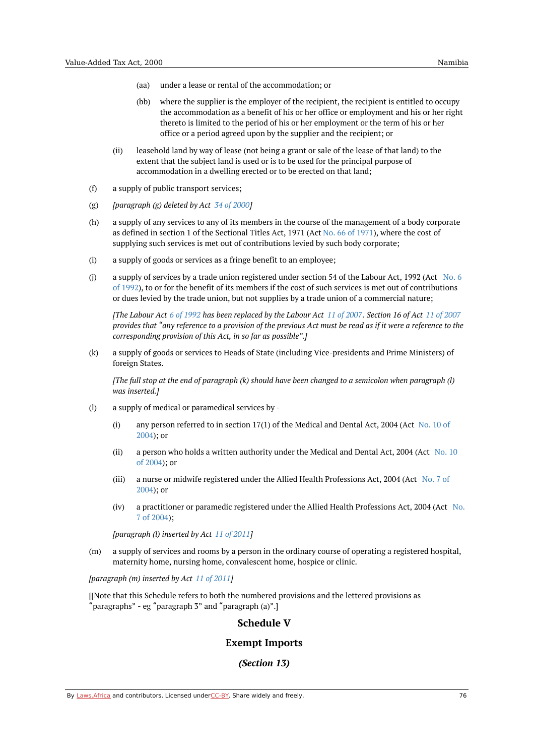- (aa) under a lease or rental of the accommodation; or
- (bb) where the supplier is the employer of the recipient, the recipient is entitled to occupy the accommodation as a benefit of his or her office or employment and his or her right thereto is limited to the period of his or her employment or the term of his or her office or a period agreed upon by the supplier and the recipient; or
- (ii) leasehold land by way of lease (not being a grant or sale of the lease of that land) to the extent that the subject land is used or is to be used for the principal purpose of accommodation in a dwelling erected or to be erected on that land;
- (f) a supply of public transport services;
- (g) *[paragraph (g) deleted by Act 34 of [2000](https://namiblii.org/akn/na/act/2000/34)]*
- (h) a supply of any services to any of its members in the course of the management of a body corporate as defined in section 1 of the Sectional Titles Act, 1971 (Act No. 66 of [1971](https://namiblii.org/akn/na/act/1971/66)), where the cost of supplying such services is met out of contributions levied by such body corporate;
- (i) a supply of goods or services as a fringe benefit to an employee;
- (j) a supply of services by a trade union registered under section 54 of the Labour Act, 1992 (Act No. 6) of 1992), to or for the benefit of its members if the cost of such services is met out of [contributions](https://namiblii.org/akn/na/act/1992/6) or dues levied by the trade union, but not supplies by a trade union of a commercial nature;

[The Labour Act 6 of [1992](https://namiblii.org/akn/na/act/1992/6) has been replaced by the Labour Act 11 of [2007.](https://namiblii.org/akn/na/act/2007/11) Section 16 of Act 11 of [2007](https://namiblii.org/akn/na/act/2007/11) provides that "any reference to a provision of the previous Act must be read as if it were a reference to the *corresponding provision of this Act, in so far as possible".]*

(k) a supply of goods or services to Heads of State (including Vice-presidents and Prime Ministers) of foreign States.

(I'lne full stop at the end of paragraph (k) should have been changed to a semicolon when paragraph (l) *was inserted.]*

- (l) a supply of medical or paramedical services by -
	- (i) any person [referred](https://namiblii.org/akn/na/act/2004/10) to in section 17(1) of the Medical and Dental Act, 2004 (Act No. 10 of 2004); or
	- (ii) a person who holds a written [authority](https://namiblii.org/akn/na/act/2004/10) under the Medical and Dental Act, 2004 (Act No. 10 of 2004); or
	- (iii) a nurse or midwife registered under the Allied Health [Professions](https://namiblii.org/akn/na/act/2004/7) Act, 2004 (Act No. 7 of 2004); or
	- (iv) a [practitioner](https://namiblii.org/akn/na/act/2004/7) or paramedic registered under the Allied Health Professions Act, 2004 (Act No. 7 of 2004);

*[paragraph (l) inserted by Act 11 of [2011](https://namiblii.org/akn/na/act/2011/11)]*

(m) a supply of services and rooms by a person in the ordinary course of operating a registered hospital, maternity home, nursing home, convalescent home, hospice or clinic.

*[paragraph (m) inserted by Act 11 of [2011](https://namiblii.org/akn/na/act/2011/11)]*

[[Note that this Schedule refers to both the numbered provisions and the lettered provisions as "paragraphs" - eg "paragraph 3" and "paragraph (a)".]

# **Schedule V**

# **Exempt Imports**

## *(Section 13)*

By [Laws.Africa](https://edit.laws.africa/widgets/pdf-attribution) and contributors. Licensed und[erCC-B](https://edit.laws.africa/widgets/pdf-cc-by)Y. Share widely and freely.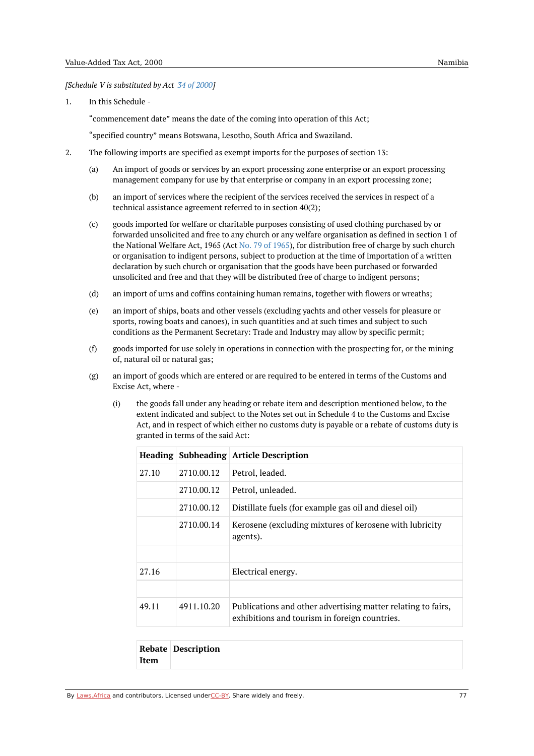*[Schedule V is substituted by Act 34 of [2000](https://namiblii.org/akn/na/act/2000/34)]*

1. In this Schedule -

"commencement date" means the date of the coming into operation of this Act;

"specified country" means Botswana, Lesotho, South Africa and Swaziland.

- 2. The following imports are specified as exempt imports for the purposes of section 13:
	- (a) An import of goods or services by an export processing zone enterprise or an export processing management company for use by that enterprise or company in an export processing zone;
	- (b) an import of services where the recipient of the services received the services in respect of a technical assistance agreement referred to in section 40(2);
	- $(c)$ goods imported for welfare or charitable purposes consisting of used clothing purchased by or forwarded unsolicited and free to any church or any welfare organisation as defined in section 1 of the National Welfare Act, 1965 (Act No. 79 of [1965](https://namiblii.org/akn/na/act/1965/79)), for distribution free of charge by such church or organisation to indigent persons, subject to production at the time of importation of a written declaration by such church or organisation that the goods have been purchased or forwarded unsolicited and free and that they will be distributed free of charge to indigent persons;
	- (d) an import of urns and coffins containing human remains, together with flowers or wreaths;
	- (e) an import of ships, boats and other vessels (excluding yachts and other vessels for pleasure or sports, rowing boats and canoes), in such quantities and at such times and subject to such conditions as the Permanent Secretary: Trade and Industry may allow by specific permit;
	- (f) goods imported for use solely in operations in connection with the prospecting for, or the mining of, natural oil or natural gas;
	- (g) an import of goods which are entered or are required to be entered in terms of the Customs and Excise Act, where -
		- (i) the goods fall under any heading or rebate item and description mentioned below, to the extent indicated and subject to the Notes set out in Schedule 4 to the Customs and Excise Act, and in respect of which either no customs duty is payable or a rebate of customs duty is granted in terms of the said Act:

|       |            | Heading   Subheading   Article Description                                                                    |
|-------|------------|---------------------------------------------------------------------------------------------------------------|
| 27.10 | 2710.00.12 | Petrol, leaded.                                                                                               |
|       | 2710.00.12 | Petrol, unleaded.                                                                                             |
|       | 2710.00.12 | Distillate fuels (for example gas oil and diesel oil)                                                         |
|       | 2710.00.14 | Kerosene (excluding mixtures of kerosene with lubricity<br>agents).                                           |
|       |            |                                                                                                               |
| 27.16 |            | Electrical energy.                                                                                            |
|       |            |                                                                                                               |
| 49.11 | 4911.10.20 | Publications and other advertising matter relating to fairs,<br>exhibitions and tourism in foreign countries. |

|      | <b>Rebate Description</b> |
|------|---------------------------|
| Item |                           |

By [Laws.Africa](https://edit.laws.africa/widgets/pdf-attribution) and contributors. Licensed und[erCC-B](https://edit.laws.africa/widgets/pdf-cc-by)Y. Share widely and freely.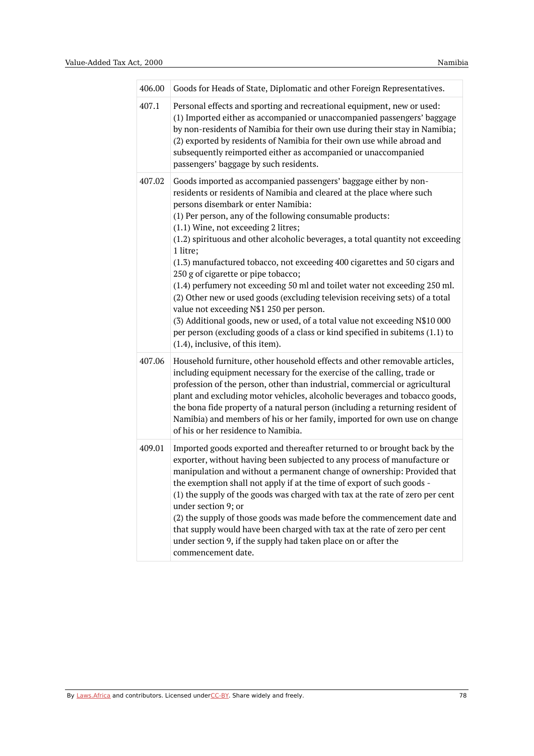| 406.00 | Goods for Heads of State, Diplomatic and other Foreign Representatives.                                                                                                                                                                                                                                                                                                                                                                                                                                                                                                                                                                                                                                                                                                                                                                                                                                               |
|--------|-----------------------------------------------------------------------------------------------------------------------------------------------------------------------------------------------------------------------------------------------------------------------------------------------------------------------------------------------------------------------------------------------------------------------------------------------------------------------------------------------------------------------------------------------------------------------------------------------------------------------------------------------------------------------------------------------------------------------------------------------------------------------------------------------------------------------------------------------------------------------------------------------------------------------|
| 407.1  | Personal effects and sporting and recreational equipment, new or used:<br>(1) Imported either as accompanied or unaccompanied passengers' baggage<br>by non-residents of Namibia for their own use during their stay in Namibia;<br>(2) exported by residents of Namibia for their own use while abroad and<br>subsequently reimported either as accompanied or unaccompanied<br>passengers' baggage by such residents.                                                                                                                                                                                                                                                                                                                                                                                                                                                                                               |
| 407.02 | Goods imported as accompanied passengers' baggage either by non-<br>residents or residents of Namibia and cleared at the place where such<br>persons disembark or enter Namibia:<br>(1) Per person, any of the following consumable products:<br>(1.1) Wine, not exceeding 2 litres;<br>(1.2) spirituous and other alcoholic beverages, a total quantity not exceeding<br>1 litre;<br>(1.3) manufactured tobacco, not exceeding 400 cigarettes and 50 cigars and<br>250 g of cigarette or pipe tobacco;<br>(1.4) perfumery not exceeding 50 ml and toilet water not exceeding 250 ml.<br>(2) Other new or used goods (excluding television receiving sets) of a total<br>value not exceeding N\$1 250 per person.<br>(3) Additional goods, new or used, of a total value not exceeding N\$10 000<br>per person (excluding goods of a class or kind specified in subitems (1.1) to<br>(1.4), inclusive, of this item). |
| 407.06 | Household furniture, other household effects and other removable articles,<br>including equipment necessary for the exercise of the calling, trade or<br>profession of the person, other than industrial, commercial or agricultural<br>plant and excluding motor vehicles, alcoholic beverages and tobacco goods,<br>the bona fide property of a natural person (including a returning resident of<br>Namibia) and members of his or her family, imported for own use on change<br>of his or her residence to Namibia.                                                                                                                                                                                                                                                                                                                                                                                               |
| 409.01 | Imported goods exported and thereafter returned to or brought back by the<br>exporter, without having been subjected to any process of manufacture or<br>manipulation and without a permanent change of ownership: Provided that<br>the exemption shall not apply if at the time of export of such goods -<br>(1) the supply of the goods was charged with tax at the rate of zero per cent<br>under section 9; or<br>(2) the supply of those goods was made before the commencement date and<br>that supply would have been charged with tax at the rate of zero per cent<br>under section 9, if the supply had taken place on or after the<br>commencement date.                                                                                                                                                                                                                                                    |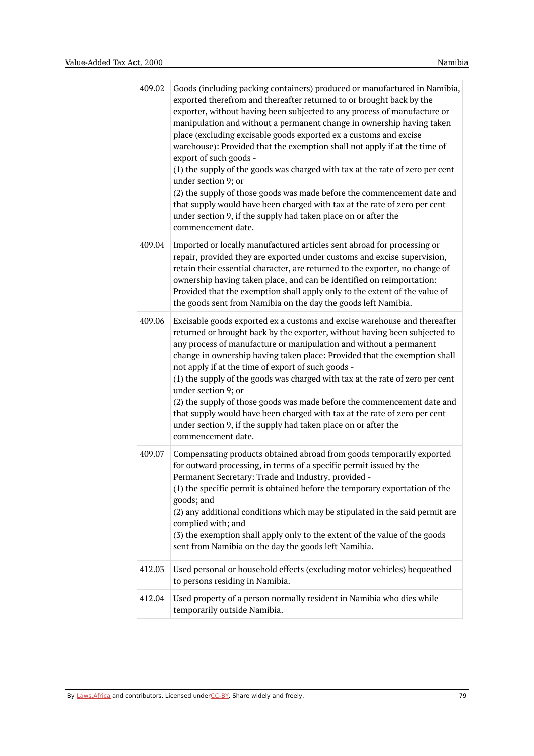| 409.02 | Goods (including packing containers) produced or manufactured in Namibia,<br>exported therefrom and thereafter returned to or brought back by the<br>exporter, without having been subjected to any process of manufacture or<br>manipulation and without a permanent change in ownership having taken<br>place (excluding excisable goods exported ex a customs and excise<br>warehouse): Provided that the exemption shall not apply if at the time of<br>export of such goods -<br>(1) the supply of the goods was charged with tax at the rate of zero per cent<br>under section 9; or<br>(2) the supply of those goods was made before the commencement date and<br>that supply would have been charged with tax at the rate of zero per cent<br>under section 9, if the supply had taken place on or after the<br>commencement date. |
|--------|--------------------------------------------------------------------------------------------------------------------------------------------------------------------------------------------------------------------------------------------------------------------------------------------------------------------------------------------------------------------------------------------------------------------------------------------------------------------------------------------------------------------------------------------------------------------------------------------------------------------------------------------------------------------------------------------------------------------------------------------------------------------------------------------------------------------------------------------|
| 409.04 | Imported or locally manufactured articles sent abroad for processing or<br>repair, provided they are exported under customs and excise supervision,<br>retain their essential character, are returned to the exporter, no change of<br>ownership having taken place, and can be identified on reimportation:<br>Provided that the exemption shall apply only to the extent of the value of<br>the goods sent from Namibia on the day the goods left Namibia.                                                                                                                                                                                                                                                                                                                                                                               |
| 409.06 | Excisable goods exported ex a customs and excise warehouse and thereafter<br>returned or brought back by the exporter, without having been subjected to<br>any process of manufacture or manipulation and without a permanent<br>change in ownership having taken place: Provided that the exemption shall<br>not apply if at the time of export of such goods -<br>(1) the supply of the goods was charged with tax at the rate of zero per cent<br>under section 9; or<br>(2) the supply of those goods was made before the commencement date and<br>that supply would have been charged with tax at the rate of zero per cent<br>under section 9, if the supply had taken place on or after the<br>commencement date.                                                                                                                   |
| 409.07 | Compensating products obtained abroad from goods temporarily exported<br>for outward processing, in terms of a specific permit issued by the<br>Permanent Secretary: Trade and Industry, provided -<br>(1) the specific permit is obtained before the temporary exportation of the<br>goods; and<br>(2) any additional conditions which may be stipulated in the said permit are<br>complied with; and<br>(3) the exemption shall apply only to the extent of the value of the goods<br>sent from Namibia on the day the goods left Namibia.                                                                                                                                                                                                                                                                                               |
| 412.03 | Used personal or household effects (excluding motor vehicles) bequeathed<br>to persons residing in Namibia.                                                                                                                                                                                                                                                                                                                                                                                                                                                                                                                                                                                                                                                                                                                                |
| 412.04 | Used property of a person normally resident in Namibia who dies while<br>temporarily outside Namibia.                                                                                                                                                                                                                                                                                                                                                                                                                                                                                                                                                                                                                                                                                                                                      |

By [Laws.Africa](https://edit.laws.africa/widgets/pdf-attribution) and contributors. Licensed und[erCC-B](https://edit.laws.africa/widgets/pdf-cc-by)Y. Share widely and freely. 79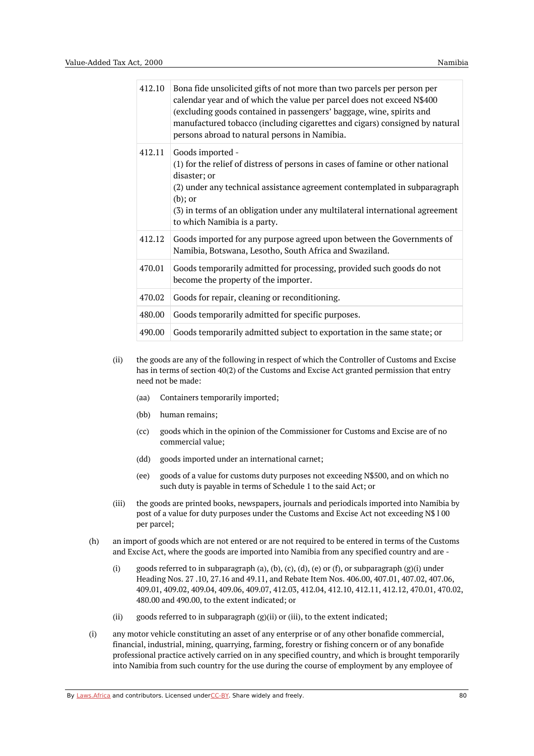| 412.10 | Bona fide unsolicited gifts of not more than two parcels per person per<br>calendar year and of which the value per parcel does not exceed N\$400<br>(excluding goods contained in passengers' baggage, wine, spirits and<br>manufactured tobacco (including cigarettes and cigars) consigned by natural<br>persons abroad to natural persons in Namibia. |
|--------|-----------------------------------------------------------------------------------------------------------------------------------------------------------------------------------------------------------------------------------------------------------------------------------------------------------------------------------------------------------|
| 412.11 | Goods imported -<br>(1) for the relief of distress of persons in cases of famine or other national<br>disaster; or<br>(2) under any technical assistance agreement contemplated in subparagraph<br>$(b)$ ; or<br>(3) in terms of an obligation under any multilateral international agreement<br>to which Namibia is a party.                             |
| 412.12 | Goods imported for any purpose agreed upon between the Governments of<br>Namibia, Botswana, Lesotho, South Africa and Swaziland.                                                                                                                                                                                                                          |
| 470.01 | Goods temporarily admitted for processing, provided such goods do not<br>become the property of the importer.                                                                                                                                                                                                                                             |
| 470.02 | Goods for repair, cleaning or reconditioning.                                                                                                                                                                                                                                                                                                             |
| 480.00 | Goods temporarily admitted for specific purposes.                                                                                                                                                                                                                                                                                                         |
| 490.00 | Goods temporarily admitted subject to exportation in the same state; or                                                                                                                                                                                                                                                                                   |

- (ii) the goods are any of the following in respect of which the Controller of Customs and Excise has in terms of section 40(2) of the Customs and Excise Act granted permission that entry need not be made:
	- (aa) Containers temporarily imported;
	- (bb) human remains;
	- (cc) goods which in the opinion of the Commissioner for Customs and Excise are of no commercial value;
	- (dd) goods imported under an international carnet;
	- (ee) goods of a value for customs duty purposes not exceeding N\$500, and on which no such duty is payable in terms of Schedule 1 to the said Act; or
- (iii) the goods are printed books, newspapers, journals and periodicals imported into Namibia by post of a value for duty purposes under the Customs and Excise Act not exceeding N\$ l 00 per parcel;
- (h) an import of goods which are not entered or are not required to be entered in terms of the Customs and Excise Act, where the goods are imported into Namibia from any specified country and are -
	- (i) goods referred to in subparagraph (a), (b), (c), (d), (e) or (f), or subparagraph (g)(i) under Heading Nos. 27 .10, 27.16 and 49.11, and Rebate Item Nos. 406.00, 407.01, 407.02, 407.06, 409.01, 409.02, 409.04, 409.06, 409.07, 412.03, 412.04, 412.10, 412.11, 412.12, 470.01, 470.02, 480.00 and 490.00, to the extent indicated; or
	- (ii) goods referred to in subparagraph (g)(ii) or (iii), to the extent indicated;
- (i) any motor vehicle constituting an asset of any enterprise or of any other bonafide commercial, financial, industrial, mining, quarrying, farming, forestry or fishing concern or of any bonafide professional practice actively carried on in any specified country, and which is brought temporarily into Namibia from such country for the use during the course of employment by any employee of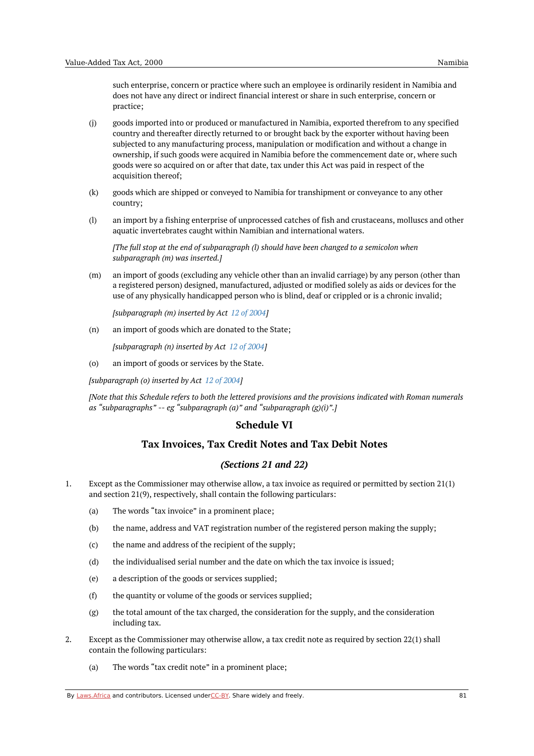such enterprise, concern or practice where such an employee is ordinarily resident in Namibia and does not have any direct or indirect financial interest or share in such enterprise, concern or practice;

- (j) goods imported into or produced or manufactured in Namibia, exported therefrom to any specified country and thereafter directly returned to or brought back by the exporter without having been subjected to any manufacturing process, manipulation or modification and without a change in ownership, if such goods were acquired in Namibia before the commencement date or, where such goods were so acquired on or after that date, tax under this Act was paid in respect of the acquisition thereof;
- (k) goods which are shipped or conveyed to Namibia for transhipment or conveyance to any other country;
- (l) an import by a fishing enterprise of unprocessed catches of fish and crustaceans, molluscs and other aquatic invertebrates caught within Namibian and international waters.

*[The full stop at the end of subparagraph (l) should have been changed to a semicolon when subparagraph (m) was inserted.]*

(m) an import of goods (excluding any vehicle other than an invalid carriage) by any person (other than a registered person) designed, manufactured, adjusted or modified solely as aids or devices for the use of any physically handicapped person who is blind, deaf or crippled or is a chronic invalid;

*[subparagraph (m) inserted by Act 12 of [2004](https://namiblii.org/akn/na/act/2004/12)]*

(n) an import of goods which are donated to the State;

*[subparagraph (n) inserted by Act 12 of [2004](https://namiblii.org/akn/na/act/2004/12)]*

(o) an import of goods or services by the State.

*[subparagraph (o) inserted by Act 12 of [2004](https://namiblii.org/akn/na/act/2004/12)]*

[Note that this Schedule refers to both the lettered provisions and the provisions indicated with Roman numerals *as "subparagraphs" -- eg "subparagraph (a)" and "subparagraph (g)(i)".]*

#### **Schedule VI**

# **Tax Invoices, Tax Credit Notes and Tax Debit Notes**

#### *(Sections 21 and 22)*

- 1. Except as the Commissioner may otherwise allow, a tax invoice as required or permitted by section 21(1) and section 21(9), respectively, shall contain the following particulars:
	- (a) The words "tax invoice" in a prominent place;
	- (b) the name, address and VAT registration number of the registered person making the supply;
	- (c) the name and address of the recipient of the supply;
	- (d) the individualised serial number and the date on which the tax invoice is issued;
	- (e) a description of the goods or services supplied;
	- (f) the quantity or volume of the goods or services supplied;
	- (g) the total amount of the tax charged, the consideration for the supply, and the consideration including tax.
- 2. Except as the Commissioner may otherwise allow, a tax credit note as required by section 22(1) shall contain the following particulars:
	- (a) The words "tax credit note" in a prominent place;

By [Laws.Africa](https://edit.laws.africa/widgets/pdf-attribution) and contributors. Licensed und[erCC-B](https://edit.laws.africa/widgets/pdf-cc-by)Y. Share widely and freely. **81** 81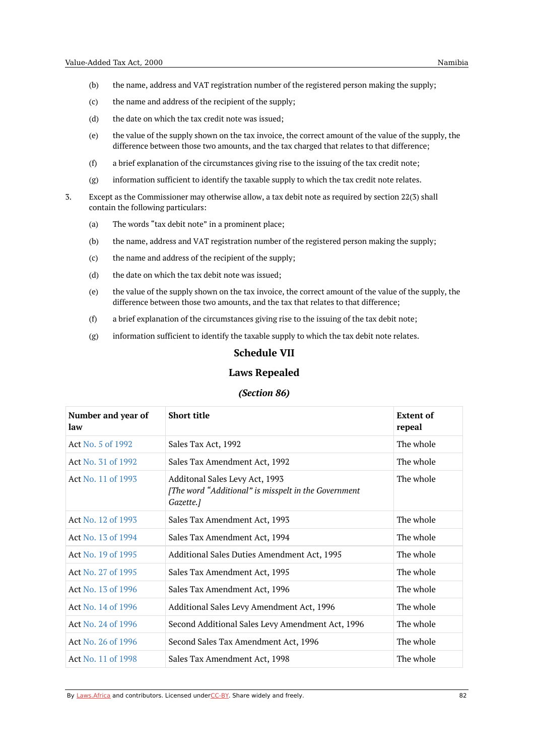- (b) the name, address and VAT registration number of the registered person making the supply;
- (c) the name and address of the recipient of the supply;
- (d) the date on which the tax credit note was issued;
- (e) the value of the supply shown on the tax invoice, the correct amount of the value of the supply, the difference between those two amounts, and the tax charged that relates to that difference;
- (f) a brief explanation of the circumstances giving rise to the issuing of the tax credit note;
- (g) information sufficient to identify the taxable supply to which the tax credit note relates.
- 3. Except as the Commissioner may otherwise allow, a tax debit note as required by section 22(3) shall contain the following particulars:
	- (a) The words "tax debit note" in a prominent place;
	- (b) the name, address and VAT registration number of the registered person making the supply;
	- (c) the name and address of the recipient of the supply;
	- (d) the date on which the tax debit note was issued;
	- (e) the value of the supply shown on the tax invoice, the correct amount of the value of the supply, the difference between those two amounts, and the tax that relates to that difference;
	- (f) a brief explanation of the circumstances giving rise to the issuing of the tax debit note;
	- (g) information sufficient to identify the taxable supply to which the tax debit note relates.

## **Schedule VII**

#### **Laws Repealed**

#### *(Section 86)*

| Number and year of<br>law | <b>Short title</b>                                                                                  | <b>Extent of</b><br>repeal |
|---------------------------|-----------------------------------------------------------------------------------------------------|----------------------------|
| Act No. 5 of 1992         | Sales Tax Act, 1992                                                                                 | The whole                  |
| Act No. 31 of 1992        | Sales Tax Amendment Act, 1992                                                                       | The whole                  |
| Act No. 11 of 1993        | Additonal Sales Levy Act, 1993<br>[The word "Additional" is misspelt in the Government<br>Gazette.] | The whole                  |
| Act No. 12 of 1993        | Sales Tax Amendment Act, 1993                                                                       | The whole                  |
| Act No. 13 of 1994        | Sales Tax Amendment Act, 1994                                                                       | The whole                  |
| Act No. 19 of 1995        | Additional Sales Duties Amendment Act, 1995                                                         | The whole                  |
| Act No. 27 of 1995        | Sales Tax Amendment Act, 1995                                                                       | The whole                  |
| Act No. 13 of 1996        | Sales Tax Amendment Act, 1996                                                                       | The whole                  |
| Act No. 14 of 1996        | Additional Sales Levy Amendment Act, 1996                                                           | The whole                  |
| Act No. 24 of 1996        | Second Additional Sales Levy Amendment Act, 1996                                                    | The whole                  |
| Act No. 26 of 1996        | Second Sales Tax Amendment Act, 1996                                                                | The whole                  |
| Act No. 11 of 1998        | Sales Tax Amendment Act, 1998                                                                       | The whole                  |